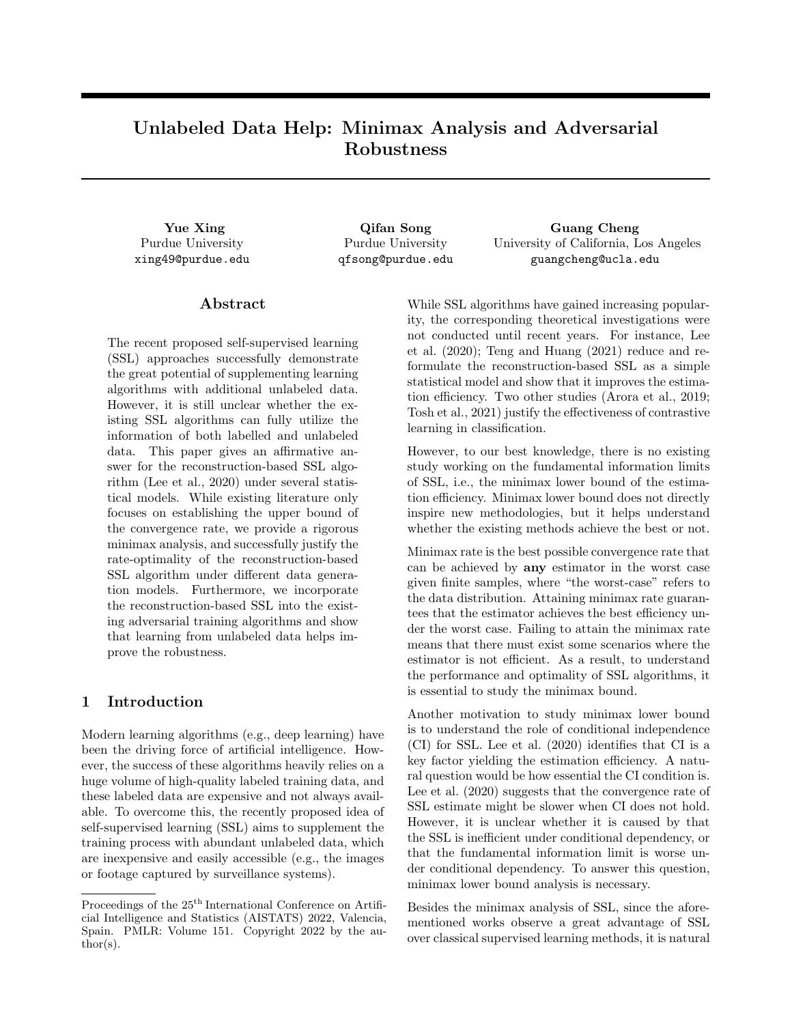# Unlabeled Data Help: Minimax Analysis and Adversarial Robustness

Purdue University xing49@purdue.edu

Purdue University qfsong@purdue.edu

Yue Xing Guang Guang Qifan Song Guang Cheng University of California, Los Angeles guangcheng@ucla.edu

# Abstract

The recent proposed self-supervised learning (SSL) approaches successfully demonstrate the great potential of supplementing learning algorithms with additional unlabeled data. However, it is still unclear whether the existing SSL algorithms can fully utilize the information of both labelled and unlabeled data. This paper gives an affirmative answer for the reconstruction-based SSL algorithm (Lee et al., 2020) under several statistical models. While existing literature only focuses on establishing the upper bound of the convergence rate, we provide a rigorous minimax analysis, and successfully justify the rate-optimality of the reconstruction-based SSL algorithm under different data generation models. Furthermore, we incorporate the reconstruction-based SSL into the existing adversarial training algorithms and show that learning from unlabeled data helps improve the robustness.

# 1 Introduction

Modern learning algorithms (e.g., deep learning) have been the driving force of artificial intelligence. However, the success of these algorithms heavily relies on a huge volume of high-quality labeled training data, and these labeled data are expensive and not always available. To overcome this, the recently proposed idea of self-supervised learning (SSL) aims to supplement the training process with abundant unlabeled data, which are inexpensive and easily accessible (e.g., the images or footage captured by surveillance systems).

While SSL algorithms have gained increasing popularity, the corresponding theoretical investigations were not conducted until recent years. For instance, Lee et al. (2020); Teng and Huang (2021) reduce and reformulate the reconstruction-based SSL as a simple statistical model and show that it improves the estimation efficiency. Two other studies (Arora et al., 2019; Tosh et al., 2021) justify the effectiveness of contrastive learning in classification.

However, to our best knowledge, there is no existing study working on the fundamental information limits of SSL, i.e., the minimax lower bound of the estimation efficiency. Minimax lower bound does not directly inspire new methodologies, but it helps understand whether the existing methods achieve the best or not.

Minimax rate is the best possible convergence rate that can be achieved by any estimator in the worst case given finite samples, where "the worst-case" refers to the data distribution. Attaining minimax rate guarantees that the estimator achieves the best efficiency under the worst case. Failing to attain the minimax rate means that there must exist some scenarios where the estimator is not efficient. As a result, to understand the performance and optimality of SSL algorithms, it is essential to study the minimax bound.

Another motivation to study minimax lower bound is to understand the role of conditional independence (CI) for SSL. Lee et al. (2020) identifies that CI is a key factor yielding the estimation efficiency. A natural question would be how essential the CI condition is. Lee et al.  $(2020)$  suggests that the convergence rate of SSL estimate might be slower when CI does not hold. However, it is unclear whether it is caused by that the SSL is inefficient under conditional dependency, or that the fundamental information limit is worse under conditional dependency. To answer this question, minimax lower bound analysis is necessary.

Besides the minimax analysis of SSL, since the aforementioned works observe a great advantage of SSL over classical supervised learning methods, it is natural

Proceedings of the 25<sup>th</sup> International Conference on Artificial Intelligence and Statistics (AISTATS) 2022, Valencia, Spain. PMLR: Volume 151. Copyright 2022 by the au- $\text{thor}(s)$ .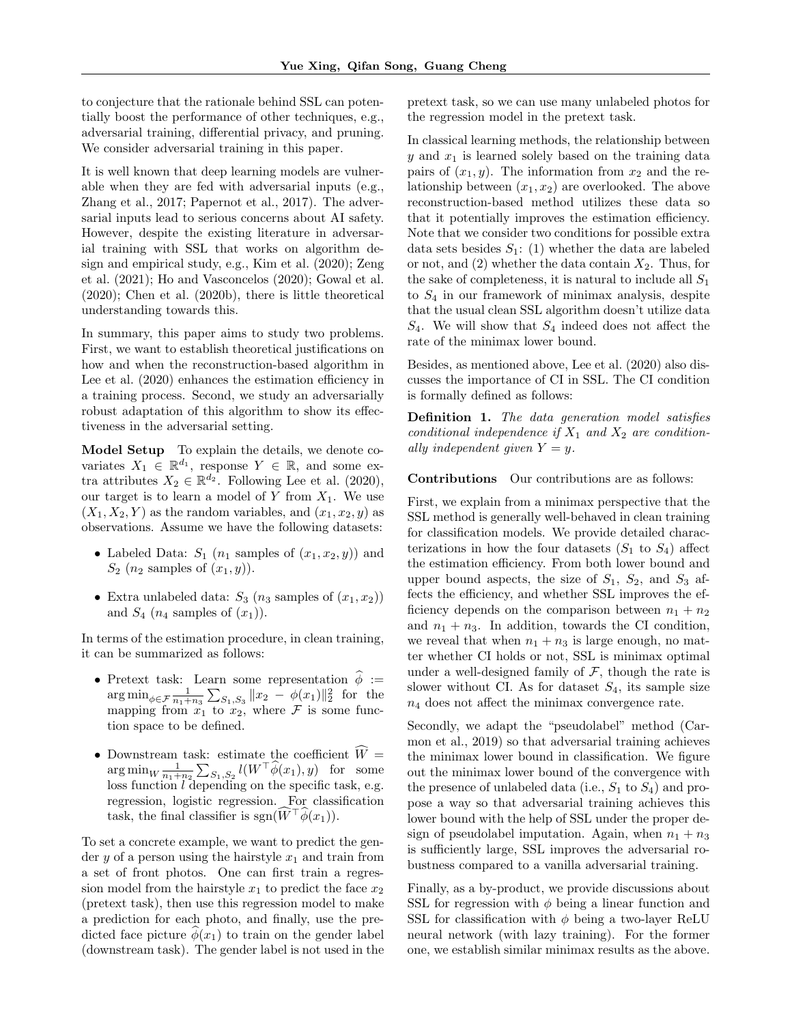to conjecture that the rationale behind SSL can potentially boost the performance of other techniques, e.g., adversarial training, differential privacy, and pruning. We consider adversarial training in this paper.

It is well known that deep learning models are vulnerable when they are fed with adversarial inputs (e.g., Zhang et al., 2017; Papernot et al., 2017). The adversarial inputs lead to serious concerns about AI safety. However, despite the existing literature in adversarial training with SSL that works on algorithm design and empirical study, e.g., Kim et al. (2020); Zeng et al. (2021); Ho and Vasconcelos (2020); Gowal et al. (2020); Chen et al. (2020b), there is little theoretical understanding towards this.

In summary, this paper aims to study two problems. First, we want to establish theoretical justifications on how and when the reconstruction-based algorithm in Lee et al.  $(2020)$  enhances the estimation efficiency in a training process. Second, we study an adversarially robust adaptation of this algorithm to show its effectiveness in the adversarial setting.

Model Setup To explain the details, we denote covariates  $X_1 \in \mathbb{R}^{d_1}$ , response  $Y \in \mathbb{R}$ , and some extra attributes  $X_2 \in \mathbb{R}^{d_2}$ . Following Lee et al. (2020), our target is to learn a model of  $Y$  from  $X_1$ . We use  $(X_1, X_2, Y)$  as the random variables, and  $(x_1, x_2, y)$  as observations. Assume we have the following datasets:

- Labeled Data:  $S_1$  ( $n_1$  samples of  $(x_1, x_2, y)$ ) and  $S_2$  ( $n_2$  samples of  $(x_1, y)$ ).
- Extra unlabeled data:  $S_3$   $(n_3$  samples of  $(x_1, x_2)$ and  $S_4$  ( $n_4$  samples of  $(x_1)$ ).

In terms of the estimation procedure, in clean training, it can be summarized as follows:

- Pretext task: Learn some representation  $\hat{\phi}$  :=  $\arg \min_{\phi \in \mathcal{F}} \frac{1}{n_1+n_3} \sum_{S_1, S_3} ||x_2 - \phi(x_1)||_2^2$  for the mapping from  $x_1$  to  $x_2$ , where  $\mathcal F$  is some function space to be defined.
- Downstream task: estimate the coefficient  $\widehat{W} =$  $\arg \min_{W} \frac{1}{n_1+n_2} \sum_{S_1, S_2} l(W^{\top} \widehat{\phi}(x_1), y)$  for some loss function *l* depending on the specific task, e.g. regression, logistic regression. For classification task, the final classifier is sgn( $W^{\dagger} \phi(x_1)$ ).

To set a concrete example, we want to predict the gender y of a person using the hairstyle  $x_1$  and train from a set of front photos. One can first train a regression model from the hairstyle  $x_1$  to predict the face  $x_2$ (pretext task), then use this regression model to make a prediction for each photo, and finally, use the predicted face picture  $\phi(x_1)$  to train on the gender label (downstream task). The gender label is not used in the pretext task, so we can use many unlabeled photos for the regression model in the pretext task.

In classical learning methods, the relationship between  $y$  and  $x_1$  is learned solely based on the training data pairs of  $(x_1, y)$ . The information from  $x_2$  and the relationship between  $(x_1, x_2)$  are overlooked. The above reconstruction-based method utilizes these data so that it potentially improves the estimation efficiency. Note that we consider two conditions for possible extra data sets besides  $S_1$ : (1) whether the data are labeled or not, and  $(2)$  whether the data contain  $X_2$ . Thus, for the sake of completeness, it is natural to include all  $S_1$ to  $S_4$  in our framework of minimax analysis, despite that the usual clean SSL algorithm doesn't utilize data  $S_4$ . We will show that  $S_4$  indeed does not affect the rate of the minimax lower bound.

Besides, as mentioned above, Lee et al. (2020) also discusses the importance of CI in SSL. The CI condition is formally defined as follows:

Definition 1. The data generation model satisfies conditional independence if  $X_1$  and  $X_2$  are conditionally independent given  $Y = y$ .

Contributions Our contributions are as follows:

First, we explain from a minimax perspective that the SSL method is generally well-behaved in clean training for classification models. We provide detailed characterizations in how the four datasets  $(S_1$  to  $S_4)$  affect the estimation efficiency. From both lower bound and upper bound aspects, the size of  $S_1$ ,  $S_2$ , and  $S_3$  affects the efficiency, and whether SSL improves the efficiency depends on the comparison between  $n_1 + n_2$ and  $n_1 + n_3$ . In addition, towards the CI condition, we reveal that when  $n_1 + n_3$  is large enough, no matter whether CI holds or not, SSL is minimax optimal under a well-designed family of  $\mathcal{F}$ , though the rate is slower without CI. As for dataset  $S_4$ , its sample size  $n_4$  does not affect the minimax convergence rate.

Secondly, we adapt the "pseudolabel" method (Carmon et al., 2019) so that adversarial training achieves the minimax lower bound in classification. We figure out the minimax lower bound of the convergence with the presence of unlabeled data (i.e.,  $S_1$  to  $S_4$ ) and propose a way so that adversarial training achieves this lower bound with the help of SSL under the proper design of pseudolabel imputation. Again, when  $n_1 + n_3$ is sufficiently large, SSL improves the adversarial robustness compared to a vanilla adversarial training.

Finally, as a by-product, we provide discussions about SSL for regression with  $\phi$  being a linear function and SSL for classification with  $\phi$  being a two-layer ReLU neural network (with lazy training). For the former one, we establish similar minimax results as the above.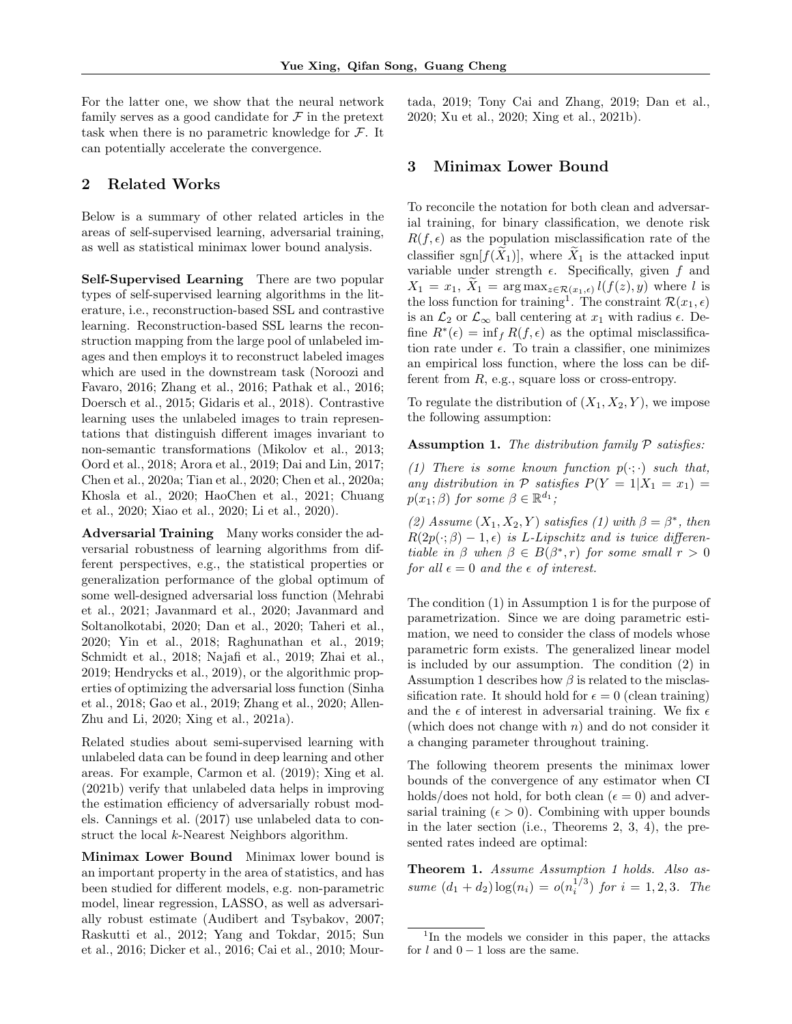For the latter one, we show that the neural network family serves as a good candidate for  $\mathcal F$  in the pretext task when there is no parametric knowledge for  $\mathcal{F}$ . It can potentially accelerate the convergence.

# 2 Related Works

Below is a summary of other related articles in the areas of self-supervised learning, adversarial training, as well as statistical minimax lower bound analysis.

Self-Supervised Learning There are two popular types of self-supervised learning algorithms in the literature, i.e., reconstruction-based SSL and contrastive learning. Reconstruction-based SSL learns the reconstruction mapping from the large pool of unlabeled images and then employs it to reconstruct labeled images which are used in the downstream task (Noroozi and Favaro, 2016; Zhang et al., 2016; Pathak et al., 2016; Doersch et al., 2015; Gidaris et al., 2018). Contrastive learning uses the unlabeled images to train representations that distinguish different images invariant to non-semantic transformations (Mikolov et al., 2013; Oord et al., 2018; Arora et al., 2019; Dai and Lin, 2017; Chen et al., 2020a; Tian et al., 2020; Chen et al., 2020a; Khosla et al., 2020; HaoChen et al., 2021; Chuang et al., 2020; Xiao et al., 2020; Li et al., 2020).

Adversarial Training Many works consider the adversarial robustness of learning algorithms from different perspectives, e.g., the statistical properties or generalization performance of the global optimum of some well-designed adversarial loss function (Mehrabi et al., 2021; Javanmard et al., 2020; Javanmard and Soltanolkotabi, 2020; Dan et al., 2020; Taheri et al., 2020; Yin et al., 2018; Raghunathan et al., 2019; Schmidt et al., 2018; Najafi et al., 2019; Zhai et al., 2019; Hendrycks et al., 2019), or the algorithmic properties of optimizing the adversarial loss function (Sinha et al., 2018; Gao et al., 2019; Zhang et al., 2020; Allen-Zhu and Li, 2020; Xing et al., 2021a).

Related studies about semi-supervised learning with unlabeled data can be found in deep learning and other areas. For example, Carmon et al. (2019); Xing et al. (2021b) verify that unlabeled data helps in improving the estimation efficiency of adversarially robust models. Cannings et al. (2017) use unlabeled data to construct the local k-Nearest Neighbors algorithm.

Minimax Lower Bound Minimax lower bound is an important property in the area of statistics, and has been studied for different models, e.g. non-parametric model, linear regression, LASSO, as well as adversarially robust estimate (Audibert and Tsybakov, 2007; Raskutti et al., 2012; Yang and Tokdar, 2015; Sun et al., 2016; Dicker et al., 2016; Cai et al., 2010; Mour-

tada, 2019; Tony Cai and Zhang, 2019; Dan et al., 2020; Xu et al., 2020; Xing et al., 2021b).

# 3 Minimax Lower Bound

To reconcile the notation for both clean and adversarial training, for binary classification, we denote risk  $R(f, \epsilon)$  as the population misclassification rate of the classifier sgn $[f(\tilde{X}_1)],$  where  $\tilde{X}_1$  is the attacked input variable under strength  $\epsilon$ . Specifically, given f and  $X_1 = x_1, X_1 = \arg \max_{z \in \mathcal{R}(x_1, \epsilon)} l(f(z), y)$  where l is the loss function for training<sup>1</sup>. The constraint  $\mathcal{R}(x_1, \epsilon)$ is an  $\mathcal{L}_2$  or  $\mathcal{L}_{\infty}$  ball centering at  $x_1$  with radius  $\epsilon$ . Define  $R^*(\epsilon) = \inf_f R(f, \epsilon)$  as the optimal misclassification rate under  $\epsilon$ . To train a classifier, one minimizes an empirical loss function, where the loss can be different from  $R$ , e.g., square loss or cross-entropy.

To regulate the distribution of  $(X_1, X_2, Y)$ , we impose the following assumption:

### **Assumption 1.** The distribution family  $P$  satisfies:

(1) There is some known function  $p(\cdot;\cdot)$  such that, any distribution in  $P$  satisfies  $P(Y = 1 | X_1 = x_1) =$  $p(x_1;\beta)$  for some  $\beta \in \mathbb{R}^{d_1}$ ;

(2) Assume  $(X_1, X_2, Y)$  satisfies (1) with  $\beta = \beta^*$ , then  $R(2p(\cdot;\beta) - 1, \epsilon)$  is L-Lipschitz and is twice differentiable in  $\beta$  when  $\beta \in B(\beta^*, r)$  for some small  $r > 0$ for all  $\epsilon = 0$  and the  $\epsilon$  of interest.

The condition (1) in Assumption 1 is for the purpose of parametrization. Since we are doing parametric estimation, we need to consider the class of models whose parametric form exists. The generalized linear model is included by our assumption. The condition (2) in Assumption 1 describes how  $\beta$  is related to the misclassification rate. It should hold for  $\epsilon = 0$  (clean training) and the  $\epsilon$  of interest in adversarial training. We fix  $\epsilon$ (which does not change with  $n$ ) and do not consider it a changing parameter throughout training.

The following theorem presents the minimax lower bounds of the convergence of any estimator when CI holds/does not hold, for both clean ( $\epsilon = 0$ ) and adversarial training ( $\epsilon > 0$ ). Combining with upper bounds in the later section (i.e., Theorems 2, 3, 4), the presented rates indeed are optimal:

Theorem 1. Assume Assumption 1 holds. Also assume  $(d_1 + d_2) \log(n_i) = o(n_i^{1/3})$  for  $i = 1, 2, 3$ . The

<sup>&</sup>lt;sup>1</sup>In the models we consider in this paper, the attacks for  $l$  and  $0 - 1$  loss are the same.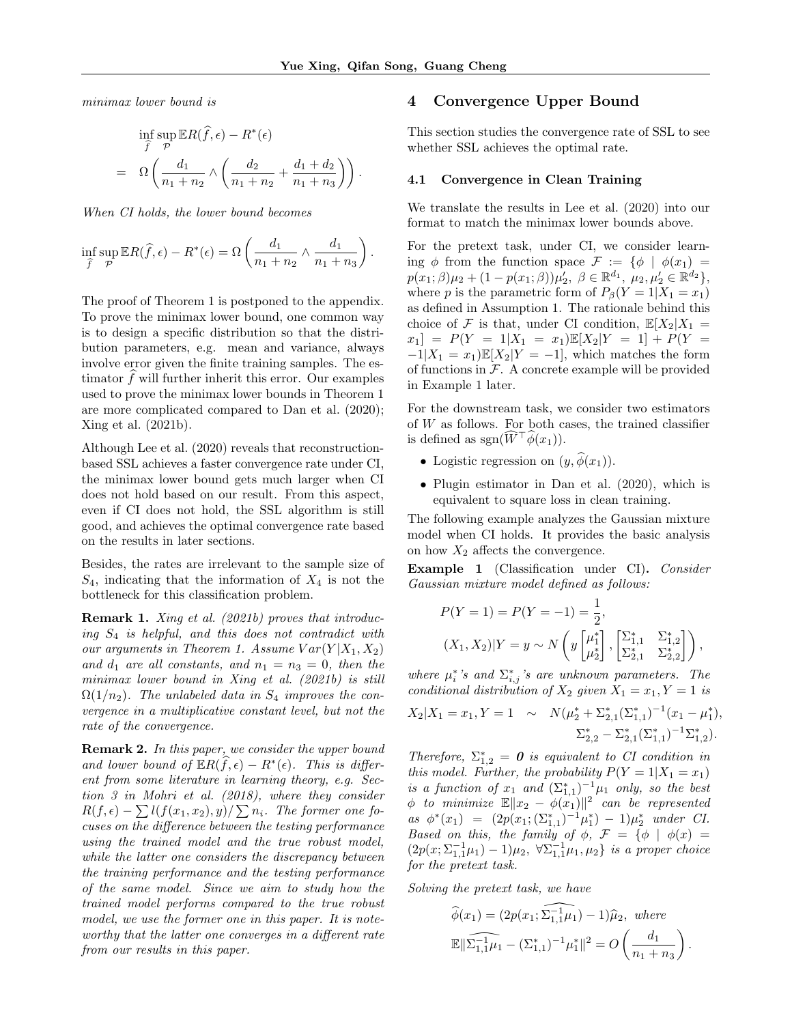minimax lower bound is

$$
\inf_{\widehat{f}} \sup_{\mathcal{P}} \mathbb{E}R(\widehat{f}, \epsilon) - R^*(\epsilon)
$$
\n
$$
= \Omega \left( \frac{d_1}{n_1 + n_2} \wedge \left( \frac{d_2}{n_1 + n_2} + \frac{d_1 + d_2}{n_1 + n_3} \right) \right).
$$

When CI holds, the lower bound becomes

$$
\inf_{\widehat{f}} \sup_{\mathcal{P}} \mathbb{E} R(\widehat{f}, \epsilon) - R^*(\epsilon) = \Omega \left( \frac{d_1}{n_1 + n_2} \wedge \frac{d_1}{n_1 + n_3} \right).
$$

The proof of Theorem 1 is postponed to the appendix. To prove the minimax lower bound, one common way is to design a specific distribution so that the distribution parameters, e.g. mean and variance, always involve error given the finite training samples. The estimator  $f$  will further inherit this error. Our examples used to prove the minimax lower bounds in Theorem 1 are more complicated compared to Dan et al. (2020); Xing et al. (2021b).

Although Lee et al. (2020) reveals that reconstructionbased SSL achieves a faster convergence rate under CI, the minimax lower bound gets much larger when CI does not hold based on our result. From this aspect, even if CI does not hold, the SSL algorithm is still good, and achieves the optimal convergence rate based on the results in later sections.

Besides, the rates are irrelevant to the sample size of  $S_4$ , indicating that the information of  $X_4$  is not the bottleneck for this classification problem.

**Remark 1.** Xing et al. (2021b) proves that introducing  $S_4$  is helpful, and this does not contradict with our arguments in Theorem 1. Assume  $Var(Y|X_1, X_2)$ and  $d_1$  are all constants, and  $n_1 = n_3 = 0$ , then the minimax lower bound in Xing et al. (2021b) is still  $\Omega(1/n_2)$ . The unlabeled data in  $S_4$  improves the convergence in a multiplicative constant level, but not the rate of the convergence.

**Remark 2.** In this paper, we consider the upper bound and lower bound of  $\mathbb{E}R(\widehat{f}, \epsilon) - R^*(\epsilon)$ . This is different from some literature in learning theory, e.g. Section 3 in Mohri et al. (2018), where they consider  $R(f, \epsilon) - \sum l(f(x_1, x_2), y) / \sum n_i$ . The former one focuses on the difference between the testing performance using the trained model and the true robust model, while the latter one considers the discrepancy between the training performance and the testing performance of the same model. Since we aim to study how the trained model performs compared to the true robust model, we use the former one in this paper. It is noteworthy that the latter one converges in a different rate from our results in this paper.

# 4 Convergence Upper Bound

This section studies the convergence rate of SSL to see whether SSL achieves the optimal rate.

#### 4.1 Convergence in Clean Training

We translate the results in Lee et al. (2020) into our format to match the minimax lower bounds above.

For the pretext task, under CI, we consider learning  $\phi$  from the function space  $\mathcal{F} := \{ \phi \mid \phi(x_1) =$  $p(x_1;\beta)\mu_2 + (1-p(x_1;\beta))\mu'_2, \ \beta \in \mathbb{R}^{d_1}, \ \mu_2, \mu'_2 \in \mathbb{R}^{d_2} \},$ where p is the parametric form of  $P_\beta(Y=1|X_1=x_1)$ as defined in Assumption 1. The rationale behind this choice of F is that, under CI condition,  $\mathbb{E}[X_2|X_1]$  $x_1$ ] =  $P(Y = 1|X_1 = x_1)\mathbb{E}[X_2|Y = 1] + P(Y = 1)$  $-1|X_1 = x_1 \mathbb{E}[X_2|Y = -1]$ , which matches the form of functions in  $F$ . A concrete example will be provided in Example 1 later.

For the downstream task, we consider two estimators of  $W$  as follows. For both cases, the trained classifier is defined as  $sgn(\widehat{W}^{\top}\widehat{\phi}(x_1)).$ 

- Logistic regression on  $(y, \phi(x_1))$ .
- Plugin estimator in Dan et al. (2020), which is equivalent to square loss in clean training.

The following example analyzes the Gaussian mixture model when CI holds. It provides the basic analysis on how  $X_2$  affects the convergence.

Example 1 (Classification under CI). Consider Gaussian mixture model defined as follows:

$$
P(Y = 1) = P(Y = -1) = \frac{1}{2},
$$
  
\n
$$
(X_1, X_2)|Y = y \sim N\left(y\begin{bmatrix} \mu_1^* \\ \mu_2^* \end{bmatrix}, \begin{bmatrix} \Sigma_{1,1}^* & \Sigma_{1,2}^* \\ \Sigma_{2,1}^* & \Sigma_{2,2}^* \end{bmatrix}\right),
$$

where  $\mu_i^*$ 's and  $\sum_{i,j}^*$ 's are unknown parameters. The conditional distribution of  $X_2$  given  $X_1 = x_1, Y = 1$  is

$$
X_2|X_1 = x_1, Y = 1 \sim N(\mu_2^* + \Sigma_{2,1}^*(\Sigma_{1,1}^*)^{-1}(x_1 - \mu_1^*),
$$
  

$$
\Sigma_{2,2}^* - \Sigma_{2,1}^*(\Sigma_{1,1}^*)^{-1}\Sigma_{1,2}^*).
$$

Therefore,  $\Sigma_{1,2}^* = 0$  is equivalent to CI condition in this model. Further, the probability  $P(Y = 1 | X_1 = x_1)$ is a function of  $x_1$  and  $(\Sigma_{1,1}^*)^{-1}\mu_1$  only, so the best  $\phi$  to minimize  $\mathbb{E} \|x_2 - \phi(x_1)\|^2$  can be represented as  $\phi^*(x_1) = (2p(x_1; (\Sigma_{1,1}^*)^{-1}\mu_1^*) - 1)\mu_2^*$  under CI. Based on this, the family of  $\phi$ ,  $\mathcal{F} = {\phi | \phi(x) =$  $(2p(x; \Sigma_{1,1}^{-1} \mu_1) - 1)\mu_2$ , ∀ $\Sigma_{1,1}^{-1} \mu_1$ ,  $\mu_2$ } is a proper choice for the pretext task.

Solving the pretext task, we have

$$
\widehat{\phi}(x_1) = (2p(x_1; \widehat{\Sigma_{1,1}^{-1}\mu_1}) - 1)\widehat{\mu}_2, \text{ where}
$$

$$
\mathbb{E} \|\widehat{\Sigma_{1,1}^{-1}\mu_1} - (\Sigma_{1,1}^*)^{-1}\mu_1^*\|^2 = O\left(\frac{d_1}{n_1 + n_3}\right)
$$

.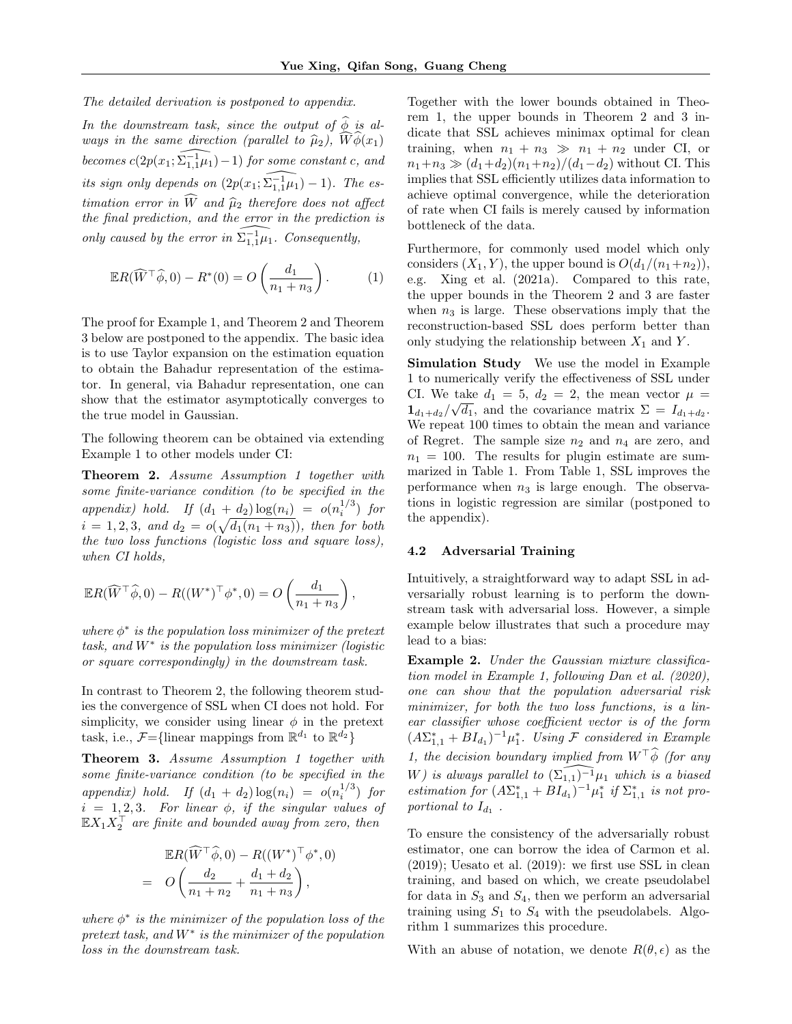The detailed derivation is postponed to appendix.

In the downstream task, since the output of  $\widehat{\phi}$  is always in the same direction (parallel to  $\widehat{\mu}_2$ ),  $\widehat{W}\widehat{\phi}(x_1)$ becomes  $c(2p(x_1;\widehat{\Sigma_{1,1}+ \mu_1})-1)$  for some constant c, and its sign only depends on  $(2p(x_1;\widehat{\Sigma_{1,1}1\mu_1}) - 1)$ . The estimation error in  $\widehat{W}$  and  $\widehat{\mu}_2$  therefore does not affect the final prediction, and the error in the prediction is only caused by the error in  $\widehat{\Sigma_{1,1}^{-1}\mu_1}$ . Consequently,

$$
\mathbb{E}R(\widehat{W}^{\top}\widehat{\phi},0) - R^*(0) = O\left(\frac{d_1}{n_1 + n_3}\right). \tag{1}
$$

The proof for Example 1, and Theorem 2 and Theorem 3 below are postponed to the appendix. The basic idea is to use Taylor expansion on the estimation equation to obtain the Bahadur representation of the estimator. In general, via Bahadur representation, one can show that the estimator asymptotically converges to the true model in Gaussian.

The following theorem can be obtained via extending Example 1 to other models under CI:

Theorem 2. Assume Assumption 1 together with some finite-variance condition (to be specified in the appendix) hold. If  $(d_1 + d_2) \log(n_i) = o(n_i^{1/3})$  for  $i = 1, 2, 3, \text{ and } d_2 = o(\sqrt{d_1(n_1 + n_3)})$ , then for both the two loss functions (logistic loss and square loss), when CI holds,

$$
\mathbb{E}R(\widehat{W}^{\top}\widehat{\phi},0) - R((W^*)^{\top}\phi^*,0) = O\left(\frac{d_1}{n_1+n_3}\right),
$$

where  $\phi^*$  is the population loss minimizer of the pretext  $task, and W^*$  is the population loss minimizer (logistic or square correspondingly) in the downstream task.

In contrast to Theorem 2, the following theorem studies the convergence of SSL when CI does not hold. For simplicity, we consider using linear  $\phi$  in the pretext task, i.e.,  $\mathcal{F} = \{\text{linear mappings from } \mathbb{R}^{d_1} \text{ to } \mathbb{R}^{d_2}\}\$ 

Theorem 3. Assume Assumption 1 together with some finite-variance condition (to be specified in the appendix) hold. If  $(d_1 + d_2) \log(n_i) = o(n_i^{1/3})$  for  $i = 1, 2, 3$ . For linear  $\phi$ , if the singular values of  $\mathbb{E} X_1 X_2^{\top}$  are finite and bounded away from zero, then

$$
\mathbb{E}R(\widehat{W}^{\top}\widehat{\phi},0) - R((W^*)^{\top}\phi^*,0) \n= O\left(\frac{d_2}{n_1+n_2} + \frac{d_1+d_2}{n_1+n_3}\right),
$$

where  $\phi^*$  is the minimizer of the population loss of the  $pretext task, and  $W^*$  is the minimizer of the population$ loss in the downstream task.

Together with the lower bounds obtained in Theorem 1, the upper bounds in Theorem 2 and 3 indicate that SSL achieves minimax optimal for clean training, when  $n_1 + n_3 \gg n_1 + n_2$  under CI, or  $n_1+n_3 \gg (d_1+d_2)(n_1+n_2)/(d_1-d_2)$  without CI. This implies that SSL efficiently utilizes data information to achieve optimal convergence, while the deterioration of rate when CI fails is merely caused by information bottleneck of the data.

Furthermore, for commonly used model which only considers  $(X_1, Y)$ , the upper bound is  $O(d_1/(n_1+n_2)),$ e.g. Xing et al. (2021a). Compared to this rate, the upper bounds in the Theorem 2 and 3 are faster when  $n_3$  is large. These observations imply that the reconstruction-based SSL does perform better than only studying the relationship between  $X_1$  and  $Y$ .

Simulation Study We use the model in Example 1 to numerically verify the effectiveness of SSL under CI. We take  $d_1 = 5$ ,  $d_2 = 2$ , the mean vector  $\mu =$  $1_{d_1+d_2}/\sqrt{d_1}$ , and the covariance matrix  $\Sigma = I_{d_1+d_2}$ . We repeat 100 times to obtain the mean and variance of Regret. The sample size  $n_2$  and  $n_4$  are zero, and  $n_1 = 100$ . The results for plugin estimate are summarized in Table 1. From Table 1, SSL improves the performance when  $n_3$  is large enough. The observations in logistic regression are similar (postponed to the appendix).

### 4.2 Adversarial Training

Intuitively, a straightforward way to adapt SSL in adversarially robust learning is to perform the downstream task with adversarial loss. However, a simple example below illustrates that such a procedure may lead to a bias:

Example 2. Under the Gaussian mixture classification model in Example 1, following Dan et al. (2020), one can show that the population adversarial risk minimizer, for both the two loss functions, is a linear classifier whose coefficient vector is of the form  $(A\Sigma_{1,1}^* + BI_{d_1})^{-1}\mu_1^*$ . Using F considered in Example 1, the decision boundary implied from  $W^{\top}\widehat{\phi}$  (for any W) is always parallel to  $(\Sigma_{1,1})^{-1}\mu_1$  which is a biased estimation for  $(A\Sigma_{1,1}^* + BI_{d_1})^{-1}\mu_1^*$  if  $\Sigma_{1,1}^*$  is not proportional to  $I_{d_1}$ .

To ensure the consistency of the adversarially robust estimator, one can borrow the idea of Carmon et al. (2019); Uesato et al. (2019): we first use SSL in clean training, and based on which, we create pseudolabel for data in  $S_3$  and  $S_4$ , then we perform an adversarial training using  $S_1$  to  $S_4$  with the pseudolabels. Algorithm 1 summarizes this procedure.

With an abuse of notation, we denote  $R(\theta, \epsilon)$  as the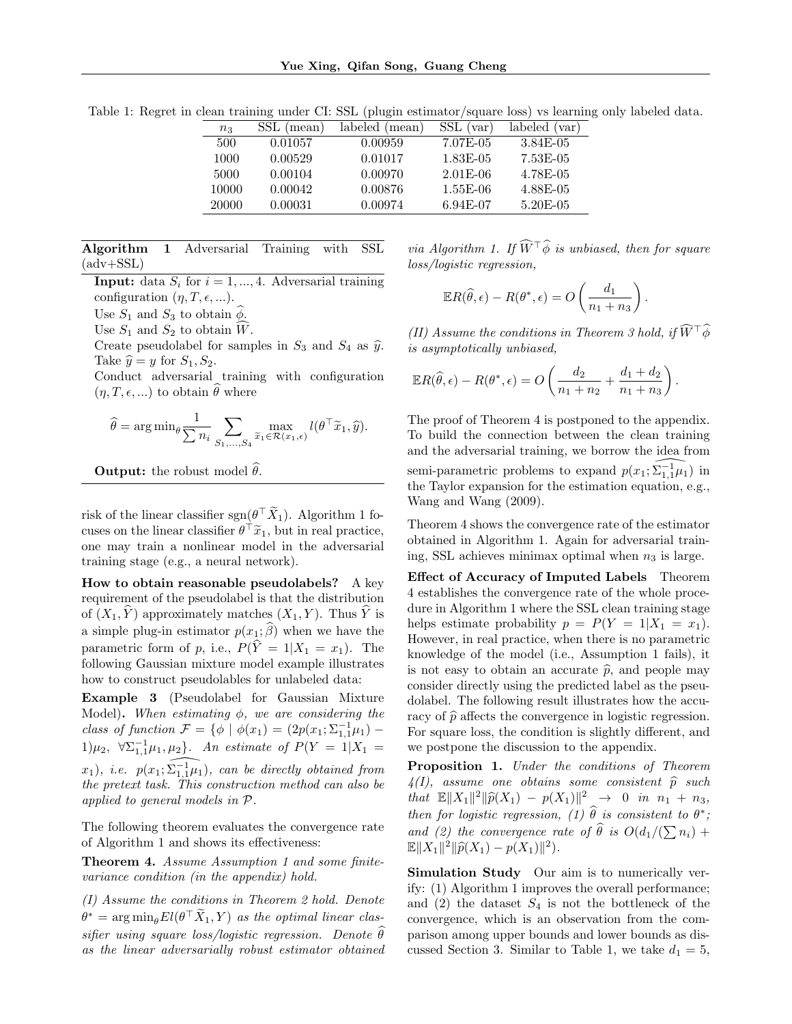| $n_3$ | SSL (mean) | labeled (mean) | SSL (var)  | labeled (var) |
|-------|------------|----------------|------------|---------------|
| 500   | 0.01057    | 0.00959        | 7.07E-05   | 3.84E-05      |
| 1000  | 0.00529    | 0.01017        | 1.83E-05   | 7.53E-05      |
| 5000  | 0.00104    | 0.00970        | $2.01E-06$ | 4.78E-05      |
| 10000 | 0.00042    | 0.00876        | $1.55E-06$ | 4.88E-05      |
| 20000 | 0.00031    | 0.00974        | 6.94E-07   | 5.20E-05      |

Table 1: Regret in clean training under CI: SSL (plugin estimator/square loss) vs learning only labeled data.

Algorithm 1 Adversarial Training with SSL  $(adv+SSL)$ 

**Input:** data  $S_i$  for  $i = 1, ..., 4$ . Adversarial training configuration  $(\eta, T, \epsilon, ...)$ .

Use  $S_1$  and  $S_3$  to obtain  $\hat{\phi}$ .

Use  $S_1$  and  $S_2$  to obtain  $\widehat{W}$ .

Create pseudolabel for samples in  $S_3$  and  $S_4$  as  $\hat{y}$ . Take  $\hat{y} = y$  for  $S_1, S_2$ .

Conduct adversarial training with configuration  $(\eta, T, \epsilon, ...)$  to obtain  $\widehat{\theta}$  where

$$
\widehat{\theta} = \arg\min_{\theta} \frac{1}{\sum n_i} \sum_{S_1,\ldots,S_4} \max_{\tilde{x}_1 \in \mathcal{R}(x_1,\epsilon)} l(\theta^\top \tilde{x}_1, \hat{y}).
$$

**Output:** the robust model  $\hat{\theta}$ .

risk of the linear classifier  $sgn(\theta^{\top}\tilde{X}_1)$ . Algorithm 1 focuses on the linear classifier  $\theta^{\top} \tilde{x}_1$ , but in real practice, one may train a nonlinear model in the adversarial training stage (e.g., a neural network).

How to obtain reasonable pseudolabels? A key requirement of the pseudolabel is that the distribution of  $(X_1, Y)$  approximately matches  $(X_1, Y)$ . Thus Y is a simple plug-in estimator  $p(x_1; \widehat{\beta})$  when we have the parametric form of p, i.e.,  $P(\hat{Y} = 1 | X_1 = x_1)$ . The following Gaussian mixture model example illustrates how to construct pseudolables for unlabeled data:

Example 3 (Pseudolabel for Gaussian Mixture Model). When estimating  $\phi$ , we are considering the class of function  $\mathcal{F} = \{ \phi \mid \phi(x_1) = (2p(x_1; \Sigma_{1,1}^{-1} \mu_1) -$ 1) $\mu_2$ ,  $\forall \sum_{1,1}^{-1} \mu_1, \mu_2$ . An estimate of  $P(Y = 1 | X_1 =$  $(x_1)$ , i.e.  $p(x_1;\widehat{\Sigma_{1,1}^1\mu_1})$ , can be directly obtained from the pretext task. This construction method can also be applied to general models in P.

The following theorem evaluates the convergence rate of Algorithm 1 and shows its effectiveness:

Theorem 4. Assume Assumption 1 and some finitevariance condition (in the appendix) hold.

(I) Assume the conditions in Theorem 2 hold. Denote  $\theta^* = \arg \min_{\theta} El(\theta^\top \widetilde{X}_1, Y)$  as the optimal linear classifier using square loss/logistic regression. Denote  $\widehat{\theta}$ as the linear adversarially robust estimator obtained

via Algorithm 1. If  $\widehat{W}^{\top}\widehat{\phi}$  is unbiased, then for square loss/logistic regression,

$$
\mathbb{E}R(\widehat{\theta}, \epsilon) - R(\theta^*, \epsilon) = O\left(\frac{d_1}{n_1 + n_3}\right)
$$

(II) Assume the conditions in Theorem 3 hold, if  $\widehat{W}^{\top}\widehat{\phi}$ is asymptotically unbiased,

.

.

$$
\mathbb{E}R(\widehat{\theta}, \epsilon) - R(\theta^*, \epsilon) = O\left(\frac{d_2}{n_1 + n_2} + \frac{d_1 + d_2}{n_1 + n_3}\right)
$$

The proof of Theorem 4 is postponed to the appendix. To build the connection between the clean training and the adversarial training, we borrow the idea from semi-parametric problems to expand  $p(x_1; \widehat{\Sigma_{1,1}^{-1}\mu_1})$  in the Taylor expansion for the estimation equation, e.g., Wang and Wang (2009).

Theorem 4 shows the convergence rate of the estimator obtained in Algorithm 1. Again for adversarial training, SSL achieves minimax optimal when  $n_3$  is large.

Effect of Accuracy of Imputed Labels Theorem 4 establishes the convergence rate of the whole procedure in Algorithm 1 where the SSL clean training stage helps estimate probability  $p = P(Y = 1 | X_1 = x_1)$ . However, in real practice, when there is no parametric knowledge of the model (i.e., Assumption 1 fails), it is not easy to obtain an accurate  $\hat{p}$ , and people may consider directly using the predicted label as the pseudolabel. The following result illustrates how the accuracy of  $\hat{p}$  affects the convergence in logistic regression. For square loss, the condition is slightly different, and we postpone the discussion to the appendix.

Proposition 1. Under the conditions of Theorem  $4(I)$ , assume one obtains some consistent  $\hat{p}$  such that  $\mathbb{E} \|X_1\|^2 \|\widehat{p}(X_1) - p(X_1)\|^2 \to 0$  in  $n_1 + n_3$ ,<br>then for lattic proposition (1)  $\widehat{\theta}$  is consistent to  $\theta^*$ . then for logistic regression, (1)  $\widehat{\theta}$  is consistent to  $\theta^*$ ; and (2) the convergence rate of  $\theta$  is  $O(d_1/(\sum n_i) + \mathbb{E}[X] \mathbb{E}[X]) \leq (X \cdot \mathbb{E}[X])^2$  $\mathbb{E} \|X_1\|^2 \|\widehat{p}(X_1) - p(X_1)\|^2.$ 

Simulation Study Our aim is to numerically verify: (1) Algorithm 1 improves the overall performance; and  $(2)$  the dataset  $S_4$  is not the bottleneck of the convergence, which is an observation from the comparison among upper bounds and lower bounds as discussed Section 3. Similar to Table 1, we take  $d_1 = 5$ ,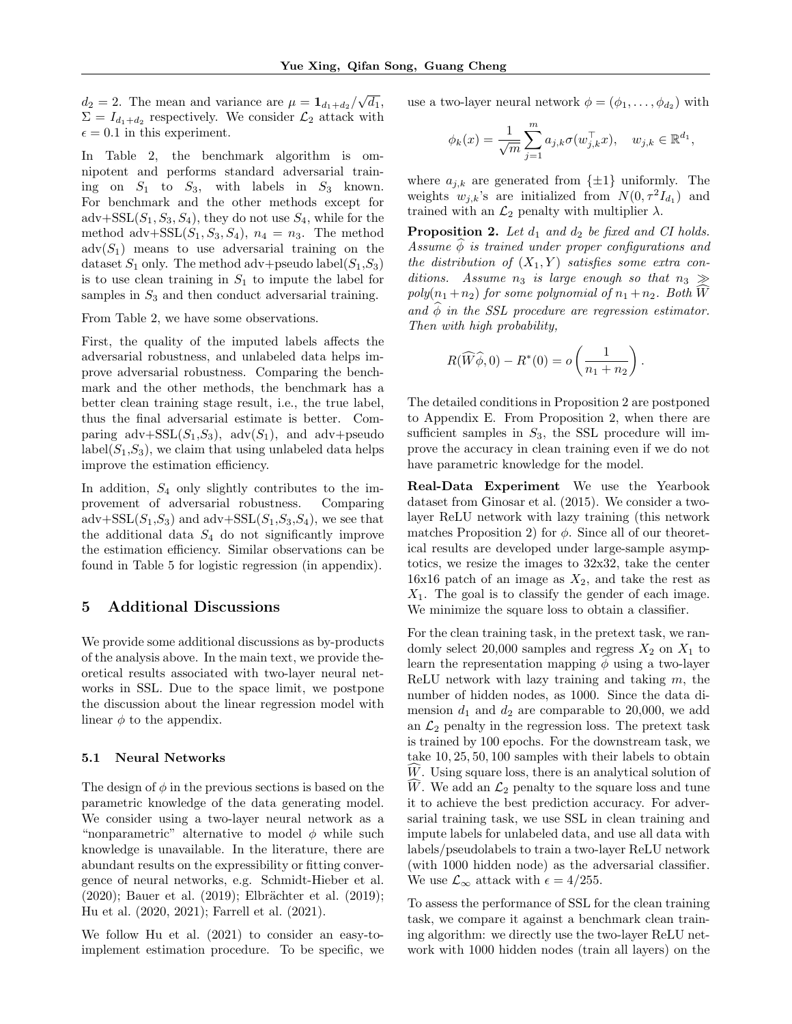$d_2 = 2$ . The mean and variance are  $\mu = \mathbf{1}_{d_1+d_2}/\sqrt{d_1}$ ,  $\Sigma = I_{d_1+d_2}$  respectively. We consider  $\mathcal{L}_2$  attack with  $\epsilon = 0.1$  in this experiment.

In Table 2, the benchmark algorithm is omnipotent and performs standard adversarial training on  $S_1$  to  $S_3$ , with labels in  $S_3$  known. For benchmark and the other methods except for  $\text{adv}+\text{SSL}(S_1, S_3, S_4)$ , they do not use  $S_4$ , while for the method adv+SSL $(S_1, S_3, S_4)$ ,  $n_4 = n_3$ . The method  $\text{adv}(S_1)$  means to use adversarial training on the dataset  $S_1$  only. The method adv+pseudo label $(S_1, S_3)$ is to use clean training in  $S_1$  to impute the label for samples in  $S_3$  and then conduct adversarial training.

From Table 2, we have some observations.

First, the quality of the imputed labels affects the adversarial robustness, and unlabeled data helps improve adversarial robustness. Comparing the benchmark and the other methods, the benchmark has a better clean training stage result, i.e., the true label, thus the final adversarial estimate is better. Comparing  $adv+SSL(S_1, S_3)$ ,  $adv(S_1)$ , and  $adv+pseudo$  $label(S_1, S_3)$ , we claim that using unlabeled data helps improve the estimation efficiency.

In addition,  $S_4$  only slightly contributes to the improvement of adversarial robustness. Comparing adv+SSL $(S_1, S_3)$  and adv+SSL $(S_1, S_3, S_4)$ , we see that the additional data  $S_4$  do not significantly improve the estimation efficiency. Similar observations can be found in Table 5 for logistic regression (in appendix).

### 5 Additional Discussions

We provide some additional discussions as by-products of the analysis above. In the main text, we provide theoretical results associated with two-layer neural networks in SSL. Due to the space limit, we postpone the discussion about the linear regression model with linear  $\phi$  to the appendix.

#### 5.1 Neural Networks

The design of  $\phi$  in the previous sections is based on the parametric knowledge of the data generating model. We consider using a two-layer neural network as a "nonparametric" alternative to model  $\phi$  while such knowledge is unavailable. In the literature, there are abundant results on the expressibility or fitting convergence of neural networks, e.g. Schmidt-Hieber et al.  $(2020)$ ; Bauer et al.  $(2019)$ ; Elbrächter et al.  $(2019)$ ; Hu et al. (2020, 2021); Farrell et al. (2021).

We follow Hu et al. (2021) to consider an easy-toimplement estimation procedure. To be specific, we use a two-layer neural network  $\phi = (\phi_1, \dots, \phi_{d_2})$  with

$$
\phi_k(x)=\frac{1}{\sqrt{m}}\sum_{j=1}^m a_{j,k}\sigma(w_{j,k}^\top x),\quad w_{j,k}\in\mathbb{R}^{d_1},
$$

where  $a_{j,k}$  are generated from  $\{\pm 1\}$  uniformly. The weights  $w_{j,k}$ 's are initialized from  $N(0, \tau^2 I_{d_1})$  and trained with an  $\mathcal{L}_2$  penalty with multiplier  $\lambda$ .

**Proposition 2.** Let  $d_1$  and  $d_2$  be fixed and CI holds. Assume  $\phi$  is trained under proper configurations and the distribution of  $(X_1, Y)$  satisfies some extra conditions. Assume  $n_3$  is large enough so that  $n_3 \gg$ poly $(n_1 + n_2)$  for some polynomial of  $n_1 + n_2$ . Both W and  $\phi$  in the SSL procedure are regression estimator. Then with high probability,

$$
R(\widehat{W}\widehat{\phi},0) - R^*(0) = o\left(\frac{1}{n_1 + n_2}\right).
$$

The detailed conditions in Proposition 2 are postponed to Appendix E. From Proposition 2, when there are sufficient samples in  $S_3$ , the SSL procedure will improve the accuracy in clean training even if we do not have parametric knowledge for the model.

Real-Data Experiment We use the Yearbook dataset from Ginosar et al. (2015). We consider a twolayer ReLU network with lazy training (this network matches Proposition 2) for  $\phi$ . Since all of our theoretical results are developed under large-sample asymptotics, we resize the images to 32x32, take the center  $16x16$  patch of an image as  $X_2$ , and take the rest as  $X_1$ . The goal is to classify the gender of each image. We minimize the square loss to obtain a classifier.

For the clean training task, in the pretext task, we randomly select 20,000 samples and regress  $X_2$  on  $X_1$  to learn the representation mapping  $\phi$  using a two-layer ReLU network with lazy training and taking  $m$ , the number of hidden nodes, as 1000. Since the data dimension  $d_1$  and  $d_2$  are comparable to 20,000, we add an  $\mathcal{L}_2$  penalty in the regression loss. The pretext task is trained by 100 epochs. For the downstream task, we take 10, 25, 50, 100 samples with their labels to obtain  $W$ . Using square loss, there is an analytical solution of W. We add an  $\mathcal{L}_2$  penalty to the square loss and tune it to achieve the best prediction accuracy. For adversarial training task, we use SSL in clean training and impute labels for unlabeled data, and use all data with labels/pseudolabels to train a two-layer ReLU network (with 1000 hidden node) as the adversarial classifier. We use  $\mathcal{L}_{\infty}$  attack with  $\epsilon = 4/255$ .

To assess the performance of SSL for the clean training task, we compare it against a benchmark clean training algorithm: we directly use the two-layer ReLU network with 1000 hidden nodes (train all layers) on the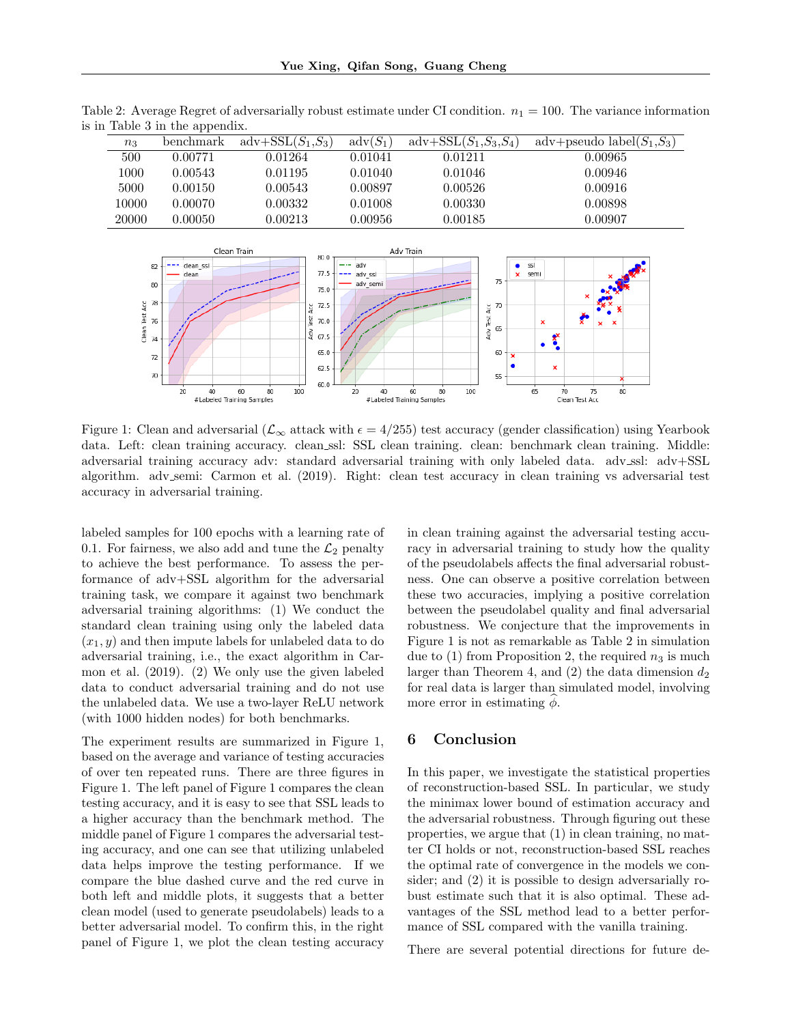|       | . .       |                     |                   |                                        |                               |
|-------|-----------|---------------------|-------------------|----------------------------------------|-------------------------------|
| $n_3$ | benchmark | $adv+SSL(S_1, S_3)$ | $\text{adv}(S_1)$ | $\text{adv}+\text{SSL}(S_1, S_3, S_4)$ | adv+pseudo label $(S_1, S_3)$ |
| 500   | 0.00771   | 0.01264             | 0.01041           | 0.01211                                | 0.00965                       |
| 1000  | 0.00543   | 0.01195             | 0.01040           | 0.01046                                | 0.00946                       |
| 5000  | 0.00150   | 0.00543             | 0.00897           | 0.00526                                | 0.00916                       |
| 10000 | 0.00070   | 0.00332             | 0.01008           | 0.00330                                | 0.00898                       |
| 20000 | 0.00050   | 0.00213             | 0.00956           | 0.00185                                | 0.00907                       |

Table 2: Average Regret of adversarially robust estimate under CI condition.  $n_1 = 100$ . The variance information is in Table 3 in the appendix.



Figure 1: Clean and adversarial ( $\mathcal{L}_{\infty}$  attack with  $\epsilon = 4/255$ ) test accuracy (gender classification) using Yearbook data. Left: clean training accuracy. clean ssl: SSL clean training. clean: benchmark clean training. Middle: adversarial training accuracy adv: standard adversarial training with only labeled data. adv\_ssl: adv+SSL algorithm. adv semi: Carmon et al. (2019). Right: clean test accuracy in clean training vs adversarial test accuracy in adversarial training.

labeled samples for 100 epochs with a learning rate of 0.1. For fairness, we also add and tune the  $\mathcal{L}_2$  penalty to achieve the best performance. To assess the performance of adv+SSL algorithm for the adversarial training task, we compare it against two benchmark adversarial training algorithms: (1) We conduct the standard clean training using only the labeled data  $(x_1, y)$  and then impute labels for unlabeled data to do adversarial training, i.e., the exact algorithm in Carmon et al. (2019). (2) We only use the given labeled data to conduct adversarial training and do not use the unlabeled data. We use a two-layer ReLU network (with 1000 hidden nodes) for both benchmarks.

The experiment results are summarized in Figure 1, based on the average and variance of testing accuracies of over ten repeated runs. There are three figures in Figure 1. The left panel of Figure 1 compares the clean testing accuracy, and it is easy to see that SSL leads to a higher accuracy than the benchmark method. The middle panel of Figure 1 compares the adversarial testing accuracy, and one can see that utilizing unlabeled data helps improve the testing performance. If we compare the blue dashed curve and the red curve in both left and middle plots, it suggests that a better clean model (used to generate pseudolabels) leads to a better adversarial model. To confirm this, in the right panel of Figure 1, we plot the clean testing accuracy

in clean training against the adversarial testing accuracy in adversarial training to study how the quality of the pseudolabels affects the final adversarial robustness. One can observe a positive correlation between these two accuracies, implying a positive correlation between the pseudolabel quality and final adversarial robustness. We conjecture that the improvements in Figure 1 is not as remarkable as Table 2 in simulation due to  $(1)$  from Proposition 2, the required  $n_3$  is much larger than Theorem 4, and  $(2)$  the data dimension  $d_2$ for real data is larger than simulated model, involving more error in estimating  $\phi$ .

# 6 Conclusion

In this paper, we investigate the statistical properties of reconstruction-based SSL. In particular, we study the minimax lower bound of estimation accuracy and the adversarial robustness. Through figuring out these properties, we argue that (1) in clean training, no matter CI holds or not, reconstruction-based SSL reaches the optimal rate of convergence in the models we consider; and (2) it is possible to design adversarially robust estimate such that it is also optimal. These advantages of the SSL method lead to a better performance of SSL compared with the vanilla training.

There are several potential directions for future de-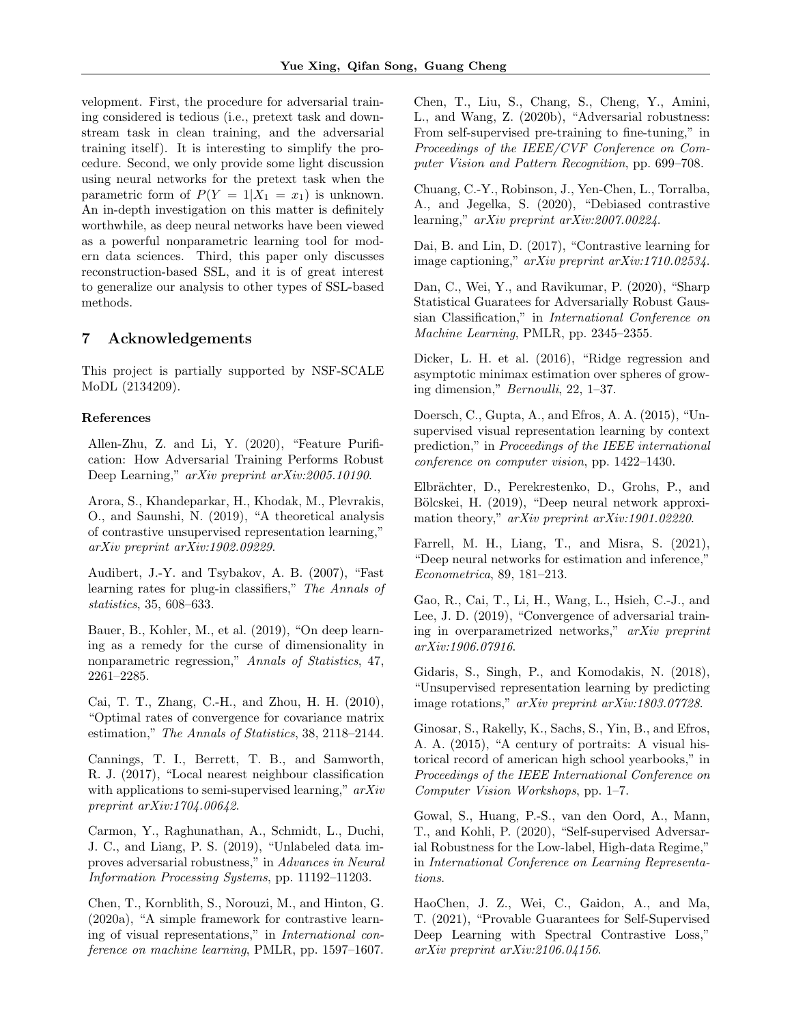velopment. First, the procedure for adversarial training considered is tedious (i.e., pretext task and downstream task in clean training, and the adversarial training itself). It is interesting to simplify the procedure. Second, we only provide some light discussion using neural networks for the pretext task when the parametric form of  $P(Y = 1 | X_1 = x_1)$  is unknown. An in-depth investigation on this matter is definitely worthwhile, as deep neural networks have been viewed as a powerful nonparametric learning tool for modern data sciences. Third, this paper only discusses reconstruction-based SSL, and it is of great interest to generalize our analysis to other types of SSL-based methods.

### 7 Acknowledgements

This project is partially supported by NSF-SCALE MoDL (2134209).

### References

Allen-Zhu, Z. and Li, Y. (2020), "Feature Purification: How Adversarial Training Performs Robust Deep Learning," arXiv preprint arXiv:2005.10190.

Arora, S., Khandeparkar, H., Khodak, M., Plevrakis, O., and Saunshi, N. (2019), "A theoretical analysis of contrastive unsupervised representation learning," arXiv preprint arXiv:1902.09229.

Audibert, J.-Y. and Tsybakov, A. B. (2007), "Fast learning rates for plug-in classifiers," The Annals of statistics, 35, 608–633.

Bauer, B., Kohler, M., et al. (2019), "On deep learning as a remedy for the curse of dimensionality in nonparametric regression," Annals of Statistics, 47, 2261–2285.

Cai, T. T., Zhang, C.-H., and Zhou, H. H. (2010), "Optimal rates of convergence for covariance matrix estimation," The Annals of Statistics, 38, 2118–2144.

Cannings, T. I., Berrett, T. B., and Samworth, R. J. (2017), "Local nearest neighbour classification with applications to semi-supervised learning,"  $arXiv$ preprint arXiv:1704.00642.

Carmon, Y., Raghunathan, A., Schmidt, L., Duchi, J. C., and Liang, P. S. (2019), "Unlabeled data improves adversarial robustness," in Advances in Neural Information Processing Systems, pp. 11192–11203.

Chen, T., Kornblith, S., Norouzi, M., and Hinton, G. (2020a), "A simple framework for contrastive learning of visual representations," in International conference on machine learning, PMLR, pp. 1597–1607.

Chen, T., Liu, S., Chang, S., Cheng, Y., Amini, L., and Wang, Z. (2020b), "Adversarial robustness: From self-supervised pre-training to fine-tuning," in Proceedings of the IEEE/CVF Conference on Computer Vision and Pattern Recognition, pp. 699–708.

Chuang, C.-Y., Robinson, J., Yen-Chen, L., Torralba, A., and Jegelka, S. (2020), "Debiased contrastive learning," arXiv preprint arXiv:2007.00224.

Dai, B. and Lin, D. (2017), "Contrastive learning for image captioning," arXiv preprint arXiv:1710.02534.

Dan, C., Wei, Y., and Ravikumar, P. (2020), "Sharp Statistical Guaratees for Adversarially Robust Gaussian Classification," in International Conference on Machine Learning, PMLR, pp. 2345–2355.

Dicker, L. H. et al. (2016), "Ridge regression and asymptotic minimax estimation over spheres of growing dimension," Bernoulli, 22, 1–37.

Doersch, C., Gupta, A., and Efros, A. A. (2015), "Unsupervised visual representation learning by context prediction," in Proceedings of the IEEE international conference on computer vision, pp. 1422–1430.

Elbrächter, D., Perekrestenko, D., Grohs, P., and Bölcskei, H. (2019), "Deep neural network approximation theory," arXiv preprint arXiv:1901.02220.

Farrell, M. H., Liang, T., and Misra, S. (2021), "Deep neural networks for estimation and inference," Econometrica, 89, 181–213.

Gao, R., Cai, T., Li, H., Wang, L., Hsieh, C.-J., and Lee, J. D. (2019), "Convergence of adversarial training in overparametrized networks," arXiv preprint arXiv:1906.07916.

Gidaris, S., Singh, P., and Komodakis, N. (2018), "Unsupervised representation learning by predicting image rotations," arXiv preprint arXiv:1803.07728.

Ginosar, S., Rakelly, K., Sachs, S., Yin, B., and Efros, A. A. (2015), "A century of portraits: A visual historical record of american high school yearbooks," in Proceedings of the IEEE International Conference on Computer Vision Workshops, pp. 1–7.

Gowal, S., Huang, P.-S., van den Oord, A., Mann, T., and Kohli, P. (2020), "Self-supervised Adversarial Robustness for the Low-label, High-data Regime," in International Conference on Learning Representations.

HaoChen, J. Z., Wei, C., Gaidon, A., and Ma, T. (2021), "Provable Guarantees for Self-Supervised Deep Learning with Spectral Contrastive Loss," arXiv preprint arXiv:2106.04156.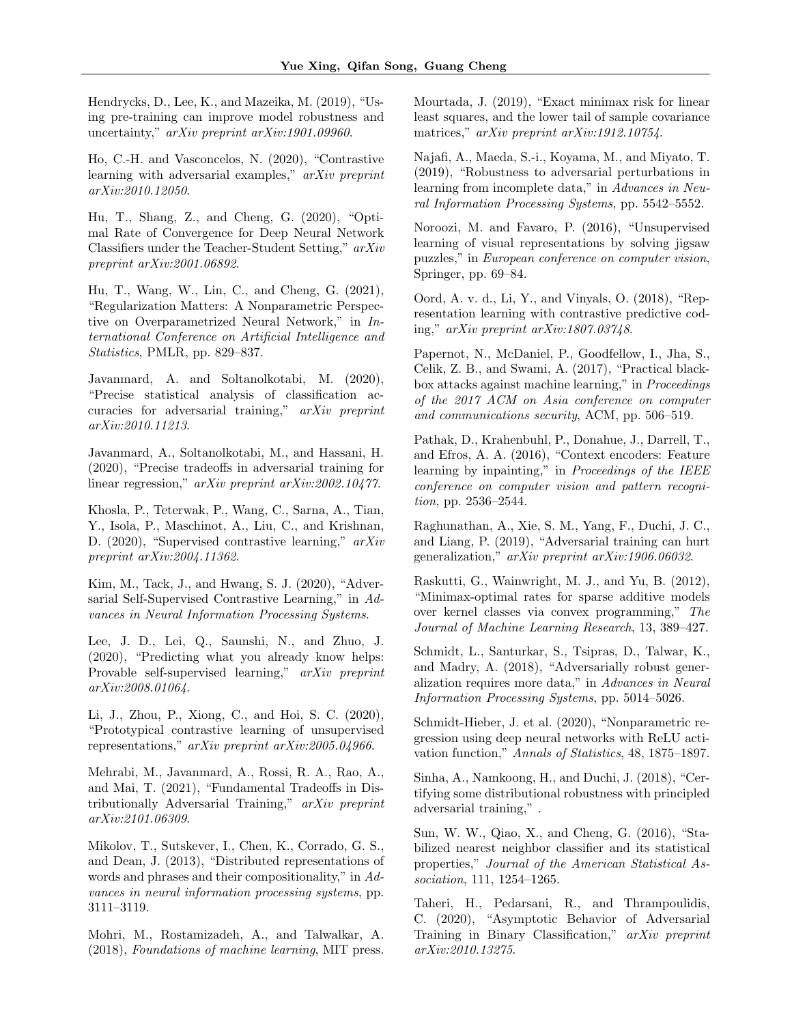Hendrycks, D., Lee, K., and Mazeika, M. (2019), "Using pre-training can improve model robustness and uncertainty," arXiv preprint arXiv:1901.09960.

Ho, C.-H. and Vasconcelos, N. (2020), "Contrastive learning with adversarial examples," arXiv preprint arXiv:2010.12050.

Hu, T., Shang, Z., and Cheng, G. (2020), "Optimal Rate of Convergence for Deep Neural Network Classifiers under the Teacher-Student Setting," arXiv preprint arXiv:2001.06892.

Hu, T., Wang, W., Lin, C., and Cheng, G. (2021), "Regularization Matters: A Nonparametric Perspective on Overparametrized Neural Network," in International Conference on Artificial Intelligence and Statistics, PMLR, pp. 829–837.

Javanmard, A. and Soltanolkotabi, M. (2020), "Precise statistical analysis of classification accuracies for adversarial training," arXiv preprint arXiv:2010.11213.

Javanmard, A., Soltanolkotabi, M., and Hassani, H. (2020), "Precise tradeoffs in adversarial training for linear regression," arXiv preprint arXiv:2002.10477.

Khosla, P., Teterwak, P., Wang, C., Sarna, A., Tian, Y., Isola, P., Maschinot, A., Liu, C., and Krishnan, D. (2020), "Supervised contrastive learning,"  $arXiv$ preprint arXiv:2004.11362.

Kim, M., Tack, J., and Hwang, S. J. (2020), "Adversarial Self-Supervised Contrastive Learning," in Advances in Neural Information Processing Systems.

Lee, J. D., Lei, Q., Saunshi, N., and Zhuo, J. (2020), "Predicting what you already know helps: Provable self-supervised learning," arXiv preprint arXiv:2008.01064.

Li, J., Zhou, P., Xiong, C., and Hoi, S. C. (2020), "Prototypical contrastive learning of unsupervised representations," arXiv preprint arXiv:2005.04966.

Mehrabi, M., Javanmard, A., Rossi, R. A., Rao, A., and Mai, T. (2021), "Fundamental Tradeoffs in Distributionally Adversarial Training," arXiv preprint arXiv:2101.06309.

Mikolov, T., Sutskever, I., Chen, K., Corrado, G. S., and Dean, J. (2013), "Distributed representations of words and phrases and their compositionality," in Advances in neural information processing systems, pp. 3111–3119.

Mohri, M., Rostamizadeh, A., and Talwalkar, A. (2018), Foundations of machine learning, MIT press.

Mourtada, J. (2019), "Exact minimax risk for linear least squares, and the lower tail of sample covariance matrices," arXiv preprint arXiv:1912.10754.

Najafi, A., Maeda, S.-i., Koyama, M., and Miyato, T. (2019), "Robustness to adversarial perturbations in learning from incomplete data," in Advances in Neural Information Processing Systems, pp. 5542–5552.

Noroozi, M. and Favaro, P. (2016), "Unsupervised learning of visual representations by solving jigsaw puzzles," in European conference on computer vision, Springer, pp. 69–84.

Oord, A. v. d., Li, Y., and Vinyals, O. (2018), "Representation learning with contrastive predictive coding," arXiv preprint arXiv:1807.03748.

Papernot, N., McDaniel, P., Goodfellow, I., Jha, S., Celik, Z. B., and Swami, A. (2017), "Practical blackbox attacks against machine learning," in Proceedings of the 2017 ACM on Asia conference on computer and communications security, ACM, pp. 506–519.

Pathak, D., Krahenbuhl, P., Donahue, J., Darrell, T., and Efros, A. A. (2016), "Context encoders: Feature learning by inpainting," in *Proceedings of the IEEE* conference on computer vision and pattern recognition, pp. 2536–2544.

Raghunathan, A., Xie, S. M., Yang, F., Duchi, J. C., and Liang, P. (2019), "Adversarial training can hurt generalization," arXiv preprint arXiv:1906.06032.

Raskutti, G., Wainwright, M. J., and Yu, B. (2012), "Minimax-optimal rates for sparse additive models over kernel classes via convex programming," The Journal of Machine Learning Research, 13, 389–427.

Schmidt, L., Santurkar, S., Tsipras, D., Talwar, K., and Madry, A. (2018), "Adversarially robust generalization requires more data," in Advances in Neural Information Processing Systems, pp. 5014–5026.

Schmidt-Hieber, J. et al. (2020), "Nonparametric regression using deep neural networks with ReLU activation function," Annals of Statistics, 48, 1875–1897.

Sinha, A., Namkoong, H., and Duchi, J. (2018), "Certifying some distributional robustness with principled adversarial training," .

Sun, W. W., Qiao, X., and Cheng, G. (2016), "Stabilized nearest neighbor classifier and its statistical properties," Journal of the American Statistical Association, 111, 1254–1265.

Taheri, H., Pedarsani, R., and Thrampoulidis, C. (2020), "Asymptotic Behavior of Adversarial Training in Binary Classification," arXiv preprint arXiv:2010.13275.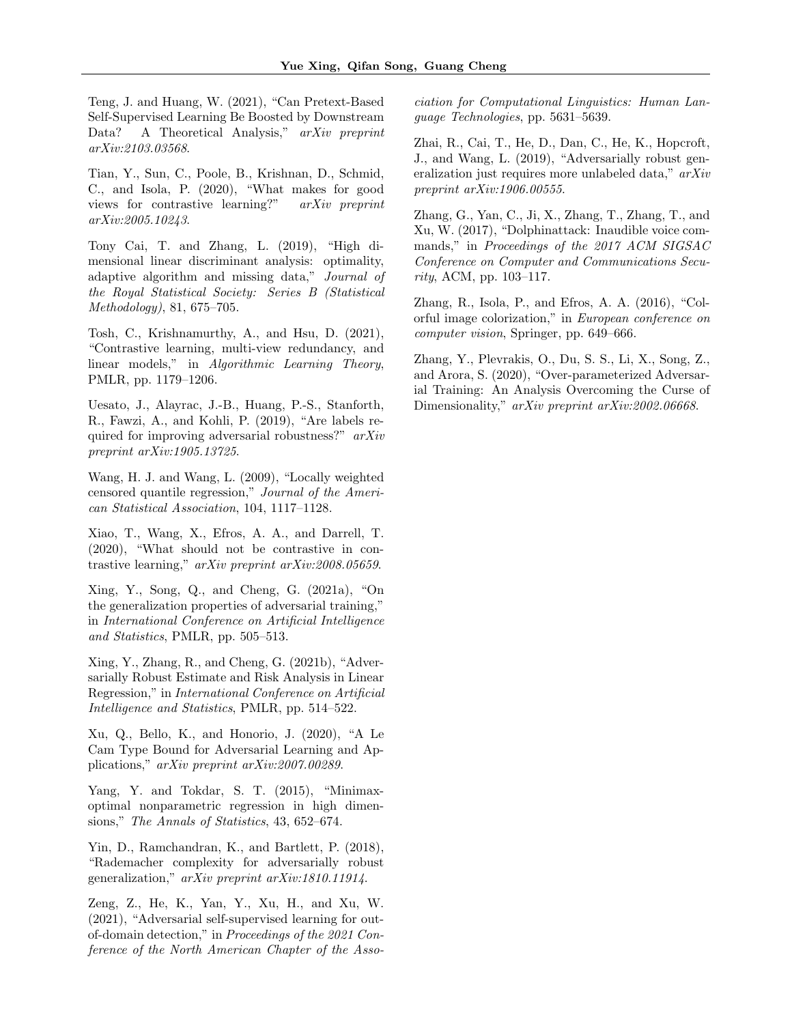Teng, J. and Huang, W. (2021), "Can Pretext-Based Self-Supervised Learning Be Boosted by Downstream Data? A Theoretical Analysis," arXiv preprint arXiv:2103.03568.

Tian, Y., Sun, C., Poole, B., Krishnan, D., Schmid, C., and Isola, P. (2020), "What makes for good views for contrastive learning?" arXiv preprint arXiv:2005.10243.

Tony Cai, T. and Zhang, L. (2019), "High dimensional linear discriminant analysis: optimality, adaptive algorithm and missing data," Journal of the Royal Statistical Society: Series B (Statistical Methodology), 81, 675–705.

Tosh, C., Krishnamurthy, A., and Hsu, D. (2021), "Contrastive learning, multi-view redundancy, and linear models," in Algorithmic Learning Theory, PMLR, pp. 1179–1206.

Uesato, J., Alayrac, J.-B., Huang, P.-S., Stanforth, R., Fawzi, A., and Kohli, P. (2019), "Are labels required for improving adversarial robustness?" arXiv preprint arXiv:1905.13725.

Wang, H. J. and Wang, L. (2009), "Locally weighted censored quantile regression," Journal of the American Statistical Association, 104, 1117–1128.

Xiao, T., Wang, X., Efros, A. A., and Darrell, T. (2020), "What should not be contrastive in contrastive learning," arXiv preprint arXiv:2008.05659.

Xing, Y., Song, Q., and Cheng, G. (2021a), "On the generalization properties of adversarial training," in International Conference on Artificial Intelligence and Statistics, PMLR, pp. 505–513.

Xing, Y., Zhang, R., and Cheng, G. (2021b), "Adversarially Robust Estimate and Risk Analysis in Linear Regression," in International Conference on Artificial Intelligence and Statistics, PMLR, pp. 514–522.

Xu, Q., Bello, K., and Honorio, J. (2020), "A Le Cam Type Bound for Adversarial Learning and Applications," arXiv preprint arXiv:2007.00289.

Yang, Y. and Tokdar, S. T. (2015), "Minimaxoptimal nonparametric regression in high dimensions," The Annals of Statistics, 43, 652–674.

Yin, D., Ramchandran, K., and Bartlett, P. (2018), "Rademacher complexity for adversarially robust generalization," arXiv preprint arXiv:1810.11914.

Zeng, Z., He, K., Yan, Y., Xu, H., and Xu, W. (2021), "Adversarial self-supervised learning for outof-domain detection," in Proceedings of the 2021 Conference of the North American Chapter of the Association for Computational Linguistics: Human Language Technologies, pp. 5631–5639.

Zhai, R., Cai, T., He, D., Dan, C., He, K., Hopcroft, J., and Wang, L. (2019), "Adversarially robust generalization just requires more unlabeled data," arXiv preprint arXiv:1906.00555.

Zhang, G., Yan, C., Ji, X., Zhang, T., Zhang, T., and Xu, W. (2017), "Dolphinattack: Inaudible voice commands," in Proceedings of the 2017 ACM SIGSAC Conference on Computer and Communications Security, ACM, pp. 103–117.

Zhang, R., Isola, P., and Efros, A. A. (2016), "Colorful image colorization," in European conference on computer vision, Springer, pp. 649–666.

Zhang, Y., Plevrakis, O., Du, S. S., Li, X., Song, Z., and Arora, S. (2020), "Over-parameterized Adversarial Training: An Analysis Overcoming the Curse of Dimensionality," arXiv preprint arXiv:2002.06668.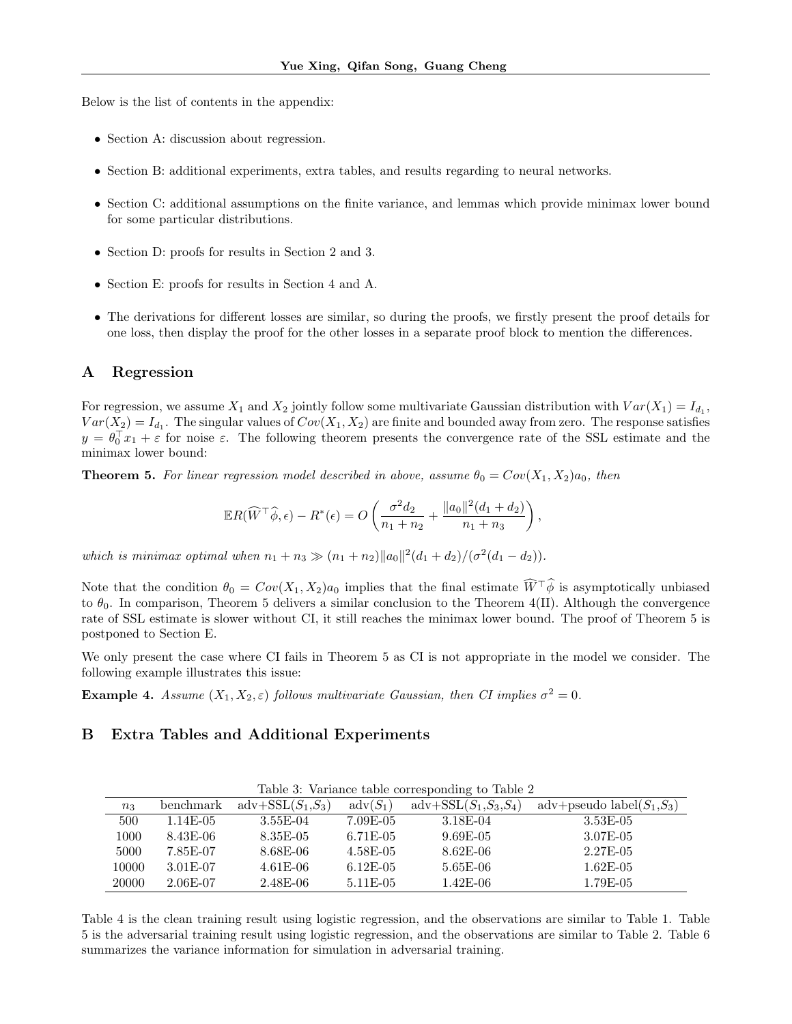Below is the list of contents in the appendix:

- Section A: discussion about regression.
- Section B: additional experiments, extra tables, and results regarding to neural networks.
- Section C: additional assumptions on the finite variance, and lemmas which provide minimax lower bound for some particular distributions.
- Section D: proofs for results in Section 2 and 3.
- Section E: proofs for results in Section 4 and A.
- The derivations for different losses are similar, so during the proofs, we firstly present the proof details for one loss, then display the proof for the other losses in a separate proof block to mention the differences.

### A Regression

For regression, we assume  $X_1$  and  $X_2$  jointly follow some multivariate Gaussian distribution with  $Var(X_1) = I_{d_1}$ ,  $Var(X_2) = I_{d_1}$ . The singular values of  $Cov(X_1, X_2)$  are finite and bounded away from zero. The response satisfies  $y = \theta_0^T x_1 + \varepsilon$  for noise  $\varepsilon$ . The following theorem presents the convergence rate of the SSL estimate and the minimax lower bound:

**Theorem 5.** For linear regression model described in above, assume  $\theta_0 = Cov(X_1, X_2)a_0$ , then

$$
\mathbb{E}R(\widehat{W}^{\top}\widehat{\phi},\epsilon) - R^*(\epsilon) = O\left(\frac{\sigma^2 d_2}{n_1 + n_2} + \frac{\|a_0\|^2 (d_1 + d_2)}{n_1 + n_3}\right),\,
$$

which is minimax optimal when  $n_1 + n_3 \gg (n_1 + n_2) ||a_0||^2 (d_1 + d_2) / (\sigma^2 (d_1 - d_2)).$ 

Note that the condition  $\theta_0 = Cov(X_1, X_2)a_0$  implies that the final estimate  $\widehat{W}^{\top}\widehat{\phi}$  is asymptotically unbiased to  $\theta_0$ . In comparison, Theorem 5 delivers a similar conclusion to the Theorem 4(II). Although the convergence rate of SSL estimate is slower without CI, it still reaches the minimax lower bound. The proof of Theorem 5 is postponed to Section E.

We only present the case where CI fails in Theorem 5 as CI is not appropriate in the model we consider. The following example illustrates this issue:

**Example 4.** Assume  $(X_1, X_2, \varepsilon)$  follows multivariate Gaussian, then CI implies  $\sigma^2 = 0$ .

## B Extra Tables and Additional Experiments

|       |            |                     |                   | Table 3: Variance table corresponding to Table 2 |                               |
|-------|------------|---------------------|-------------------|--------------------------------------------------|-------------------------------|
| $n_3$ | benchmark  | $adv+SSL(S_1, S_3)$ | $\text{adv}(S_1)$ | $\text{adv}+\text{SSL}(S_1, S_3, S_4)$           | adv+pseudo label $(S_1, S_3)$ |
| 500   | 1.14E-05   | $3.55E-04$          | 7.09E-05          | 3.18E-04                                         | $3.53E-05$                    |
| 1000  | 8.43E-06   | 8.35E-05            | 6.71E-05          | $9.69E-05$                                       | $3.07E - 05$                  |
| 5000  | 7.85E-07   | $8.68E-06$          | $4.58E-05$        | $8.62E-06$                                       | $2.27E-05$                    |
| 10000 | 3.01E-07   | $4.61E-06$          | $6.12E-05$        | $5.65E-06$                                       | $1.62E-05$                    |
| 20000 | $2.06E-07$ | $2.48E-06$          | $5.11E-05$        | $1.42E-06$                                       | 1.79E-05                      |

Table 4 is the clean training result using logistic regression, and the observations are similar to Table 1. Table 5 is the adversarial training result using logistic regression, and the observations are similar to Table 2. Table 6 summarizes the variance information for simulation in adversarial training.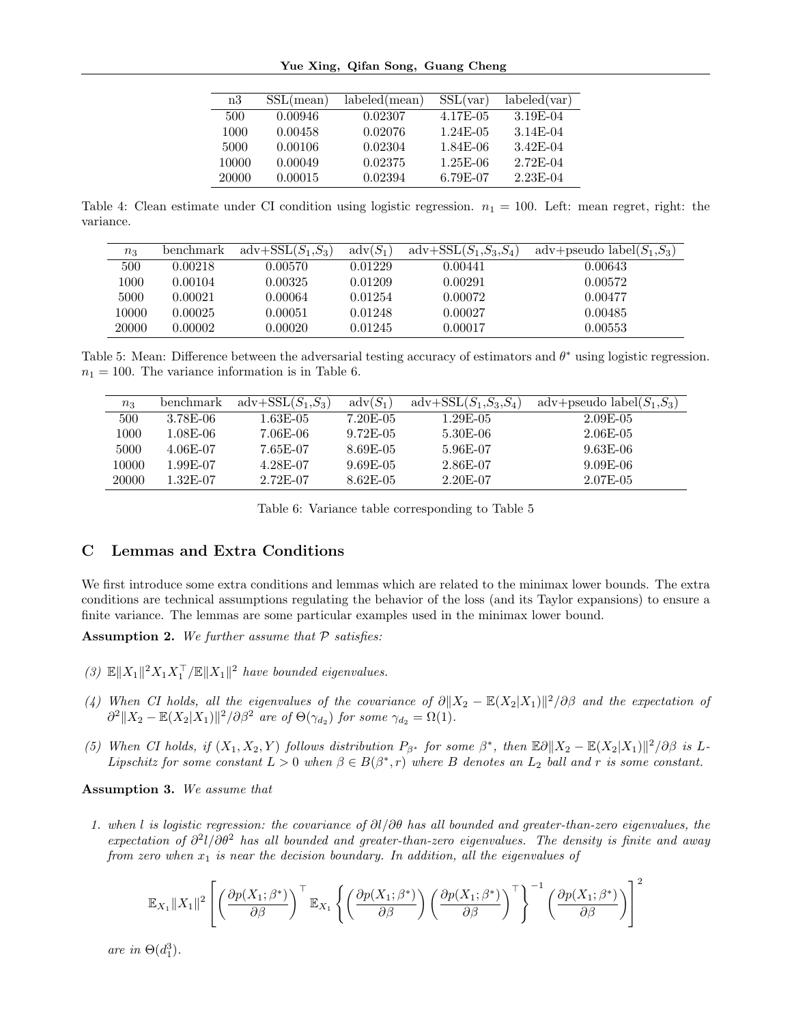Yue Xing, Qifan Song, Guang Cheng

| labeled(var)<br>labeled(mean)<br>SSL(var) |
|-------------------------------------------|
| 4.17E-05<br>3.19E-04                      |
| $1.24E-0.5$<br>3.14E-04                   |
| 1.84E-06<br>3.42E-04                      |
| 2.72E-04<br>$1.25E-06$                    |
| 6.79E-07<br>2.23E-04                      |
|                                           |

Table 4: Clean estimate under CI condition using logistic regression.  $n_1 = 100$ . Left: mean regret, right: the variance.

| $n_3$    | benchmark | $adv+SSL(S_1, S_3)$ | $\text{adv}(S_1)$ | $\text{adv}+\text{SSL}(S_1, S_3, S_4)$ | adv+pseudo label $(S_1, S_3)$ |
|----------|-----------|---------------------|-------------------|----------------------------------------|-------------------------------|
| 500      | 0.00218   | 0.00570-            | 0.01229           | 0.00441                                | 0.00643                       |
| $1000\,$ | 0.00104   | 0.00325             | 0.01209           | 0.00291                                | 0.00572                       |
| 5000     | 0.00021   | 0.00064             | 0.01254           | 0.00072                                | 0.00477                       |
| 10000    | 0.00025   | $\,0.00051\,$       | 0.01248           | 0.00027                                | 0.00485                       |
| 20000    | 0.00002   | 0.00020             | 0.01245           | 0.00017                                | 0.00553                       |

Table 5: Mean: Difference between the adversarial testing accuracy of estimators and  $\theta^*$  using logistic regression.  $n_1 = 100$ . The variance information is in Table 6.

| $n_3$ | benchmark  | $adv+SSL(S_1, S_3)$ | $\text{adv}(S_1)$ | $\text{adv}+\text{SSL}(S_1, S_3, S_4)$ | adv+pseudo label $(S_1, S_3)$ |
|-------|------------|---------------------|-------------------|----------------------------------------|-------------------------------|
| 500   | 3.78E-06   | 1.63E-05            | $7.20E-05$        | 1.29E-05                               | $2.09E-05$                    |
| 1000  | $1.08E-06$ | 7.06E-06            | $9.72E-0.5$       | 5.30E-06                               | $2.06E-05$                    |
| 5000  | 4.06E-07   | 7.65E-07            | 8.69E-05          | 5.96E-07                               | $9.63E-06$                    |
| 10000 | $1.99E-07$ | 4.28E-07            | $9.69E-05$        | 2.86E-07                               | $9.09E-06$                    |
| 20000 | $1.32E-07$ | $2.72E-07$          | $8.62E-0.5$       | 2.20E-07                               | $2.07E - 0.5$                 |

Table 6: Variance table corresponding to Table 5

# C Lemmas and Extra Conditions

We first introduce some extra conditions and lemmas which are related to the minimax lower bounds. The extra conditions are technical assumptions regulating the behavior of the loss (and its Taylor expansions) to ensure a finite variance. The lemmas are some particular examples used in the minimax lower bound.

Assumption 2. We further assume that  $P$  satisfies:

- (3)  $\mathbb{E} \|X_1\|^2 X_1 X_1^{\top} / \mathbb{E} \|X_1\|^2$  have bounded eigenvalues.
- (4) When CI holds, all the eigenvalues of the covariance of  $\partial \|X_2 \mathbb{E}(X_2|X_1)\|^2/\partial \beta$  and the expectation of  $\partial^2 \|X_2 - \mathbb{E}(X_2|X_1)\|^2 / \partial \beta^2$  are of  $\Theta(\gamma_{d_2})$  for some  $\gamma_{d_2} = \Omega(1)$ .
- (5) When CI holds, if  $(X_1, X_2, Y)$  follows distribution  $P_{\beta^*}$  for some  $\beta^*$ , then  $\mathbb{E}\partial \|X_2 \mathbb{E}(X_2|X_1)\|^2/\partial \beta$  is L-Lipschitz for some constant  $L > 0$  when  $\beta \in B(\beta^*, r)$  where B denotes an  $L_2$  ball and r is some constant.

Assumption 3. We assume that

1. when l is logistic regression: the covariance of  $\partial l/\partial \theta$  has all bounded and greater-than-zero eigenvalues, the expectation of  $\partial^2 l/\partial \theta^2$  has all bounded and greater-than-zero eigenvalues. The density is finite and away from zero when  $x_1$  is near the decision boundary. In addition, all the eigenvalues of

$$
\mathbb{E}_{X_1} ||X_1||^2 \left[ \left( \frac{\partial p(X_1;\beta^*)}{\partial \beta} \right)^\top \mathbb{E}_{X_1} \left\{ \left( \frac{\partial p(X_1;\beta^*)}{\partial \beta} \right) \left( \frac{\partial p(X_1;\beta^*)}{\partial \beta} \right)^\top \right\}^{-1} \left( \frac{\partial p(X_1;\beta^*)}{\partial \beta} \right) \right]^2
$$

are in  $\Theta(d_1^3)$ .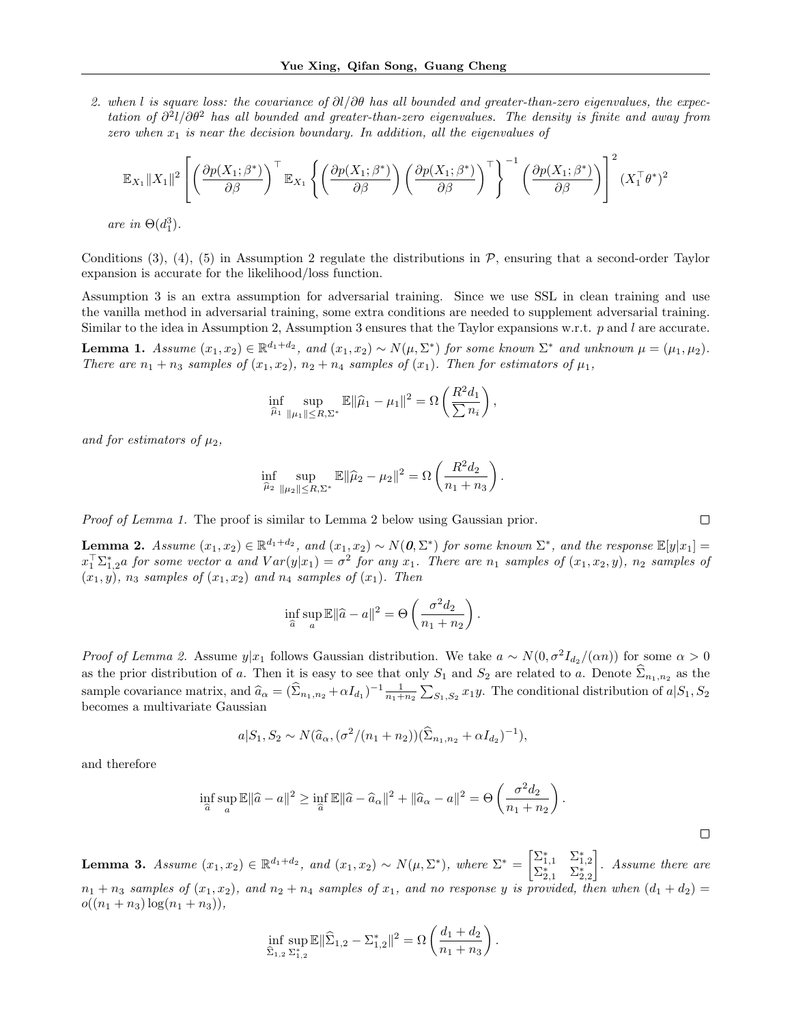2. when l is square loss: the covariance of  $\partial l/\partial \theta$  has all bounded and greater-than-zero eigenvalues, the expectation of  $\partial^2 l/\partial\theta^2$  has all bounded and greater-than-zero eigenvalues. The density is finite and away from zero when  $x_1$  is near the decision boundary. In addition, all the eigenvalues of

$$
\mathbb{E}_{X_1} ||X_1||^2 \left[ \left( \frac{\partial p(X_1; \beta^*)}{\partial \beta} \right)^{\top} \mathbb{E}_{X_1} \left\{ \left( \frac{\partial p(X_1; \beta^*)}{\partial \beta} \right) \left( \frac{\partial p(X_1; \beta^*)}{\partial \beta} \right)^{\top} \right\}^{-1} \left( \frac{\partial p(X_1; \beta^*)}{\partial \beta} \right) \right]^2 (X_1^{\top} \theta^*)^2
$$

are in  $\Theta(d_1^3)$ .

Conditions (3), (4), (5) in Assumption 2 regulate the distributions in  $\mathcal{P}$ , ensuring that a second-order Taylor expansion is accurate for the likelihood/loss function.

Assumption 3 is an extra assumption for adversarial training. Since we use SSL in clean training and use the vanilla method in adversarial training, some extra conditions are needed to supplement adversarial training. Similar to the idea in Assumption 2, Assumption 3 ensures that the Taylor expansions w.r.t.  $p$  and  $l$  are accurate.

**Lemma 1.** Assume  $(x_1, x_2) \in \mathbb{R}^{d_1+d_2}$ , and  $(x_1, x_2) \sim N(\mu, \Sigma^*)$  for some known  $\Sigma^*$  and unknown  $\mu = (\mu_1, \mu_2)$ . There are  $n_1 + n_3$  samples of  $(x_1, x_2)$ ,  $n_2 + n_4$  samples of  $(x_1)$ . Then for estimators of  $\mu_1$ ,

$$
\inf_{\widehat{\mu}_1} \sup_{\|\mu_1\| \le R, \Sigma^*} \mathbb{E} \|\widehat{\mu}_1 - \mu_1\|^2 = \Omega \left(\frac{R^2 d_1}{\sum n_i}\right),
$$

and for estimators of  $\mu_2$ ,

$$
\inf_{\hat{\mu}_2} \sup_{\|\mu_2\| \le R, \Sigma^*} \mathbb{E} \|\hat{\mu}_2 - \mu_2\|^2 = \Omega \left( \frac{R^2 d_2}{n_1 + n_3} \right)
$$

.

Proof of Lemma 1. The proof is similar to Lemma 2 below using Gaussian prior.

**Lemma 2.** Assume  $(x_1, x_2) \in \mathbb{R}^{d_1+d_2}$ , and  $(x_1, x_2) \sim N(\mathbf{0}, \Sigma^*)$  for some known  $\Sigma^*$ , and the response  $\mathbb{E}[y|x_1]=$  $x_1^T\Sigma_{1,2}^*a$  for some vector a and  $Var(y|x_1) = \sigma^2$  for any  $x_1$ . There are  $n_1$  samples of  $(x_1, x_2, y)$ ,  $n_2$  samples of  $(x_1, y)$ ,  $n_3$  samples of  $(x_1, x_2)$  and  $n_4$  samples of  $(x_1)$ . Then

$$
\inf_{\widehat{a}} \sup_{a} \mathbb{E} \|\widehat{a} - a\|^2 = \Theta \left(\frac{\sigma^2 d_2}{n_1 + n_2}\right).
$$

*Proof of Lemma 2.* Assume  $y|x_1$  follows Gaussian distribution. We take  $a \sim N(0, \sigma^2 I_{d_2}/(\alpha n))$  for some  $\alpha > 0$ as the prior distribution of a. Then it is easy to see that only  $S_1$  and  $S_2$  are related to a. Denote  $\Sigma_{n_1,n_2}$  as the sample covariance matrix, and  $\hat{a}_{\alpha} = (\hat{\Sigma}_{n_1,n_2} + \alpha I_{d_1})^{-1} \frac{1}{n_1+n_2} \sum_{S_1,S_2} x_1 y$ . The conditional distribution of  $a|S_1, S_2$ becomes a multivariate Gaussian

$$
a|S_1, S_2 \sim N(\hat{a}_{\alpha}, (\sigma^2/(n_1+n_2))(\hat{\Sigma}_{n_1,n_2} + \alpha I_{d_2})^{-1}),
$$

and therefore

$$
\inf_{\widehat{a}} \sup_a \mathbb{E} \|\widehat{a} - a\|^2 \ge \inf_{\widehat{a}} \mathbb{E} \|\widehat{a} - \widehat{a}_\alpha\|^2 + \|\widehat{a}_\alpha - a\|^2 = \Theta \left(\frac{\sigma^2 d_2}{n_1 + n_2}\right).
$$

Lemma 3. Assume  $(x_1, x_2) \in \mathbb{R}^{d_1 + d_2}$ , and  $(x_1, x_2) \sim N(\mu, \Sigma^*)$ , where  $\Sigma^* = \begin{bmatrix} \Sigma_{1,1}^* & \Sigma_{1,2}^* \\ \Sigma_{2,1}^* & \Sigma_{2,2}^* \end{bmatrix}$  . Assume there are  $n_1 + n_3$  samples of  $(x_1, x_2)$ , and  $n_2 + n_4$  samples of  $x_1$ , and no response y is provided, then when  $(d_1 + d_2)$  $o((n_1+n_3)\log(n_1+n_3)),$ 

$$
\inf_{\widehat{\Sigma}_{1,2} \Sigma_{1,2}^*} \mathbb{E} \|\widehat{\Sigma}_{1,2} - \Sigma_{1,2}^* \|^2 = \Omega \left( \frac{d_1 + d_2}{n_1 + n_3} \right).
$$

 $\Box$ 

 $\Box$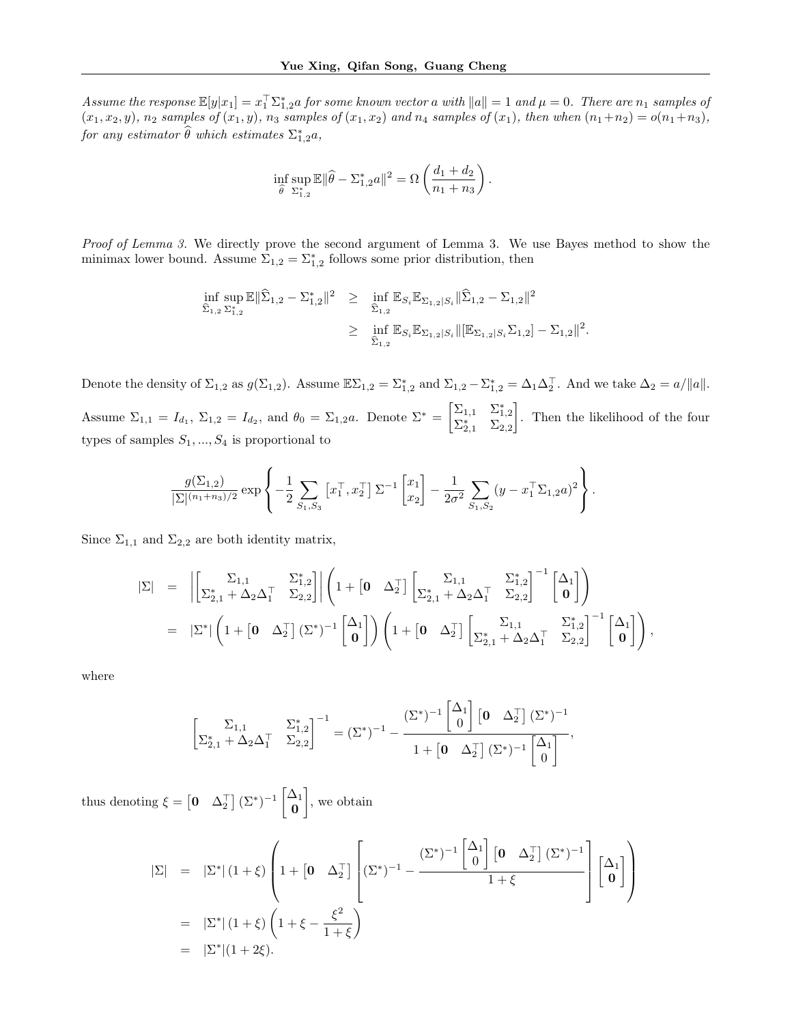Assume the response  $\mathbb{E}[y|x_1]=x_1^\top \Sigma_{1,2}^*a$  for some known vector a with  $||a||=1$  and  $\mu=0$ . There are  $n_1$  samples of  $(x_1, x_2, y)$ ,  $n_2$  samples of  $(x_1, y)$ ,  $n_3$  samples of  $(x_1, x_2)$  and  $n_4$  samples of  $(x_1)$ , then when  $(n_1+n_2) = o(n_1+n_3)$ , for any estimator  $\widehat{\theta}$  which estimates  $\Sigma^*_{1,2}a$ ,

$$
\inf_{\widehat{\theta}} \sup_{\Sigma_{1,2}^*} \mathbb{E} \|\widehat{\theta} - \Sigma_{1,2}^* a\|^2 = \Omega \left( \frac{d_1 + d_2}{n_1 + n_3} \right).
$$

Proof of Lemma 3. We directly prove the second argument of Lemma 3. We use Bayes method to show the minimax lower bound. Assume  $\Sigma_{1,2} = \Sigma_{1,2}^*$  follows some prior distribution, then

$$
\begin{array}{lll} \inf_{\widehat{\Sigma}_{1,2}} \sup_{\Sigma_{1,2}^*} \mathbb{E} \|\widehat{\Sigma}_{1,2} - \Sigma_{1,2}^*\|^2 & \geq & \inf_{\widehat{\Sigma}_{1,2}} \mathbb{E}_{S_i} \mathbb{E}_{\Sigma_{1,2}|S_i} \|\widehat{\Sigma}_{1,2} - \Sigma_{1,2}\|^2\\ & \geq & \inf_{\widehat{\Sigma}_{1,2}} \mathbb{E}_{S_i} \mathbb{E}_{\Sigma_{1,2}|S_i} \|\left[\mathbb{E}_{\Sigma_{1,2}|S_i} \Sigma_{1,2}\right] - \Sigma_{1,2}\|^2. \end{array}
$$

Denote the density of  $\Sigma_{1,2}$  as  $g(\Sigma_{1,2})$ . Assume  $\mathbb{E}\Sigma_{1,2} = \Sigma_{1,2}^*$  and  $\Sigma_{1,2} - \Sigma_{1,2}^* = \Delta_1 \Delta_2^\top$ . And we take  $\Delta_2 = a/||a||$ . Assume  $\Sigma_{1,1} = I_{d_1}$ ,  $\Sigma_{1,2} = I_{d_2}$ , and  $\theta_0 = \Sigma_{1,2} a$ . Denote  $\Sigma^* = \begin{bmatrix} \Sigma_{1,1} & \Sigma_{1,2}^* \\ \Sigma_{2,1}^* & \Sigma_{2,2} \end{bmatrix}$  . Then the likelihood of the four types of samples  $S_1, ..., S_4$  is proportional to

$$
\frac{g(\Sigma_{1,2})}{|\Sigma|^{(n_1+n_3)/2}} \exp \left\{-\frac{1}{2} \sum_{S_1,S_3} \left[x_1^\top, x_2^\top\right] \Sigma^{-1} \left[x_2\right] - \frac{1}{2\sigma^2} \sum_{S_1,S_2} (y - x_1^\top \Sigma_{1,2} a)^2\right\}.
$$

Since  $\Sigma_{1,1}$  and  $\Sigma_{2,2}$  are both identity matrix,

$$
\begin{array}{lcl} |\Sigma| &=& \left|\begin{bmatrix} \Sigma_{1,1} & \Sigma_{1,2}^* \\ \Sigma_{2,1}^* + \Delta_2\Delta_1^\top & \Sigma_{2,2} \end{bmatrix}\right|\left(1 + \begin{bmatrix} \mathbf{0} & \Delta_2^\top \end{bmatrix} \begin{bmatrix} \Sigma_{1,1} & \Sigma_{1,2}^* \\ \Sigma_{2,1}^* + \Delta_2\Delta_1^\top & \Sigma_{2,2} \end{bmatrix}^{-1} \begin{bmatrix} \Delta_1 \\ \mathbf{0} \end{bmatrix}\right) \\ &=& |\Sigma^*| \left(1 + \begin{bmatrix} \mathbf{0} & \Delta_2^\top \end{bmatrix} (\Sigma^*)^{-1} \begin{bmatrix} \Delta_1 \\ \mathbf{0} \end{bmatrix}\right) \left(1 + \begin{bmatrix} \mathbf{0} & \Delta_2^\top \end{bmatrix} \begin{bmatrix} \Sigma_{1,1} & \Sigma_{1,2}^* \\ \Sigma_{2,1}^* + \Delta_2\Delta_1^\top & \Sigma_{2,2} \end{bmatrix}^{-1} \begin{bmatrix} \Delta_1 \\ \mathbf{0} \end{bmatrix}\right), \end{array}
$$

where

$$
\left[\begin{matrix} \Sigma_{1,1} & \Sigma_{1,2}^* \\ \Sigma_{2,1}^* + \Delta_2 \Delta_1^\top & \Sigma_{2,2} \end{matrix}\right]^{-1} = (\Sigma^*)^{-1} - \frac{(\Sigma^*)^{-1} \begin{bmatrix} \Delta_1 \\ 0 \end{bmatrix} \begin{bmatrix} 0 & \Delta_2^\top \end{bmatrix} (\Sigma^*)^{-1}}{1 + \begin{bmatrix} 0 & \Delta_2^\top \end{bmatrix} (\Sigma^*)^{-1} \begin{bmatrix} \Delta_1 \\ 0 \end{bmatrix}},
$$

thus denoting  $\xi = \begin{bmatrix} 0 & \Delta_2^{\top} \end{bmatrix} (\Sigma^*)^{-1} \begin{bmatrix} \Delta_1 \\ \Omega \end{bmatrix}$ 0 , we obtain

$$
\begin{array}{lll} |\Sigma|&=&\left|\Sigma^*\right|(1+\xi)\left(1+\left[0\quad\Delta_2^{\top}\right]\left[(\Sigma^*)^{-1}-\frac{(\Sigma^*)^{-1}\left[\begin{matrix}\Delta_1\\0\end{matrix}\right]\left[0\quad\Delta_2^{\top}\right](\Sigma^*)^{-1}}{1+\xi}\right]\left[\begin{matrix}\Delta_1\\0\end{matrix}\right]\right)\\ &=&\left|\Sigma^*\right|(1+\xi)\left(1+\xi-\frac{\xi^2}{1+\xi}\right)\\ &=&\left|\Sigma^*\right|(1+2\xi).\end{array}
$$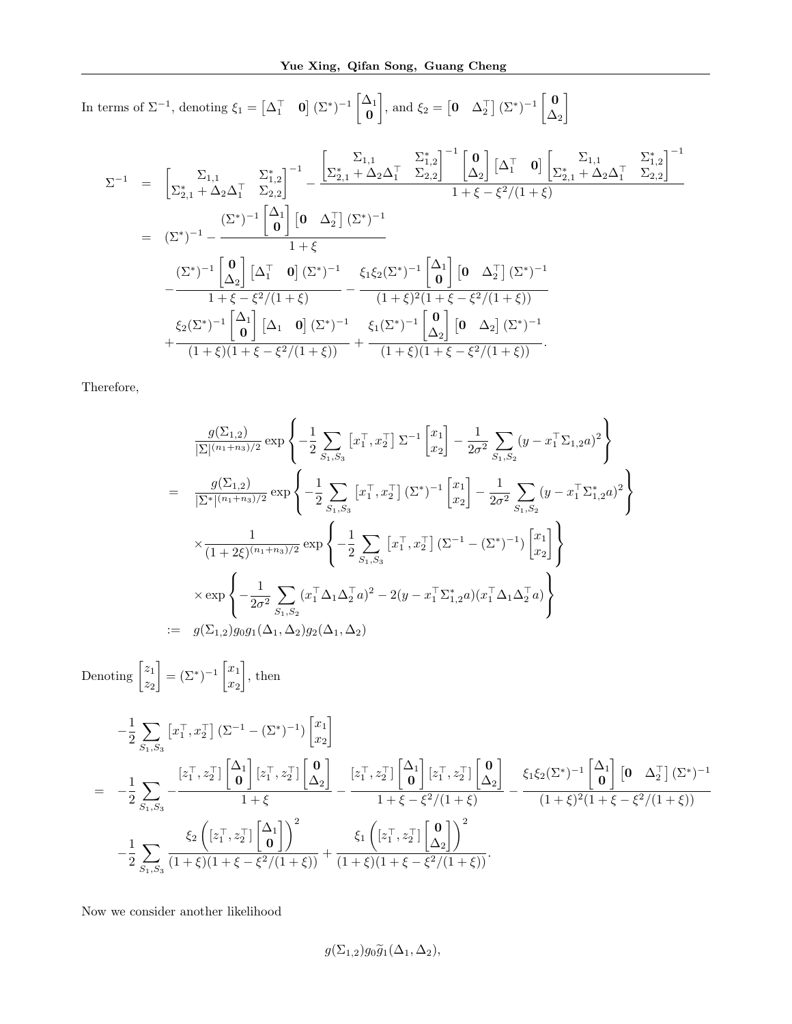In terms of  $\Sigma^{-1}$ , denoting  $\xi_1 = \begin{bmatrix} \Delta_1^{\top} & 0 \end{bmatrix} (\Sigma^*)^{-1} \begin{bmatrix} \Delta_1 \\ \Omega \end{bmatrix}$ 0  $\left[ \begin{matrix} 0 & \Delta_2^{\top} \end{matrix} \right]$  ( $\Sigma^*$ )<sup>-1</sup>  $\left[ \begin{matrix} 0 \\ \Delta_1 \end{matrix} \right]$  $\Delta_2$ 1

$$
\Sigma^{-1} = \begin{bmatrix} \Sigma_{1,1} & \Sigma_{1,2}^{*} \\ \Sigma_{2,1}^{*} + \Delta_{2}\Delta_{1}^{\top} & \Sigma_{2,2}^{*} \end{bmatrix}^{-1} - \frac{\begin{bmatrix} \Sigma_{1,1} & \Sigma_{1,2}^{*} \\ \Sigma_{2,1}^{*} + \Delta_{2}\Delta_{1}^{\top} & \Sigma_{2,2} \end{bmatrix}^{-1} \begin{bmatrix} 0 \\ \Delta_{2} \end{bmatrix} \begin{bmatrix} \Delta_{1}^{\top} & 0 \end{bmatrix} \begin{bmatrix} \Sigma_{2,1}^{*} + \Delta_{2}\Delta_{1}^{\top} & \Sigma_{2,2}^{*} \end{bmatrix}^{-1}}{1 + \xi - \xi^{2}/(1 + \xi)}
$$
\n
$$
= (\Sigma^{*})^{-1} - \frac{(\Sigma^{*})^{-1} \begin{bmatrix} \Delta_{1} \\ 0 \end{bmatrix} \begin{bmatrix} 0 \\ \Delta_{2} \end{bmatrix} \begin{bmatrix} \Sigma^{*} \end{bmatrix}^{-1}}{1 + \xi}
$$
\n
$$
- \frac{(\Sigma^{*})^{-1} \begin{bmatrix} 0 \\ \Delta_{2} \end{bmatrix} \begin{bmatrix} \Delta_{1}^{\top} & 0 \end{bmatrix} \begin{bmatrix} \Sigma^{*} \end{bmatrix}^{-1}}{1 + \xi - \xi^{2}/(1 + \xi)}
$$
\n
$$
- \frac{(\Sigma^{*})^{-1} \begin{bmatrix} 0 \\ \Delta_{2} \end{bmatrix} \begin{bmatrix} \Delta_{1}^{\top} & 0 \end{bmatrix} \begin{bmatrix} \Sigma^{*} \end{bmatrix}^{-1}}{1 + \xi - \xi^{2}/(1 + \xi)} - \frac{\xi_{1}\xi_{2}(\Sigma^{*})^{-1} \begin{bmatrix} \Delta_{1} \\ 0 \end{bmatrix} \begin{bmatrix} 0 \\ \Delta_{2} \end{bmatrix} \begin{bmatrix} \Sigma^{*} \end{bmatrix}^{-1}}{1 + \xi - \xi^{2}/(1 + \xi)} + \frac{\xi_{1}(\Sigma^{*})^{-1} \begin{bmatrix} \Delta_{1} \\ \Delta_{2} \end{bmatrix} \begin{bmatrix} 0 \\ \Delta_{2} \end{bmatrix} \begin{bmatrix} \Sigma^{*} \end{bmatrix}^{-1}}{1 + \xi - \xi^{2}/(1 + \xi)}
$$

Therefore,

$$
\frac{g(\Sigma_{1,2})}{|\Sigma|^{(n_1+n_3)/2}} \exp \left\{ -\frac{1}{2} \sum_{S_1,S_3} \left[ x_1^\top, x_2^\top \right] \Sigma^{-1} \left[ x_1 \right] - \frac{1}{2\sigma^2} \sum_{S_1,S_2} (y - x_1^\top \Sigma_{1,2} a)^2 \right\}
$$
\n
$$
= \frac{g(\Sigma_{1,2})}{|\Sigma^*|^{(n_1+n_3)/2}} \exp \left\{ -\frac{1}{2} \sum_{S_1,S_3} \left[ x_1^\top, x_2^\top \right] (\Sigma^*)^{-1} \left[ x_1 \right] - \frac{1}{2\sigma^2} \sum_{S_1,S_2} (y - x_1^\top \Sigma_{1,2}^* a)^2 \right\}
$$
\n
$$
\times \frac{1}{(1+2\xi)^{(n_1+n_3)/2}} \exp \left\{ -\frac{1}{2} \sum_{S_1,S_3} \left[ x_1^\top, x_2^\top \right] (\Sigma^{-1} - (\Sigma^*)^{-1}) \left[ x_1 \atop x_2 \right] \right\}
$$
\n
$$
\times \exp \left\{ -\frac{1}{2\sigma^2} \sum_{S_1,S_2} (x_1^\top \Delta_1 \Delta_2^\top a)^2 - 2(y - x_1^\top \Sigma_{1,2}^* a)(x_1^\top \Delta_1 \Delta_2^\top a) \right\}
$$
\n
$$
:= g(\Sigma_{1,2}) g_0 g_1(\Delta_1, \Delta_2) g_2(\Delta_1, \Delta_2)
$$

Denoting  $\begin{bmatrix} z_1 \\ z_2 \end{bmatrix}$  $z_2$  $=\left(\Sigma^{*}\right)^{-1}\left[\begin{matrix}x_{1}\\ x_{2}\end{matrix}\right]$  $\overline{x_2}$  $\big]$ , then

$$
-\frac{1}{2} \sum_{S_1, S_3} \left[ x_1^\top, x_2^\top \right] \left( \Sigma^{-1} - (\Sigma^*)^{-1} \right) \begin{bmatrix} x_1 \\ x_2 \end{bmatrix}
$$
  
= 
$$
-\frac{1}{2} \sum_{S_1, S_3} -\frac{\left[ z_1^\top, z_2^\top \right] \begin{bmatrix} \Delta_1 \\ 0 \end{bmatrix} \left[ z_1^\top, z_2^\top \right] \begin{bmatrix} \Delta_2 \\ \Delta_2 \end{bmatrix}}{1 + \xi} - \frac{\left[ z_1^\top, z_2^\top \right] \begin{bmatrix} \Delta_1 \\ 0 \end{bmatrix} \left[ z_1^\top, z_2^\top \right] \begin{bmatrix} \Delta_1 \\ 0 \end{bmatrix} \left[ z_1^\top, z_2^\top \right] \begin{bmatrix} \Delta_2 \\ \Delta_2 \end{bmatrix}}{1 + \xi - \xi^2/(1 + \xi)} - \frac{\xi_1 \xi_2 (\Sigma^*)^{-1} \begin{bmatrix} \Delta_1 \\ 0 \end{bmatrix} \begin{bmatrix} 0 \\ \Delta_2 \end{bmatrix} \left[ \frac{\xi_1 \xi_2 (\Sigma^*)^{-1} \begin{bmatrix} \Delta_1 \\ 0 \end{bmatrix} \begin{bmatrix} \Delta_2 \\ \Delta_2 \end{bmatrix} \right]}{-\frac{1}{2} \sum_{S_1, S_3} \frac{\xi_2 \left( \left[ z_1^\top, z_2^\top \right] \begin{bmatrix} \Delta_1 \\ 0 \end{bmatrix} \right)^2}{(1 + \xi)(1 + \xi - \xi^2/(1 + \xi))} + \frac{\xi_1 \left( \left[ z_1^\top, z_2^\top \right] \begin{bmatrix} 0 \\ \Delta_2 \end{bmatrix} \right)^2}{(1 + \xi)(1 + \xi - \xi^2/(1 + \xi))}.
$$

Now we consider another likelihood

$$
g(\Sigma_{1,2})g_0\widetilde{g}_1(\Delta_1,\Delta_2),
$$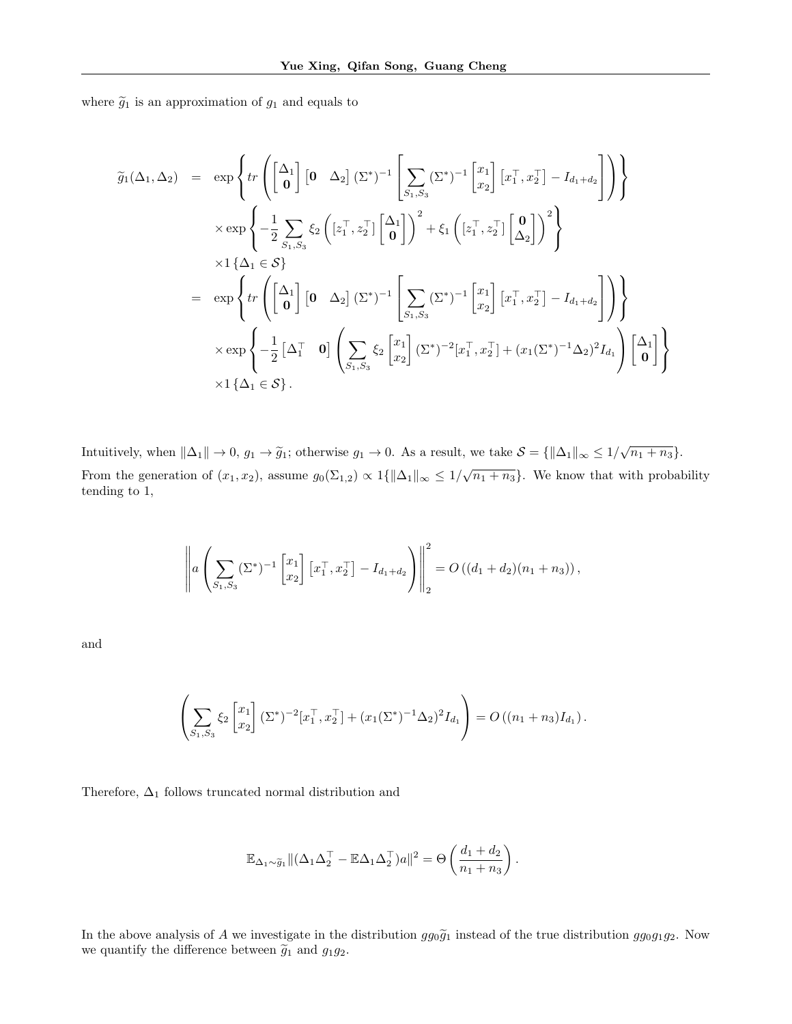where  $\widetilde{g}_1$  is an approximation of  $g_1$  and equals to

$$
\widetilde{g}_{1}(\Delta_{1},\Delta_{2}) = \exp\left\{tr\left(\begin{bmatrix} \Delta_{1} \\ 0 \end{bmatrix} \begin{bmatrix} 0 & \Delta_{2} \end{bmatrix} (\Sigma^{*})^{-1} \begin{bmatrix} \sum_{S_{1},S_{3}} (\Sigma^{*})^{-1} \begin{bmatrix} x_{1} \\ x_{2} \end{bmatrix} \begin{bmatrix} x_{1}^{\top}, x_{2}^{\top} \end{bmatrix} - I_{d_{1}+d_{2}} \right) \right\} \times \exp\left\{ -\frac{1}{2} \sum_{S_{1},S_{3}} \xi_{2} \left( \begin{bmatrix} z_{1}^{\top}, z_{2}^{\top} \end{bmatrix} \begin{bmatrix} \Delta_{1} \\ 0 \end{bmatrix} \right)^{2} + \xi_{1} \left( \begin{bmatrix} z_{1}^{\top}, z_{2}^{\top} \end{bmatrix} \begin{bmatrix} 0 \\ \Delta_{2} \end{bmatrix} \right)^{2} \right\} \times 1 \left\{ \Delta_{1} \in S \right\} \n= \exp\left\{ tr\left( \begin{bmatrix} \Delta_{1} \\ 0 \end{bmatrix} \begin{bmatrix} 0 & \Delta_{2} \end{bmatrix} (\Sigma^{*})^{-1} \begin{bmatrix} \sum_{S_{1},S_{3}} (\Sigma^{*})^{-1} \begin{bmatrix} x_{1} \\ x_{2} \end{bmatrix} \begin{bmatrix} x_{1}^{\top}, x_{2}^{\top} \end{bmatrix} - I_{d_{1}+d_{2}} \right] \right) \right\} \times \exp\left\{ -\frac{1}{2} \begin{bmatrix} \Delta_{1}^{\top} & 0 \end{bmatrix} \left( \sum_{S_{1},S_{3}} \xi_{2} \begin{bmatrix} x_{1} \\ x_{2} \end{bmatrix} (\Sigma^{*})^{-2} \begin{bmatrix} x_{1}^{\top}, x_{2}^{\top} \end{bmatrix} + (x_{1}(\Sigma^{*})^{-1}\Delta_{2})^{2} I_{d_{1}} \right) \begin{bmatrix} \Delta_{1} \\ 0 \end{bmatrix} \right\} \times 1 \left\{ \Delta_{1} \in S \right\}.
$$

Intuitively, when  $\|\Delta_1\| \to 0$ ,  $g_1 \to \tilde{g}_1$ ; otherwise  $g_1 \to 0$ . As a result, we take  $\mathcal{S} = \{\|\Delta_1\|_{\infty} \leq 1/\sqrt{n_1 + n_3}\}$ . From the generation of  $(x_1, x_2)$ , assume  $g_0(\Sigma_{1,2}) \propto 1\{\|\Delta_1\|_{\infty} \leq 1/\sqrt{n_1+n_3}\}$ . We know that with probability tending to 1,

$$
\left\| a \left( \sum_{S_1, S_3} (\Sigma^*)^{-1} \begin{bmatrix} x_1 \\ x_2 \end{bmatrix} \begin{bmatrix} x_1^{\top}, x_2^{\top} \end{bmatrix} - I_{d_1 + d_2} \right) \right\|_2^2 = O((d_1 + d_2)(n_1 + n_3)),
$$

and

$$
\left(\sum_{S_1,S_3} \xi_2 \begin{bmatrix} x_1 \\ x_2 \end{bmatrix} (\Sigma^*)^{-2} [x_1^\top, x_2^\top] + (x_1(\Sigma^*)^{-1} \Delta_2)^2 I_{d_1}\right) = O((n_1 + n_3)I_{d_1}).
$$

Therefore,  $\Delta_1$  follows truncated normal distribution and

$$
\mathbb{E}_{\Delta_1 \sim \widetilde{g}_1} \| (\Delta_1 \Delta_2^\top - \mathbb{E}\Delta_1 \Delta_2^\top) a \|^2 = \Theta \left( \frac{d_1 + d_2}{n_1 + n_3} \right).
$$

In the above analysis of A we investigate in the distribution  $gg_0\tilde{g}_1$  instead of the true distribution  $gg_0g_1g_2$ . Now we quantify the difference between  $\widetilde{g}_1$  and  $g_1g_2.$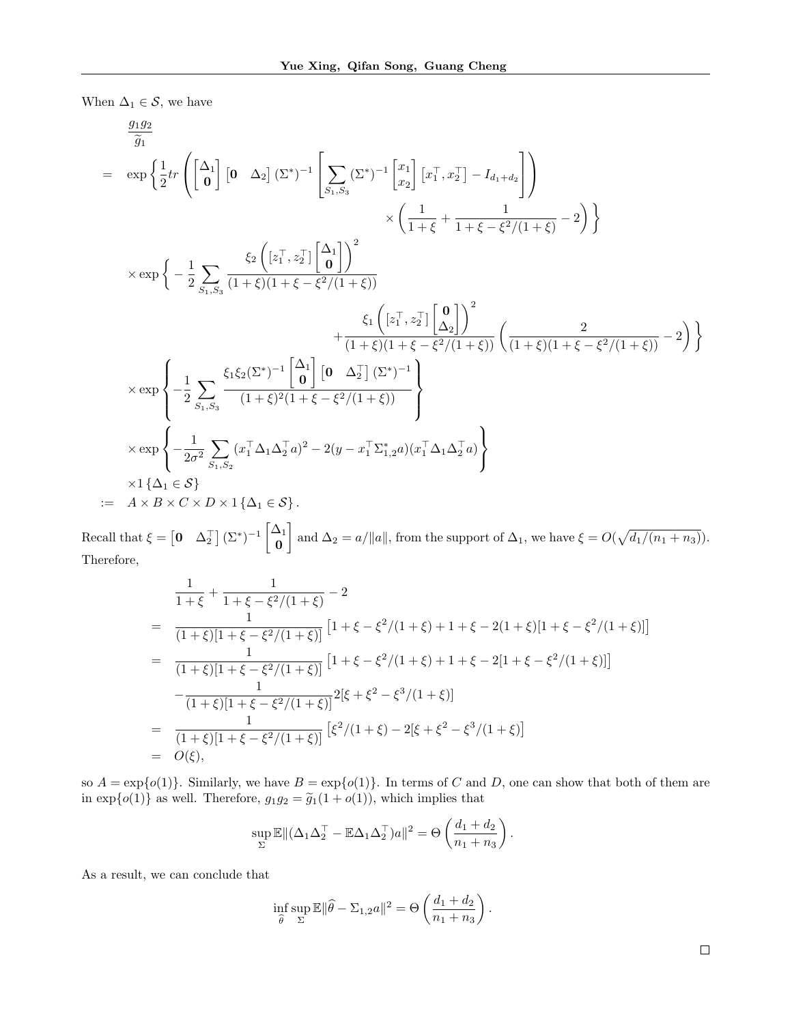When  $\Delta_1 \in \mathcal{S}$ , we have

$$
\frac{g_{1}g_{2}}{\tilde{g}_{1}} = \exp\left\{\frac{1}{2}tr\left(\begin{bmatrix}\Delta_{1} \\ \mathbf{0}\end{bmatrix}\begin{bmatrix}\mathbf{0} & \Delta_{2}\end{bmatrix}\begin{bmatrix}\Sigma^{*}\end{bmatrix}^{-1}\begin{bmatrix}\sum_{S_{1},S_{3}}\begin{bmatrix}\Sigma^{*}\end{bmatrix}^{-1}\begin{bmatrix}x_{1} \\ x_{2}\end{bmatrix}\begin{bmatrix}x_{1}^{T},x_{2}^{T}\end{bmatrix}-I_{d_{1}+d_{2}}\right]\right) \times \left(\frac{1}{1+\xi}+\frac{1}{1+\xi-\xi^{2}/(1+\xi)}-2\right)\right\}
$$
\n
$$
\times \exp\left\{-\frac{1}{2}\sum_{S_{1},S_{3}}\frac{\xi_{2}\left(\begin{bmatrix}z_{1}^{T},z_{2}^{T}\end{bmatrix}\begin{bmatrix}\Delta_{1} \\ 0\end{bmatrix}\right)^{2}}{1+\xi\left(1+\xi\right)\left(1+\xi-\xi^{2}/(1+\xi)\right)}+\frac{\xi_{1}\left(\begin{bmatrix}z_{1}^{T},z_{2}^{T}\end{bmatrix}\begin{bmatrix}\mathbf{0} \\ \Delta_{2}\end{bmatrix}\right)^{2}}{(1+\xi)\left(1+\xi-\xi^{2}/(1+\xi)\right)}\left(\frac{2}{(1+\xi)\left(1+\xi-\xi^{2}/(1+\xi)\right)}-2\right)\right\}
$$
\n
$$
\times \exp\left\{-\frac{1}{2}\sum_{S_{1},S_{3}}\frac{\xi_{1}\xi_{2}(\Sigma^{*})^{-1}\begin{bmatrix}\Delta_{1} \\ 0\end{bmatrix}\begin{bmatrix}\mathbf{0} & \Delta_{2}^{T}\end{bmatrix}\begin{bmatrix}\Sigma^{*}\end{bmatrix}^{-1}}{(1+\xi)(1+\xi-\xi^{2}/(1+\xi))}\right\}
$$
\n
$$
\times \exp\left\{-\frac{1}{2\sigma^{2}}\sum_{S_{1},S_{2}}(x_{1}^{T}\Delta_{1}\Delta_{2}^{T}a)^{2}-2(y-x_{1}^{T}\Sigma_{1,2}^{*}a)(x_{1}^{T}\Delta_{1}\Delta_{2}^{T}a)}\right\}
$$
\n
$$
\times 1\left\{\Delta_{1}\in\mathcal{S}\right\}
$$
\n
$$
= A \times B \times C \times D \times 1\left\{\
$$

Recall that  $\xi = \begin{bmatrix} 0 & \Delta_2^{\top} \end{bmatrix} (\Sigma^*)^{-1} \begin{bmatrix} \Delta_1 \\ \Omega_2 \end{bmatrix}$ 0 and  $\Delta_2 = a/||a||$ , from the support of  $\Delta_1$ , we have  $\xi = O(\sqrt{d_1/(n_1 + n_3)})$ . Therefore,

$$
\frac{1}{1+\xi} + \frac{1}{1+\xi-\xi^2/(1+\xi)} - 2
$$
\n
$$
= \frac{1}{(1+\xi)[1+\xi-\xi^2/(1+\xi)]} \left[1+\xi-\xi^2/(1+\xi)+1+\xi-2(1+\xi)[1+\xi-\xi^2/(1+\xi)]\right]
$$
\n
$$
= \frac{1}{(1+\xi)[1+\xi-\xi^2/(1+\xi)]} \left[1+\xi-\xi^2/(1+\xi)+1+\xi-2[1+\xi-\xi^2/(1+\xi)]\right]
$$
\n
$$
- \frac{1}{(1+\xi)[1+\xi-\xi^2/(1+\xi)]^2} [ \xi+\xi^2-\xi^3/(1+\xi)]
$$
\n
$$
= \frac{1}{(1+\xi)[1+\xi-\xi^2/(1+\xi)]} \left[ \xi^2/(1+\xi)-2[\xi+\xi^2-\xi^3/(1+\xi)] \right]
$$
\n
$$
= O(\xi),
$$

so  $A = \exp\{o(1)\}$ . Similarly, we have  $B = \exp\{o(1)\}$ . In terms of C and D, one can show that both of them are in  $\exp\{o(1)\}\$ as well. Therefore,  $g_1g_2 = \tilde{g}_1(1 + o(1))$ , which implies that

$$
\sup_{\Sigma} \mathbb{E} \| (\Delta_1 \Delta_2^{\top} - \mathbb{E} \Delta_1 \Delta_2^{\top})a \|^2 = \Theta \left( \frac{d_1 + d_2}{n_1 + n_3} \right).
$$

As a result, we can conclude that

$$
\inf_{\widehat{\theta}} \sup_{\Sigma} \mathbb{E} \|\widehat{\theta} - \Sigma_{1,2} a\|^2 = \Theta \left( \frac{d_1 + d_2}{n_1 + n_3} \right).
$$

 $\Box$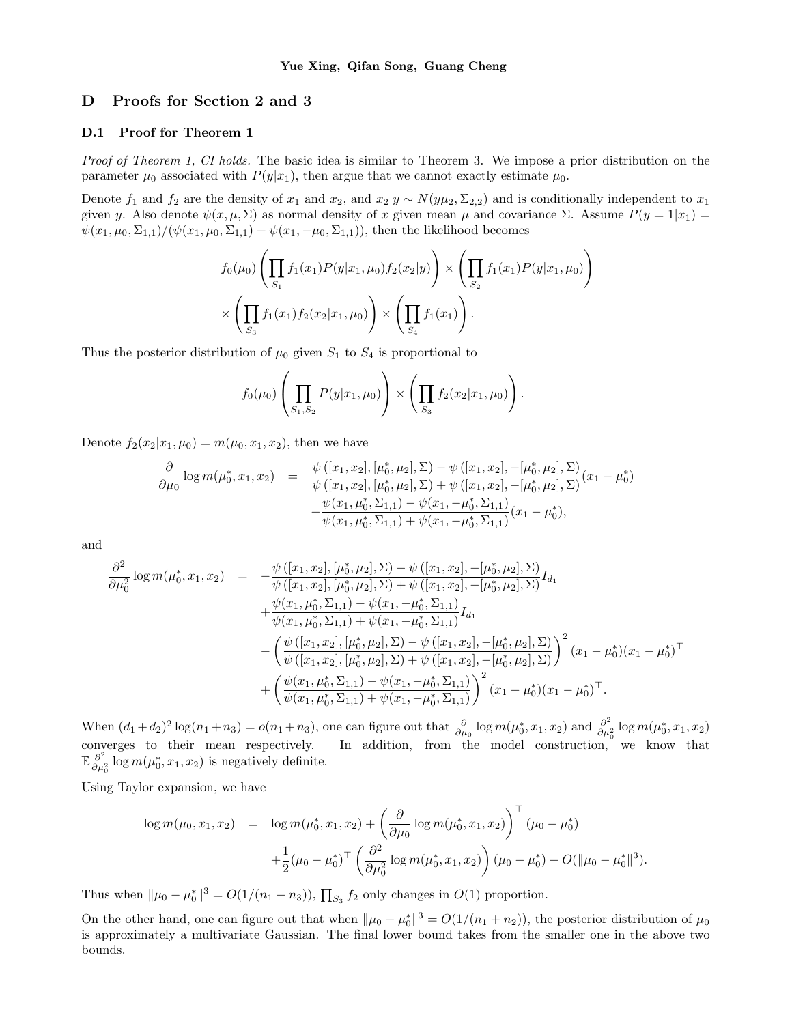# D Proofs for Section 2 and 3

#### D.1 Proof for Theorem 1

Proof of Theorem 1, CI holds. The basic idea is similar to Theorem 3. We impose a prior distribution on the parameter  $\mu_0$  associated with  $P(y|x_1)$ , then argue that we cannot exactly estimate  $\mu_0$ .

Denote  $f_1$  and  $f_2$  are the density of  $x_1$  and  $x_2$ , and  $x_2|y \sim N(y\mu_2, \Sigma_{2,2})$  and is conditionally independent to  $x_1$ given y. Also denote  $\psi(x, \mu, \Sigma)$  as normal density of x given mean  $\mu$  and covariance  $\Sigma$ . Assume  $P(y = 1|x_1)$  $\psi(x_1,\mu_0,\Sigma_{1,1})/(\psi(x_1,\mu_0,\Sigma_{1,1}) + \psi(x_1,-\mu_0,\Sigma_{1,1}))$ , then the likelihood becomes

$$
f_0(\mu_0) \left( \prod_{S_1} f_1(x_1) P(y|x_1, \mu_0) f_2(x_2|y) \right) \times \left( \prod_{S_2} f_1(x_1) P(y|x_1, \mu_0) \right)
$$
  
 
$$
\times \left( \prod_{S_3} f_1(x_1) f_2(x_2|x_1, \mu_0) \right) \times \left( \prod_{S_4} f_1(x_1) \right).
$$

Thus the posterior distribution of  $\mu_0$  given  $S_1$  to  $S_4$  is proportional to

$$
f_0(\mu_0) \left( \prod_{S_1, S_2} P(y|x_1, \mu_0) \right) \times \left( \prod_{S_3} f_2(x_2|x_1, \mu_0) \right).
$$

Denote  $f_2(x_2|x_1,\mu_0) = m(\mu_0, x_1, x_2)$ , then we have

$$
\frac{\partial}{\partial \mu_0} \log m(\mu_0^*, x_1, x_2) = \frac{\psi([x_1, x_2], [\mu_0^*, \mu_2], \Sigma) - \psi([x_1, x_2], -[\mu_0^*, \mu_2], \Sigma)}{\psi([x_1, x_2], [\mu_0^*, \mu_2], \Sigma) + \psi([x_1, x_2], -[\mu_0^*, \mu_2], \Sigma)} (x_1 - \mu_0^*)
$$

$$
-\frac{\psi(x_1, \mu_0^*, \Sigma_{1,1}) - \psi(x_1, -\mu_0^*, \Sigma_{1,1})}{\psi(x_1, \mu_0^*, \Sigma_{1,1}) + \psi(x_1, -\mu_0^*, \Sigma_{1,1})} (x_1 - \mu_0^*),
$$

and

$$
\frac{\partial^2}{\partial \mu_0^2} \log m(\mu_0^*, x_1, x_2) = -\frac{\psi([x_1, x_2], [\mu_0^*, \mu_2], \Sigma) - \psi([x_1, x_2], -[\mu_0^*, \mu_2], \Sigma)}{\psi([x_1, x_2], [\mu_0^*, \mu_2], \Sigma) + \psi([x_1, x_2], -[\mu_0^*, \mu_2], \Sigma)} I_{d_1} \n+ \frac{\psi(x_1, \mu_0^*, \Sigma_{1,1}) - \psi(x_1, -\mu_0^*, \Sigma_{1,1})}{\psi(x_1, \mu_0^*, \Sigma_{1,1}) + \psi(x_1, -\mu_0^*, \Sigma_{1,1})} I_{d_1} \n- \left( \frac{\psi([x_1, x_2], [\mu_0^*, \mu_2], \Sigma) - \psi([x_1, x_2], -[\mu_0^*, \mu_2], \Sigma)}{\psi([x_1, x_2], [\mu_0^*, \mu_2], \Sigma) + \psi([x_1, x_2], -[\mu_0^*, \mu_2], \Sigma)} \right)^2 (x_1 - \mu_0^*)(x_1 - \mu_0^*)^\top \n+ \left( \frac{\psi(x_1, \mu_0^*, \Sigma_{1,1}) - \psi(x_1, -\mu_0^*, \Sigma_{1,1})}{\psi(x_1, \mu_0^*, \Sigma_{1,1}) + \psi(x_1, -\mu_0^*, \Sigma_{1,1})} \right)^2 (x_1 - \mu_0^*)(x_1 - \mu_0^*)^\top.
$$

When  $(d_1+d_2)^2 \log(n_1+n_3) = o(n_1+n_3)$ , one can figure out that  $\frac{\partial}{\partial \mu_0} \log m(\mu_0^*, x_1, x_2)$  and  $\frac{\partial^2}{\partial \mu_0}$  $\frac{\partial^2}{\partial \mu_0^2} \log m(\mu_0^*, x_1, x_2)$ converges to their mean respectively. In addition, from the model construction, we know that  $\mathbb{E} \frac{\partial^2}{\partial x^2}$  $\frac{\partial^2}{\partial \mu_0^2}$  log  $m(\mu_0^*, x_1, x_2)$  is negatively definite.

Using Taylor expansion, we have

$$
\log m(\mu_0, x_1, x_2) = \log m(\mu_0^*, x_1, x_2) + \left(\frac{\partial}{\partial \mu_0} \log m(\mu_0^*, x_1, x_2)\right)^\top (\mu_0 - \mu_0^*)
$$
  
+ 
$$
\frac{1}{2} (\mu_0 - \mu_0^*)^\top \left(\frac{\partial^2}{\partial \mu_0^2} \log m(\mu_0^*, x_1, x_2)\right) (\mu_0 - \mu_0^*) + O(\|\mu_0 - \mu_0^*\|^3).
$$

Thus when  $\|\mu_0 - \mu_0^*\|^3 = O(1/(n_1 + n_3)), \prod_{S_3} f_2$  only changes in  $O(1)$  proportion.

On the other hand, one can figure out that when  $\|\mu_0 - \mu_0^*\|^3 = O(1/(n_1 + n_2))$ , the posterior distribution of  $\mu_0$ is approximately a multivariate Gaussian. The final lower bound takes from the smaller one in the above two bounds.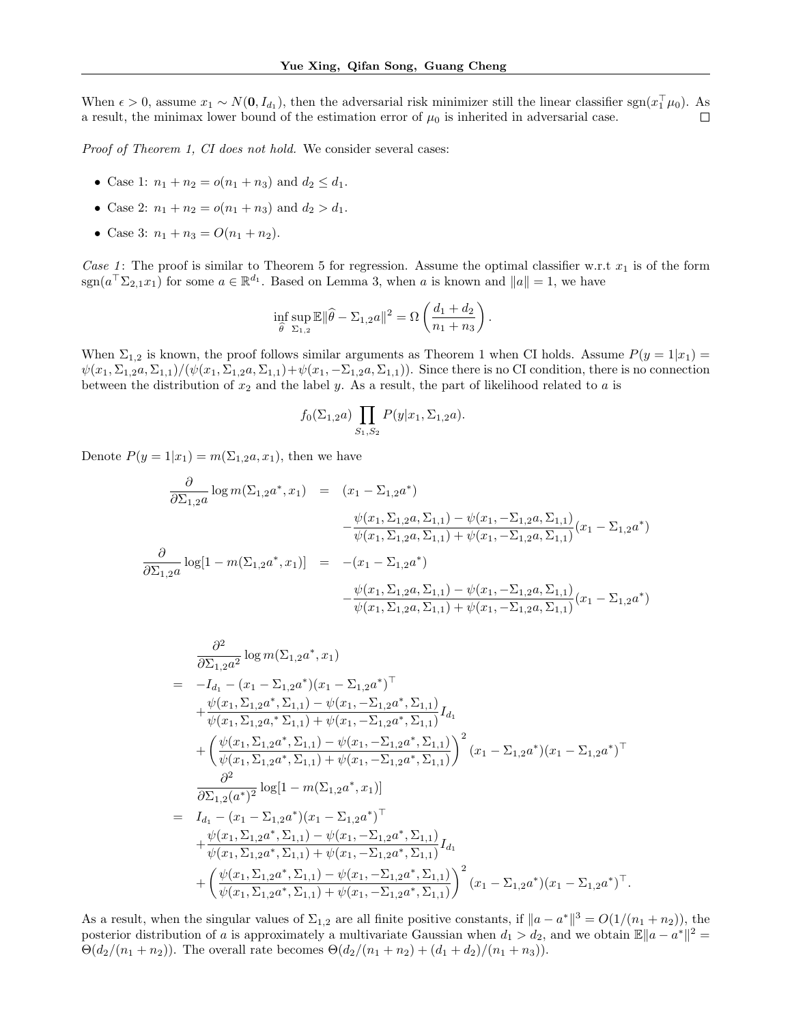When  $\epsilon > 0$ , assume  $x_1 \sim N(0, I_{d_1})$ , then the adversarial risk minimizer still the linear classifier sgn $(x_1^\top \mu_0)$ . As a result, the minimax lower bound of the estimation error of  $\mu_0$  is inherited in adversarial case. П

Proof of Theorem 1, CI does not hold. We consider several cases:

- Case 1:  $n_1 + n_2 = o(n_1 + n_3)$  and  $d_2 \leq d_1$ .
- Case 2:  $n_1 + n_2 = o(n_1 + n_3)$  and  $d_2 > d_1$ .
- Case 3:  $n_1 + n_3 = O(n_1 + n_2)$ .

Case 1: The proof is similar to Theorem 5 for regression. Assume the optimal classifier w.r.t  $x_1$  is of the form  $\text{sgn}(a^{\top} \Sigma_{2,1} x_1)$  for some  $a \in \mathbb{R}^{d_1}$ . Based on Lemma 3, when a is known and  $||a|| = 1$ , we have

$$
\inf_{\widehat{\theta}} \sup_{\Sigma_{1,2}} \mathbb{E} \|\widehat{\theta} - \Sigma_{1,2} \alpha\|^2 = \Omega \left( \frac{d_1 + d_2}{n_1 + n_3} \right).
$$

When  $\Sigma_{1,2}$  is known, the proof follows similar arguments as Theorem 1 when CI holds. Assume  $P(y = 1|x_1)$  $\psi(x_1, \Sigma_{1,2}a, \Sigma_{1,1})/(\psi(x_1, \Sigma_{1,2}a, \Sigma_{1,1})+\psi(x_1, -\Sigma_{1,2}a, \Sigma_{1,1}))$ . Since there is no CI condition, there is no connection between the distribution of  $x_2$  and the label y. As a result, the part of likelihood related to a is

$$
f_0(\Sigma_{1,2}a) \prod_{S_1,S_2} P(y|x_1,\Sigma_{1,2}a).
$$

Denote  $P(y = 1|x_1) = m(\Sigma_{1,2}a, x_1)$ , then we have

$$
\frac{\partial}{\partial \Sigma_{1,2} a} \log m(\Sigma_{1,2} a^*, x_1) = (x_1 - \Sigma_{1,2} a^*)
$$
  
\n
$$
-\frac{\psi(x_1, \Sigma_{1,2} a, \Sigma_{1,1}) - \psi(x_1, -\Sigma_{1,2} a, \Sigma_{1,1})}{\psi(x_1, \Sigma_{1,2} a, \Sigma_{1,1}) + \psi(x_1, -\Sigma_{1,2} a, \Sigma_{1,1})}(x_1 - \Sigma_{1,2} a^*)
$$
  
\n
$$
\frac{\partial}{\partial \Sigma_{1,2} a} \log[1 - m(\Sigma_{1,2} a^*, x_1)] = -(x_1 - \Sigma_{1,2} a^*)
$$
  
\n
$$
-\frac{\psi(x_1, \Sigma_{1,2} a, \Sigma_{1,1}) - \psi(x_1, -\Sigma_{1,2} a, \Sigma_{1,1})}{\psi(x_1, \Sigma_{1,2} a, \Sigma_{1,1}) + \psi(x_1, -\Sigma_{1,2} a, \Sigma_{1,1})}(x_1 - \Sigma_{1,2} a^*)
$$

$$
\frac{\partial^2}{\partial \Sigma_{1,2} a^2} \log m(\Sigma_{1,2} a^*, x_1)
$$
\n
$$
= -I_{d_1} - (x_1 - \Sigma_{1,2} a^*)(x_1 - \Sigma_{1,2} a^*)^\top
$$
\n
$$
+ \frac{\psi(x_1, \Sigma_{1,2} a^*, \Sigma_{1,1}) - \psi(x_1, -\Sigma_{1,2} a^*, \Sigma_{1,1})}{\psi(x_1, \Sigma_{1,2} a^*, \Sigma_{1,1}) + \psi(x_1, -\Sigma_{1,2} a^*, \Sigma_{1,1})} I_{d_1}
$$
\n
$$
+ \left(\frac{\psi(x_1, \Sigma_{1,2} a^*, \Sigma_{1,1}) - \psi(x_1, -\Sigma_{1,2} a^*, \Sigma_{1,1})}{\psi(x_1, \Sigma_{1,2} a^*, \Sigma_{1,1}) + \psi(x_1, -\Sigma_{1,2} a^*, \Sigma_{1,1})}\right)^2 (x_1 - \Sigma_{1,2} a^*)(x_1 - \Sigma_{1,2} a^*)^\top
$$
\n
$$
\frac{\partial^2}{\partial \Sigma_{1,2} (a^*)^2} \log[1 - m(\Sigma_{1,2} a^*, x_1)]
$$
\n
$$
= I_{d_1} - (x_1 - \Sigma_{1,2} a^*)(x_1 - \Sigma_{1,2} a^*)^\top
$$
\n
$$
+ \frac{\psi(x_1, \Sigma_{1,2} a^*, \Sigma_{1,1}) - \psi(x_1, -\Sigma_{1,2} a^*, \Sigma_{1,1})}{\psi(x_1, \Sigma_{1,2} a^*, \Sigma_{1,1}) + \psi(x_1, -\Sigma_{1,2} a^*, \Sigma_{1,1})} I_{d_1}
$$
\n
$$
+ \left(\frac{\psi(x_1, \Sigma_{1,2} a^*, \Sigma_{1,1}) - \psi(x_1, -\Sigma_{1,2} a^*, \Sigma_{1,1})}{\psi(x_1, \Sigma_{1,2} a^*, \Sigma_{1,1}) + \psi(x_1, -\Sigma_{1,2} a^*, \Sigma_{1,1})}\right)^2 (x_1 - \Sigma_{1,2} a^*)(x_1 - \Sigma_{1,2} a^*)^\top.
$$

As a result, when the singular values of  $\Sigma_{1,2}$  are all finite positive constants, if  $||a - a^*||^3 = O(1/(n_1 + n_2))$ , the posterior distribution of a is approximately a multivariate Gaussian when  $d_1 > d_2$ , and we obtain  $\mathbb{E} \|a - a^*\|^2 =$  $\Theta(d_2/(n_1 + n_2))$ . The overall rate becomes  $\Theta(d_2/(n_1 + n_2) + (d_1 + d_2)/(n_1 + n_3))$ .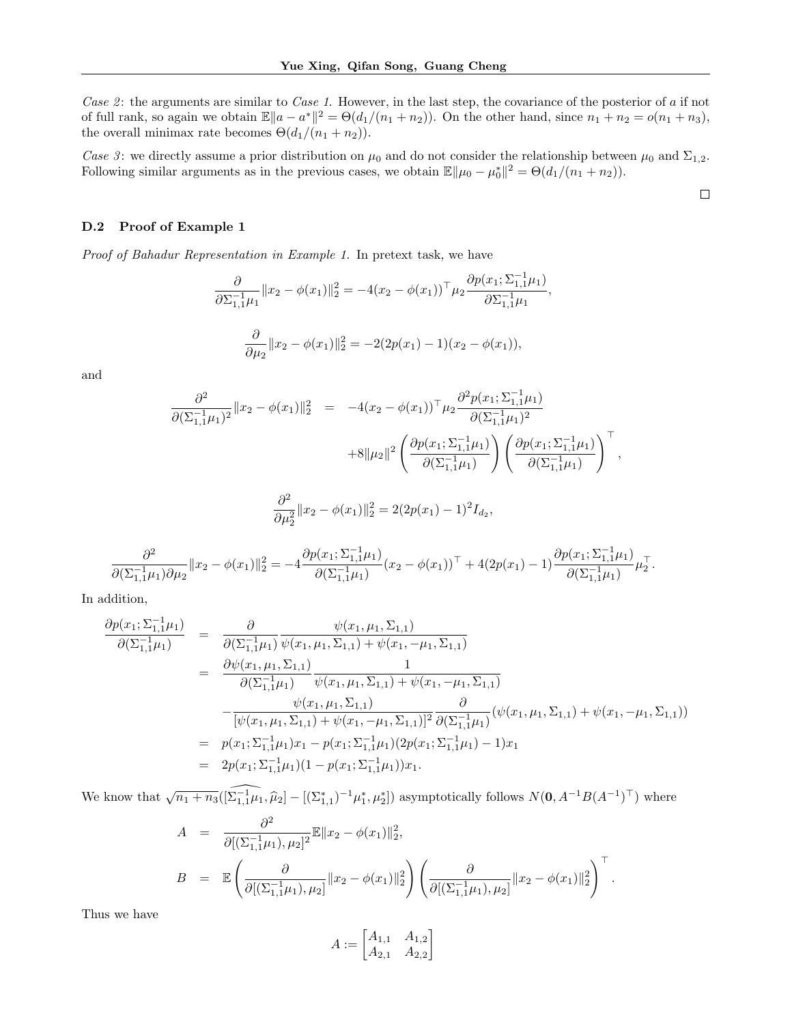Case 2: the arguments are similar to Case 1. However, in the last step, the covariance of the posterior of a if not of full rank, so again we obtain  $\mathbb{E}||a - a^*||^2 = \Theta(d_1/(n_1 + n_2))$ . On the other hand, since  $n_1 + n_2 = o(n_1 + n_3)$ , the overall minimax rate becomes  $\Theta(d_1/(n_1 + n_2)).$ 

Case 3: we directly assume a prior distribution on  $\mu_0$  and do not consider the relationship between  $\mu_0$  and  $\Sigma_{1,2}$ . Following similar arguments as in the previous cases, we obtain  $\mathbb{E} \|\mu_0 - \mu_0^*\|^2 = \Theta(d_1/(n_1 + n_2)).$ 

### D.2 Proof of Example 1

Proof of Bahadur Representation in Example 1. In pretext task, we have

$$
\frac{\partial}{\partial \Sigma_{1,1}^{-1} \mu_1} \|x_2 - \phi(x_1)\|_2^2 = -4(x_2 - \phi(x_1))^{\top} \mu_2 \frac{\partial p(x_1; \Sigma_{1,1}^{-1} \mu_1)}{\partial \Sigma_{1,1}^{-1} \mu_1},
$$

$$
\frac{\partial}{\partial \mu_2} \|x_2 - \phi(x_1)\|_2^2 = -2(2p(x_1) - 1)(x_2 - \phi(x_1)),
$$

and

$$
\frac{\partial^2}{\partial (\Sigma_{1,1}^{-1} \mu_1)^2} \|x_2 - \phi(x_1)\|_2^2 = -4(x_2 - \phi(x_1))^{\top} \mu_2 \frac{\partial^2 p(x_1; \Sigma_{1,1}^{-1} \mu_1)}{\partial (\Sigma_{1,1}^{-1} \mu_1)^2} \n+8\|\mu_2\|^2 \left(\frac{\partial p(x_1; \Sigma_{1,1}^{-1} \mu_1)}{\partial (\Sigma_{1,1}^{-1} \mu_1)}\right) \left(\frac{\partial p(x_1; \Sigma_{1,1}^{-1} \mu_1)}{\partial (\Sigma_{1,1}^{-1} \mu_1)}\right)^{\top},
$$
\n
$$
\frac{\partial^2}{\partial \mu_2^2} \|x_2 - \phi(x_1)\|_2^2 = 2(2p(x_1) - 1)^2 I_{d_2},
$$

$$
\frac{\partial^2}{\partial (\Sigma_{1,1}^{-1} \mu_1) \partial \mu_2} \|x_2 - \phi(x_1)\|_2^2 = -4 \frac{\partial p(x_1; \Sigma_{1,1}^{-1} \mu_1)}{\partial (\Sigma_{1,1}^{-1} \mu_1)} (x_2 - \phi(x_1))^{\top} + 4(2p(x_1) - 1) \frac{\partial p(x_1; \Sigma_{1,1}^{-1} \mu_1)}{\partial (\Sigma_{1,1}^{-1} \mu_1)} \mu_2^{\top}.
$$

In addition,

$$
\frac{\partial p(x_1; \Sigma_{1,1}^{-1} \mu_1)}{\partial(\Sigma_{1,1}^{-1} \mu_1)} = \frac{\partial}{\partial(\Sigma_{1,1}^{-1} \mu_1)} \frac{\psi(x_1, \mu_1, \Sigma_{1,1})}{\psi(x_1, \mu_1, \Sigma_{1,1}) + \psi(x_1, -\mu_1, \Sigma_{1,1})}
$$
\n
$$
= \frac{\partial \psi(x_1, \mu_1, \Sigma_{1,1})}{\partial(\Sigma_{1,1}^{-1} \mu_1)} \frac{1}{\psi(x_1, \mu_1, \Sigma_{1,1}) + \psi(x_1, -\mu_1, \Sigma_{1,1})}
$$
\n
$$
- \frac{\psi(x_1, \mu_1, \Sigma_{1,1})}{[\psi(x_1, \mu_1, \Sigma_{1,1}) + \psi(x_1, -\mu_1, \Sigma_{1,1})]^2} \frac{\partial}{\partial(\Sigma_{1,1}^{-1} \mu_1)} (\psi(x_1, \mu_1, \Sigma_{1,1}) + \psi(x_1, -\mu_1, \Sigma_{1,1}))
$$
\n
$$
= p(x_1; \Sigma_{1,1}^{-1} \mu_1) x_1 - p(x_1; \Sigma_{1,1}^{-1} \mu_1) (2p(x_1; \Sigma_{1,1}^{-1} \mu_1) - 1) x_1
$$
\n
$$
= 2p(x_1; \Sigma_{1,1}^{-1} \mu_1) (1 - p(x_1; \Sigma_{1,1}^{-1} \mu_1)) x_1.
$$

We know that  $\sqrt{n_1 + n_3}([\widehat{\Sigma_{1,1}^{-1}}\mu_1, \widehat{\mu}_2] - [(\Sigma_{1,1}^*)^{-1}\mu_1^*, \mu_2^*])$  asymptotically follows  $N(\mathbf{0}, A^{-1}B(A^{-1})^{\top})$  where

$$
A = \frac{\partial^2}{\partial [(\Sigma_{1,1}^{-1}\mu_1), \mu_2]^2} \mathbb{E} \|x_2 - \phi(x_1)\|_2^2,
$$
  
\n
$$
B = \mathbb{E} \left( \frac{\partial}{\partial [(\Sigma_{1,1}^{-1}\mu_1), \mu_2]} \|x_2 - \phi(x_1)\|_2^2 \right) \left( \frac{\partial}{\partial [(\Sigma_{1,1}^{-1}\mu_1), \mu_2]} \|x_2 - \phi(x_1)\|_2^2 \right)^{\top}
$$

.

 $\Box$ 

Thus we have

$$
A := \begin{bmatrix} A_{1,1} & A_{1,2} \\ A_{2,1} & A_{2,2} \end{bmatrix}
$$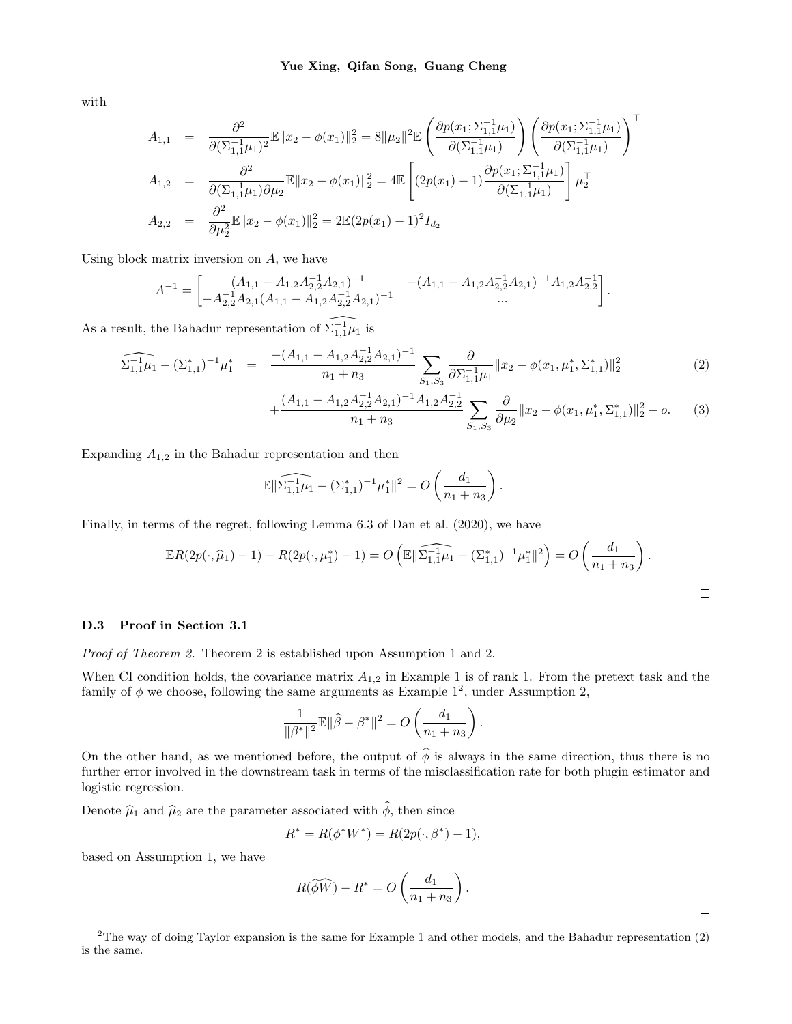with

$$
A_{1,1} = \frac{\partial^2}{\partial (\Sigma_{1,1}^{-1} \mu_1)^2} \mathbb{E} \|x_2 - \phi(x_1)\|_2^2 = 8 \|\mu_2\|^2 \mathbb{E} \left( \frac{\partial p(x_1; \Sigma_{1,1}^{-1} \mu_1)}{\partial (\Sigma_{1,1}^{-1} \mu_1)} \right) \left( \frac{\partial p(x_1; \Sigma_{1,1}^{-1} \mu_1)}{\partial (\Sigma_{1,1}^{-1} \mu_1)} \right)^T
$$
  
\n
$$
A_{1,2} = \frac{\partial^2}{\partial (\Sigma_{1,1}^{-1} \mu_1) \partial \mu_2} \mathbb{E} \|x_2 - \phi(x_1)\|_2^2 = 4 \mathbb{E} \left[ (2p(x_1) - 1) \frac{\partial p(x_1; \Sigma_{1,1}^{-1} \mu_1)}{\partial (\Sigma_{1,1}^{-1} \mu_1)} \right] \mu_2^T
$$
  
\n
$$
A_{2,2} = \frac{\partial^2}{\partial \mu_2^2} \mathbb{E} \|x_2 - \phi(x_1)\|_2^2 = 2 \mathbb{E} (2p(x_1) - 1)^2 I_{d_2}
$$

Using block matrix inversion on A, we have

$$
A^{-1} = \begin{bmatrix} (A_{1,1} - A_{1,2}A_{2,2}^{-1}A_{2,1})^{-1} & -(A_{1,1} - A_{1,2}A_{2,2}^{-1}A_{2,1})^{-1}A_{1,2}A_{2,2}^{-1} \\ -A_{2,2}^{-1}A_{2,1}(A_{1,1} - A_{1,2}A_{2,2}^{-1}A_{2,1})^{-1} & \dots & \dots \end{bmatrix}
$$

As a result, the Bahadur representation of  $\widehat{\Sigma_{1,1}^{-1}\mu_1}$  is

$$
\widehat{\Sigma_{1,1}^{-1}\mu_1} - (\Sigma_{1,1}^*)^{-1}\mu_1^* = \frac{-(A_{1,1} - A_{1,2}A_{2,2}^{-1}A_{2,1})^{-1}}{n_1 + n_3} \sum_{S_1, S_3} \frac{\partial}{\partial \Sigma_{1,1}^{-1}\mu_1} \|x_2 - \phi(x_1, \mu_1^*, \Sigma_{1,1}^*)\|_2^2
$$
\n(2)

$$
+\frac{(A_{1,1}-A_{1,2}A_{2,2}^{-1}A_{2,1})^{-1}A_{1,2}A_{2,2}^{-1}}{n_1+n_3}\sum_{S_1,S_3}\frac{\partial}{\partial\mu_2}\|x_2-\phi(x_1,\mu_1^*,\Sigma_{1,1}^*)\|_2^2+o.\tag{3}
$$

.

 $\Box$ 

 $\Box$ 

Expanding  $A_{1,2}$  in the Bahadur representation and then

$$
\mathbb{E} \|\widehat{\Sigma_{1,1}^{-1}\mu_1} - (\Sigma_{1,1}^*)^{-1}\mu_1^*\|^2 = O\left(\frac{d_1}{n_1 + n_3}\right).
$$

Finally, in terms of the regret, following Lemma 6.3 of Dan et al. (2020), we have

$$
\mathbb{E}R(2p(\cdot,\widehat{\mu}_1)-1) - R(2p(\cdot,\mu_1^*)-1) = O\left(\mathbb{E}||\widehat{\Sigma_{1,1}^{-1}\mu_1} - (\Sigma_{1,1}^*)^{-1}\mu_1^*||^2\right) = O\left(\frac{d_1}{n_1+n_3}\right).
$$

### D.3 Proof in Section 3.1

Proof of Theorem 2. Theorem 2 is established upon Assumption 1 and 2.

When CI condition holds, the covariance matrix  $A_{1,2}$  in Example 1 is of rank 1. From the pretext task and the family of  $\phi$  we choose, following the same arguments as Example 1<sup>2</sup>, under Assumption 2,

$$
\frac{1}{\|\beta^*\|^2} \mathbb{E} \|\widehat{\beta} - \beta^*\|^2 = O\left(\frac{d_1}{n_1 + n_3}\right).
$$

On the other hand, as we mentioned before, the output of  $\hat{\phi}$  is always in the same direction, thus there is no further error involved in the downstream task in terms of the misclassification rate for both plugin estimator and logistic regression.

Denote  $\hat{\mu}_1$  and  $\hat{\mu}_2$  are the parameter associated with  $\hat{\phi}$ , then since

$$
R^* = R(\phi^* W^*) = R(2p(\cdot, \beta^*) - 1),
$$

based on Assumption 1, we have

$$
R(\widehat{\phi}\widehat{W}) - R^* = O\left(\frac{d_1}{n_1 + n_3}\right).
$$

 $2$ The way of doing Taylor expansion is the same for Example 1 and other models, and the Bahadur representation  $(2)$ is the same.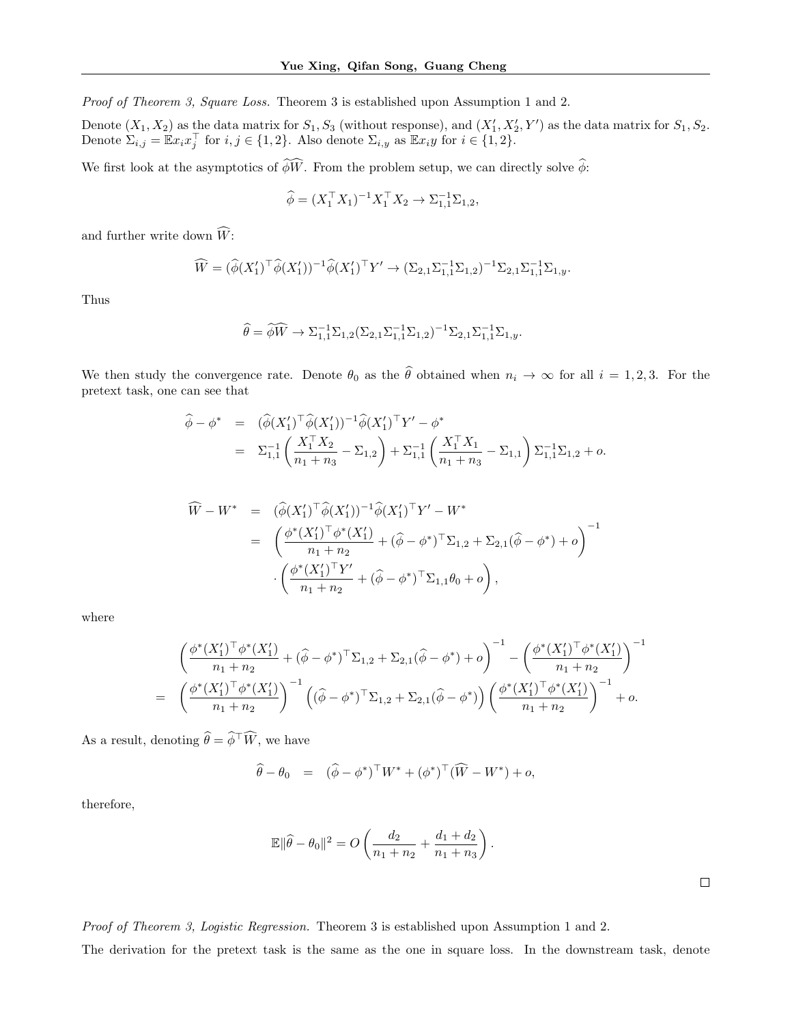Proof of Theorem 3, Square Loss. Theorem 3 is established upon Assumption 1 and 2.

Denote  $(X_1, X_2)$  as the data matrix for  $S_1, S_3$  (without response), and  $(X'_1, X'_2, Y')$  as the data matrix for  $S_1, S_2$ . Denote  $\Sigma_{i,j} = \mathbb{E} x_i x_j^{\top}$  for  $i, j \in \{1, 2\}$ . Also denote  $\Sigma_{i,y}$  as  $\mathbb{E} x_i y$  for  $i \in \{1, 2\}$ .

We first look at the asymptotics of  $\widehat{\phi}\widehat{W}$ . From the problem setup, we can directly solve  $\widehat{\phi}$ :

$$
\widehat{\phi} = (X_1^{\top} X_1)^{-1} X_1^{\top} X_2 \to \Sigma_{1,1}^{-1} \Sigma_{1,2},
$$

and further write down  $\widehat{W}$ :

$$
\widehat{W} = (\widehat{\phi}(X_1')^{\top}\widehat{\phi}(X_1'))^{-1}\widehat{\phi}(X_1')^{\top}Y' \to (\Sigma_{2,1}\Sigma_{1,1}^{-1}\Sigma_{1,2})^{-1}\Sigma_{2,1}\Sigma_{1,1}^{-1}\Sigma_{1,y}.
$$

Thus

$$
\widehat{\theta} = \widehat{\phi}\widehat{W} \to \Sigma_{1,1}^{-1} \Sigma_{1,2} (\Sigma_{2,1} \Sigma_{1,1}^{-1} \Sigma_{1,2})^{-1} \Sigma_{2,1} \Sigma_{1,1}^{-1} \Sigma_{1,y}.
$$

We then study the convergence rate. Denote  $\theta_0$  as the  $\hat{\theta}$  obtained when  $n_i \to \infty$  for all  $i = 1, 2, 3$ . For the pretext task, one can see that

$$
\widehat{\phi} - \phi^* = (\widehat{\phi}(X_1')^\top \widehat{\phi}(X_1'))^{-1} \widehat{\phi}(X_1')^\top Y' - \phi^*
$$
\n
$$
= \Sigma_{1,1}^{-1} \left( \frac{X_1^\top X_2}{n_1 + n_3} - \Sigma_{1,2} \right) + \Sigma_{1,1}^{-1} \left( \frac{X_1^\top X_1}{n_1 + n_3} - \Sigma_{1,1} \right) \Sigma_{1,1}^{-1} \Sigma_{1,2} + o.
$$

$$
\widehat{W} - W^* = (\widehat{\phi}(X_1')^{\top} \widehat{\phi}(X_1'))^{-1} \widehat{\phi}(X_1')^{\top} Y' - W^*
$$
\n
$$
= \left( \frac{\phi^*(X_1')^{\top} \phi^*(X_1')}{n_1 + n_2} + (\widehat{\phi} - \phi^*)^{\top} \Sigma_{1,2} + \Sigma_{2,1} (\widehat{\phi} - \phi^*) + o \right)^{-1}
$$
\n
$$
\cdot \left( \frac{\phi^*(X_1')^{\top} Y'}{n_1 + n_2} + (\widehat{\phi} - \phi^*)^{\top} \Sigma_{1,1} \theta_0 + o \right),
$$

where

$$
\begin{split}\n&\left(\frac{\phi^*(X_1')^\top \phi^*(X_1')}{n_1+n_2} + (\hat{\phi}-\phi^*)^\top \Sigma_{1,2} + \Sigma_{2,1}(\hat{\phi}-\phi^*) + o\right)^{-1} - \left(\frac{\phi^*(X_1')^\top \phi^*(X_1')}{n_1+n_2}\right)^{-1} \\
&= \left(\frac{\phi^*(X_1')^\top \phi^*(X_1')}{n_1+n_2}\right)^{-1} \left((\hat{\phi}-\phi^*)^\top \Sigma_{1,2} + \Sigma_{2,1}(\hat{\phi}-\phi^*)\right) \left(\frac{\phi^*(X_1')^\top \phi^*(X_1')}{n_1+n_2}\right)^{-1} + o.\n\end{split}
$$

As a result, denoting  $\widehat{\theta} = \widehat{\phi}^\top \widehat{W}$ , we have

$$
\widehat{\theta} - \theta_0 = (\widehat{\phi} - \phi^*)^{\top} W^* + (\phi^*)^{\top} (\widehat{W} - W^*) + o,
$$

therefore,

$$
\mathbb{E} \|\widehat{\theta} - \theta_0\|^2 = O\left(\frac{d_2}{n_1 + n_2} + \frac{d_1 + d_2}{n_1 + n_3}\right).
$$

 $\Box$ 

Proof of Theorem 3, Logistic Regression. Theorem 3 is established upon Assumption 1 and 2.

The derivation for the pretext task is the same as the one in square loss. In the downstream task, denote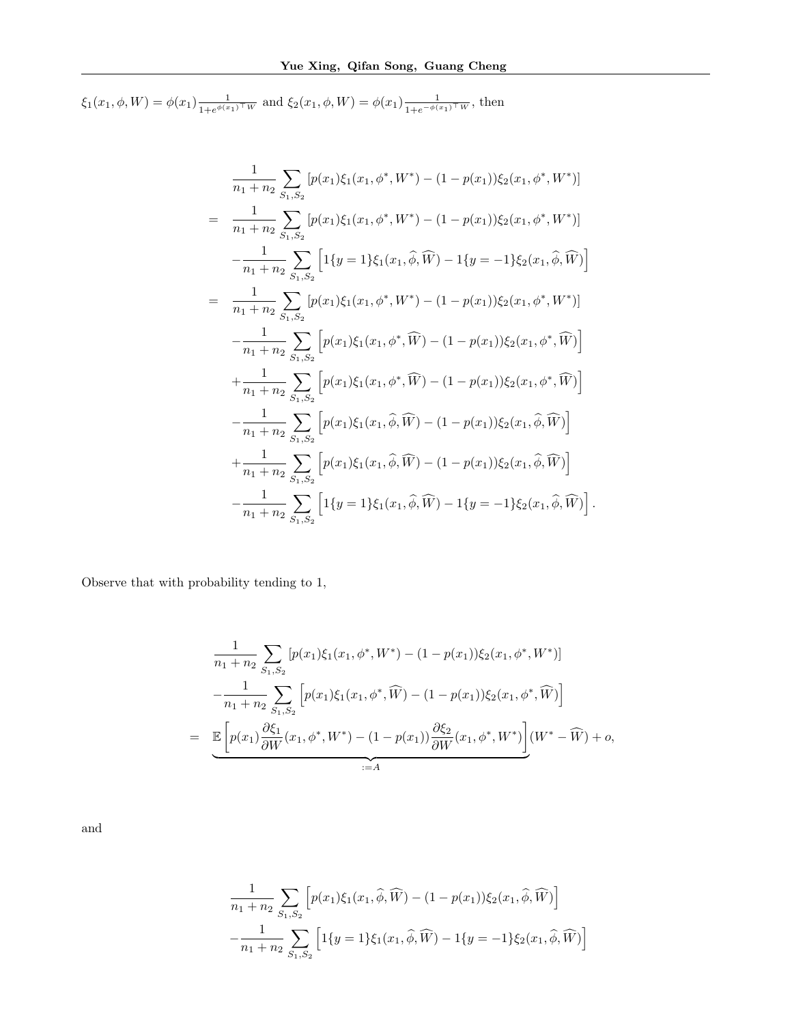$\xi_1(x_1, \phi, W) = \phi(x_1) \frac{1}{1 + e^{\phi(x_1)}}$  $\frac{1}{1+e^{\phi(x_1)\top}w}$  and  $\xi_2(x_1,\phi,W) = \phi(x_1)\frac{1}{1+e^{-\phi(x_1)\top}w}$ , then

$$
\frac{1}{n_1 + n_2} \sum_{S_1, S_2} [p(x_1)\xi_1(x_1, \phi^*, W^*) - (1 - p(x_1))\xi_2(x_1, \phi^*, W^*)]
$$
\n
$$
= \frac{1}{n_1 + n_2} \sum_{S_1, S_2} [p(x_1)\xi_1(x_1, \phi^*, W^*) - (1 - p(x_1))\xi_2(x_1, \phi^*, W^*)]
$$
\n
$$
- \frac{1}{n_1 + n_2} \sum_{S_1, S_2} [1\{y = 1\}\xi_1(x_1, \hat{\phi}, \widehat{W}) - 1\{y = -1\}\xi_2(x_1, \hat{\phi}, \widehat{W})]
$$
\n
$$
= \frac{1}{n_1 + n_2} \sum_{S_1, S_2} [p(x_1)\xi_1(x_1, \phi^*, W^*) - (1 - p(x_1))\xi_2(x_1, \phi^*, W^*)]
$$
\n
$$
- \frac{1}{n_1 + n_2} \sum_{S_1, S_2} [p(x_1)\xi_1(x_1, \phi^*, \widehat{W}) - (1 - p(x_1))\xi_2(x_1, \phi^*, \widehat{W})]
$$
\n
$$
+ \frac{1}{n_1 + n_2} \sum_{S_1, S_2} [p(x_1)\xi_1(x_1, \phi^*, \widehat{W}) - (1 - p(x_1))\xi_2(x_1, \phi^*, \widehat{W})]
$$
\n
$$
- \frac{1}{n_1 + n_2} \sum_{S_1, S_2} [p(x_1)\xi_1(x_1, \widehat{\phi}, \widehat{W}) - (1 - p(x_1))\xi_2(x_1, \widehat{\phi}, \widehat{W})]
$$
\n
$$
+ \frac{1}{n_1 + n_2} \sum_{S_1, S_2} [p(x_1)\xi_1(x_1, \widehat{\phi}, \widehat{W}) - (1 - p(x_1))\xi_2(x_1, \widehat{\phi}, \widehat{W})]
$$
\n
$$
- \frac{1}{n_1 + n_2} \sum_{S_1, S_2} [1\{y = 1\}\xi_1(x_1, \widehat{\phi}, \widehat{W}) - 1\{y = -1\}\xi_2(x_1, \widehat{\phi}, \widehat{W})
$$

Observe that with probability tending to 1,

$$
\frac{1}{n_1 + n_2} \sum_{S_1, S_2} \left[ p(x_1) \xi_1(x_1, \phi^*, W^*) - (1 - p(x_1)) \xi_2(x_1, \phi^*, W^*) \right]
$$
\n
$$
- \frac{1}{n_1 + n_2} \sum_{S_1, S_2} \left[ p(x_1) \xi_1(x_1, \phi^*, \widehat{W}) - (1 - p(x_1)) \xi_2(x_1, \phi^*, \widehat{W}) \right]
$$
\n
$$
= \underbrace{\mathbb{E} \left[ p(x_1) \frac{\partial \xi_1}{\partial W}(x_1, \phi^*, W^*) - (1 - p(x_1)) \frac{\partial \xi_2}{\partial W}(x_1, \phi^*, W^*) \right]}_{:= A} (W^* - \widehat{W}) + o,
$$

and

$$
\frac{1}{n_1 + n_2} \sum_{S_1, S_2} \left[ p(x_1) \xi_1(x_1, \hat{\phi}, \widehat{W}) - (1 - p(x_1)) \xi_2(x_1, \hat{\phi}, \widehat{W}) \right]
$$

$$
- \frac{1}{n_1 + n_2} \sum_{S_1, S_2} \left[ 1 \{ y = 1 \} \xi_1(x_1, \hat{\phi}, \widehat{W}) - 1 \{ y = -1 \} \xi_2(x_1, \hat{\phi}, \widehat{W}) \right]
$$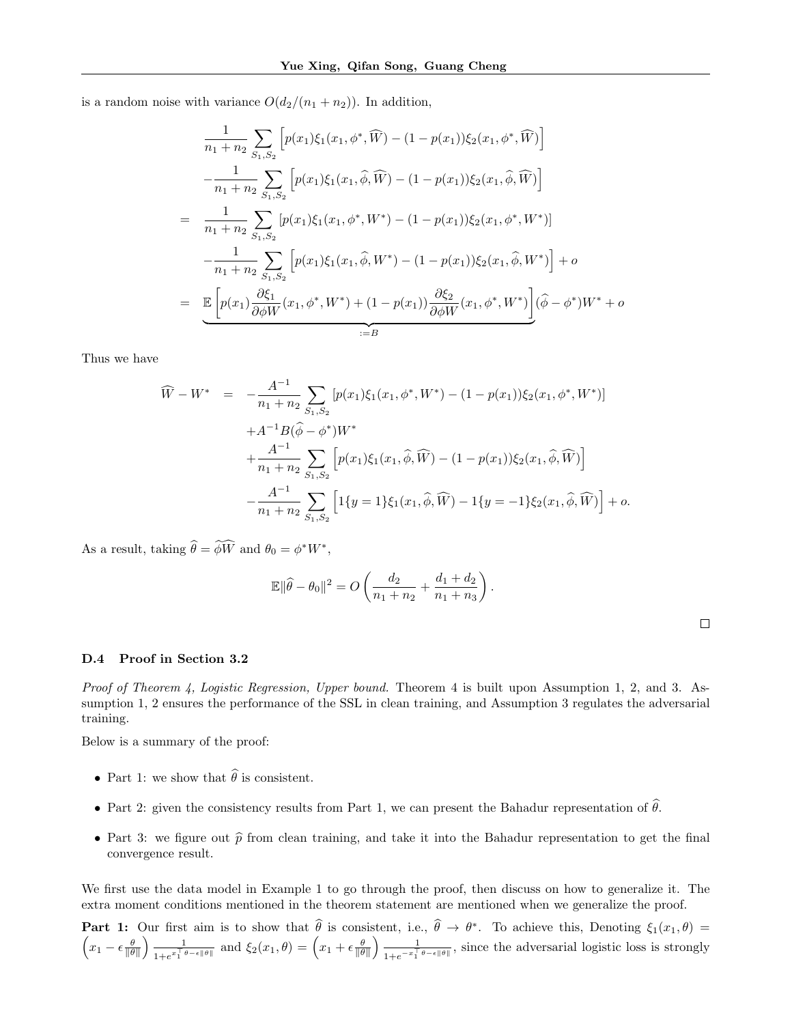is a random noise with variance  $O(d_2/(n_1 + n_2))$ . In addition,

$$
\frac{1}{n_1 + n_2} \sum_{S_1, S_2} \left[ p(x_1) \xi_1(x_1, \phi^*, \widehat{W}) - (1 - p(x_1)) \xi_2(x_1, \phi^*, \widehat{W}) \right]
$$

$$
- \frac{1}{n_1 + n_2} \sum_{S_1, S_2} \left[ p(x_1) \xi_1(x_1, \widehat{\phi}, \widehat{W}) - (1 - p(x_1)) \xi_2(x_1, \widehat{\phi}, \widehat{W}) \right]
$$

$$
= \frac{1}{n_1 + n_2} \sum_{S_1, S_2} \left[ p(x_1) \xi_1(x_1, \phi^*, W^*) - (1 - p(x_1)) \xi_2(x_1, \phi^*, W^*) \right]
$$

$$
- \frac{1}{n_1 + n_2} \sum_{S_1, S_2} \left[ p(x_1) \xi_1(x_1, \widehat{\phi}, W^*) - (1 - p(x_1)) \xi_2(x_1, \widehat{\phi}, W^*) \right] + o
$$

$$
= \underbrace{\mathbb{E} \left[ p(x_1) \frac{\partial \xi_1}{\partial \phi W}(x_1, \phi^*, W^*) + (1 - p(x_1)) \frac{\partial \xi_2}{\partial \phi W}(x_1, \phi^*, W^*) \right]}_{:=B} (\widehat{\phi} - \phi^*) W^* + o
$$

Thus we have

$$
\widehat{W} - W^* = -\frac{A^{-1}}{n_1 + n_2} \sum_{S_1, S_2} \left[ p(x_1) \xi_1(x_1, \phi^*, W^*) - (1 - p(x_1)) \xi_2(x_1, \phi^*, W^*) \right] \n+ A^{-1} B(\widehat{\phi} - \phi^*) W^* \n+ \frac{A^{-1}}{n_1 + n_2} \sum_{S_1, S_2} \left[ p(x_1) \xi_1(x_1, \widehat{\phi}, \widehat{W}) - (1 - p(x_1)) \xi_2(x_1, \widehat{\phi}, \widehat{W}) \right] \n- \frac{A^{-1}}{n_1 + n_2} \sum_{S_1, S_2} \left[ 1 \{ y = 1 \} \xi_1(x_1, \widehat{\phi}, \widehat{W}) - 1 \{ y = -1 \} \xi_2(x_1, \widehat{\phi}, \widehat{W}) \right] + o.
$$

As a result, taking  $\widehat{\theta} = \widetilde{\phi W}$  and  $\theta_0 = \phi^* W^*$ ,

$$
\mathbb{E} \|\widehat{\theta} - \theta_0\|^2 = O\left(\frac{d_2}{n_1 + n_2} + \frac{d_1 + d_2}{n_1 + n_3}\right).
$$

#### D.4 Proof in Section 3.2

*Proof of Theorem 4, Logistic Regression, Upper bound.* Theorem 4 is built upon Assumption 1, 2, and 3. Assumption 1, 2 ensures the performance of the SSL in clean training, and Assumption 3 regulates the adversarial training.

Below is a summary of the proof:

- Part 1: we show that  $\widehat{\theta}$  is consistent.
- Part 2: given the consistency results from Part 1, we can present the Bahadur representation of  $\hat{\theta}$ .
- Part 3: we figure out  $\hat{p}$  from clean training, and take it into the Bahadur representation to get the final convergence result.

We first use the data model in Example 1 to go through the proof, then discuss on how to generalize it. The extra moment conditions mentioned in the theorem statement are mentioned when we generalize the proof.

**Part 1:** Our first aim is to show that  $\hat{\theta}$  is consistent, i.e.,  $\hat{\theta} \to \theta^*$ . To achieve this, Denoting  $\xi_1(x_1, \theta) = \hat{\theta}$  $\left(x_1 - \epsilon \frac{\theta}{\|\theta\|}\right) \frac{1}{1 + e^{x_1^{\top} \theta}}$  $\frac{1}{1+e^{x_1^\top \theta-\epsilon \|\theta\|}}$  and  $\xi_2(x_1,\theta)=\left(x_1+\epsilon \frac{\theta}{\|\theta\|}\right) \frac{1}{1+e^{-x_1^\top}}$  $\frac{1}{1+e^{-x}\bar{1}^{\theta}-\epsilon\|\theta\|}$ , since the adversarial logistic loss is strongly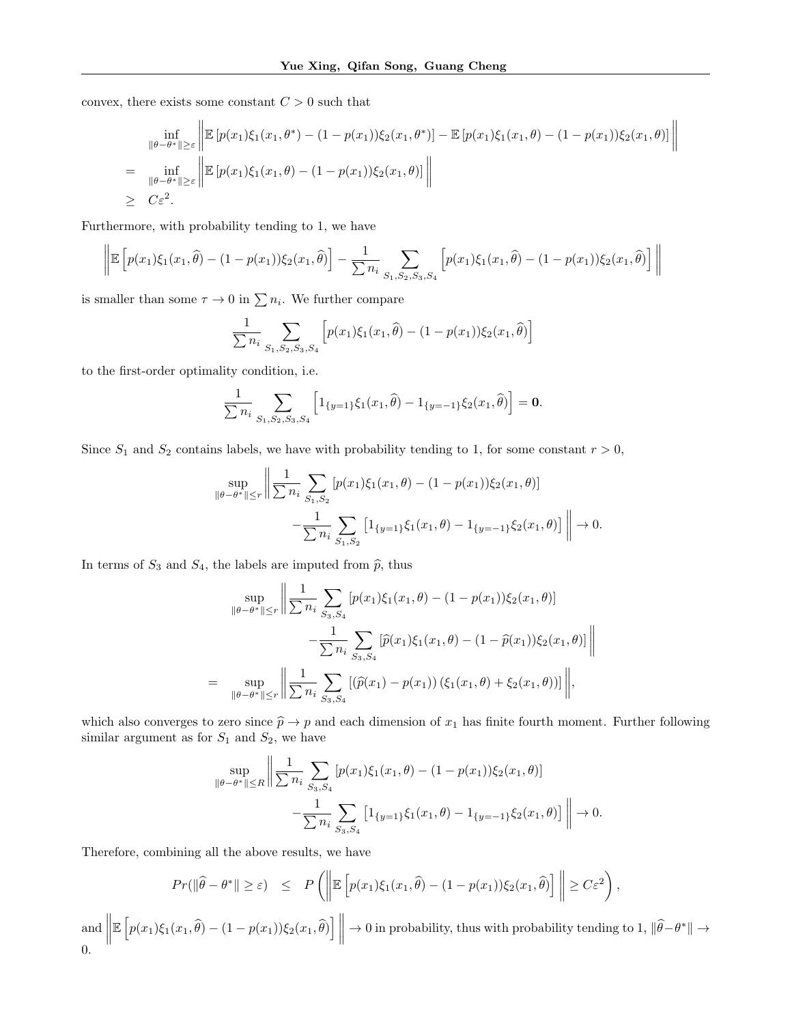convex, there exists some constant  $C > 0$  such that

$$
\inf_{\|\theta - \theta^*\| \ge \varepsilon} \left\| \mathbb{E} \left[ p(x_1) \xi_1(x_1, \theta^*) - (1 - p(x_1)) \xi_2(x_1, \theta^*) \right] - \mathbb{E} \left[ p(x_1) \xi_1(x_1, \theta) - (1 - p(x_1)) \xi_2(x_1, \theta) \right] \right\|
$$
\n
$$
= \inf_{\|\theta - \theta^*\| \ge \varepsilon} \left\| \mathbb{E} \left[ p(x_1) \xi_1(x_1, \theta) - (1 - p(x_1)) \xi_2(x_1, \theta) \right] \right\|
$$
\n
$$
\ge C\varepsilon^2.
$$

Furthermore, with probability tending to 1, we have

$$
\left\| \mathbb{E}\left[ p(x_1)\xi_1(x_1,\widehat{\theta}) - (1-p(x_1))\xi_2(x_1,\widehat{\theta}) \right] - \frac{1}{\sum n_i} \sum_{S_1, S_2, S_3, S_4} \left[ p(x_1)\xi_1(x_1,\widehat{\theta}) - (1-p(x_1))\xi_2(x_1,\widehat{\theta}) \right] \right\|
$$

is smaller than some  $\tau \to 0$  in  $\sum n_i$ . We further compare

$$
\frac{1}{\sum n_i} \sum_{S_1, S_2, S_3, S_4} \left[ p(x_1) \xi_1(x_1, \hat{\theta}) - (1 - p(x_1)) \xi_2(x_1, \hat{\theta}) \right]
$$

to the first-order optimality condition, i.e.

$$
\frac{1}{\sum n_i} \sum_{S_1, S_2, S_3, S_4} \left[ 1_{\{y=1\}} \xi_1(x_1, \hat{\theta}) - 1_{\{y=-1\}} \xi_2(x_1, \hat{\theta}) \right] = \mathbf{0}.
$$

Since  $S_1$  and  $S_2$  contains labels, we have with probability tending to 1, for some constant  $r > 0$ ,

$$
\sup_{\|\theta-\theta^*\| \le r} \left\| \frac{1}{\sum n_i} \sum_{S_1, S_2} \left[ p(x_1) \xi_1(x_1, \theta) - (1 - p(x_1)) \xi_2(x_1, \theta) \right] - \frac{1}{\sum n_i} \sum_{S_1, S_2} \left[ 1_{\{y=1\}} \xi_1(x_1, \theta) - 1_{\{y=-1\}} \xi_2(x_1, \theta) \right] \right\| \to 0.
$$

In terms of  $S_3$  and  $S_4$ , the labels are imputed from  $\hat{p}$ , thus

$$
\sup_{\|\theta-\theta^*\| \le r} \left\| \frac{1}{\sum n_i} \sum_{S_3, S_4} \left[ p(x_1) \xi_1(x_1, \theta) - (1 - p(x_1)) \xi_2(x_1, \theta) \right] - \frac{1}{\sum n_i} \sum_{S_3, S_4} \left[ \hat{p}(x_1) \xi_1(x_1, \theta) - (1 - \hat{p}(x_1)) \xi_2(x_1, \theta) \right] \right\|
$$
  
= 
$$
\sup_{\|\theta-\theta^*\| \le r} \left\| \frac{1}{\sum n_i} \sum_{S_3, S_4} \left[ (\hat{p}(x_1) - p(x_1)) \left( \xi_1(x_1, \theta) + \xi_2(x_1, \theta) \right) \right] \right\|,
$$

which also converges to zero since  $\hat{p} \to p$  and each dimension of  $x_1$  has finite fourth moment. Further following similar argument as for  $S_1$  and  $S_2$ , we have

$$
\sup_{\|\theta-\theta^*\| \le R} \left\| \frac{1}{\sum n_i} \sum_{S_3, S_4} \left[ p(x_1) \xi_1(x_1, \theta) - (1 - p(x_1)) \xi_2(x_1, \theta) \right] - \frac{1}{\sum n_i} \sum_{S_3, S_4} \left[ 1_{\{y=1\}} \xi_1(x_1, \theta) - 1_{\{y=-1\}} \xi_2(x_1, \theta) \right] \right\| \to 0.
$$

Therefore, combining all the above results, we have

$$
Pr(\|\widehat{\theta} - \theta^*\| \geq \varepsilon) \leq P\left(\left\|\mathbb{E}\left[p(x_1)\xi_1(x_1,\widehat{\theta}) - (1 - p(x_1))\xi_2(x_1,\widehat{\theta})\right]\right\| \geq C\varepsilon^2\right),
$$

and  $\parallel$  $\mathbb{E}\left[p(x_1)\xi_1(x_1,\widehat{\theta})-(1-p(x_1))\xi_2(x_1,\widehat{\theta})\right]\Big|\to 0$  in probability, thus with probability tending to 1,  $\|\widehat{\theta}-\theta^*\| \to$ 0.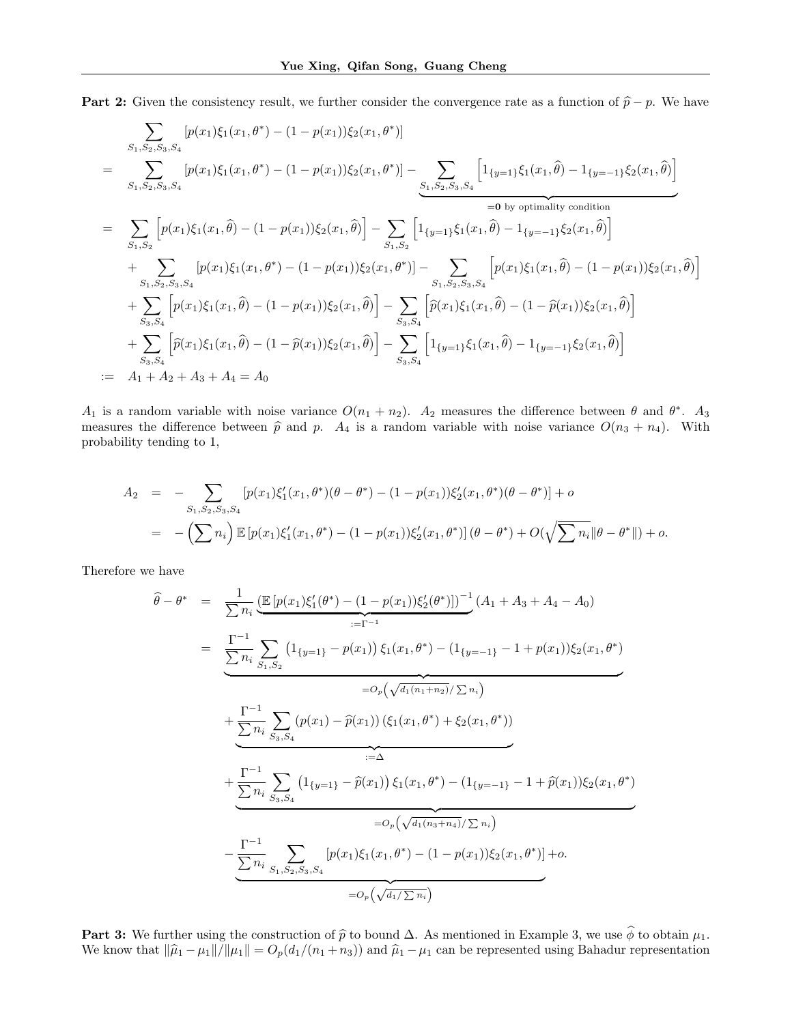**Part 2:** Given the consistency result, we further consider the convergence rate as a function of  $\hat{p} - p$ . We have

$$
\sum_{S_1, S_2, S_3, S_4} [p(x_1)\xi_1(x_1, \theta^*) - (1 - p(x_1))\xi_2(x_1, \theta^*)]
$$
\n
$$
= \sum_{S_1, S_2, S_3, S_4} [p(x_1)\xi_1(x_1, \theta^*) - (1 - p(x_1))\xi_2(x_1, \theta^*)] - \sum_{S_1, S_2, S_3, S_4} \left[1_{\{y=1\}}\xi_1(x_1, \hat{\theta}) - 1_{\{y=-1\}}\xi_2(x_1, \hat{\theta})\right]
$$
\n
$$
= \sum_{S_1, S_2} \left[p(x_1)\xi_1(x_1, \hat{\theta}) - (1 - p(x_1))\xi_2(x_1, \hat{\theta})\right] - \sum_{S_1, S_2} \left[1_{\{y=1\}}\xi_1(x_1, \hat{\theta}) - 1_{\{y=-1\}}\xi_2(x_1, \hat{\theta})\right]
$$
\n
$$
+ \sum_{S_1, S_2, S_3, S_4} [p(x_1)\xi_1(x_1, \theta^*) - (1 - p(x_1))\xi_2(x_1, \theta^*)] - \sum_{S_1, S_2, S_3, S_4} \left[p(x_1)\xi_1(x_1, \hat{\theta}) - (1 - p(x_1))\xi_2(x_1, \hat{\theta})\right]
$$
\n
$$
+ \sum_{S_3, S_4} \left[p(x_1)\xi_1(x_1, \hat{\theta}) - (1 - p(x_1))\xi_2(x_1, \hat{\theta})\right] - \sum_{S_3, S_4} \left[\hat{p}(x_1)\xi_1(x_1, \hat{\theta}) - (1 - \hat{p}(x_1))\xi_2(x_1, \hat{\theta})\right]
$$
\n
$$
+ \sum_{S_3, S_4} \left[\hat{p}(x_1)\xi_1(x_1, \hat{\theta}) - (1 - \hat{p}(x_1))\xi_2(x_1, \hat{\theta})\right] - \sum_{S_3, S_4} \left[1_{\{y=1\}}\xi_1(x_1, \hat{\theta}) - 1_{\{y=-1\}}\xi_2(x_1, \hat{\theta})\right]
$$
\n
$$
+ \sum_{S_3, S_4} \left[\hat{p}(x_1)\xi_1
$$

 $A_1$  is a random variable with noise variance  $O(n_1 + n_2)$ .  $A_2$  measures the difference between  $\theta$  and  $\theta^*$ .  $A_3$ measures the difference between  $\hat{p}$  and p. A<sub>4</sub> is a random variable with noise variance  $O(n_3 + n_4)$ . With probability tending to 1,

$$
A_2 = - \sum_{S_1, S_2, S_3, S_4} [p(x_1)\xi_1'(x_1, \theta^*)(\theta - \theta^*) - (1 - p(x_1))\xi_2'(x_1, \theta^*)(\theta - \theta^*)] + o
$$
  
= 
$$
- \left(\sum n_i\right) \mathbb{E}\left[p(x_1)\xi_1'(x_1, \theta^*) - (1 - p(x_1))\xi_2'(x_1, \theta^*)\right](\theta - \theta^*) + O(\sqrt{\sum n_i} \|\theta - \theta^*\|) + o.
$$

Therefore we have

$$
\hat{\theta} - \theta^* = \frac{1}{\sum n_i} \underbrace{(\mathbb{E} \left[ p(x_1) \xi_1'(\theta^*) - (1 - p(x_1)) \xi_2'(\theta^*) \right])^{-1}}_{:=\Gamma^{-1}} (A_1 + A_3 + A_4 - A_0)
$$
\n
$$
= \underbrace{\frac{\Gamma^{-1}}{\sum n_i} \sum_{S_1, S_2} (1_{\{y=1\}} - p(x_1)) \xi_1(x_1, \theta^*) - (1_{\{y=-1\}} - 1 + p(x_1)) \xi_2(x_1, \theta^*)}_{=O_p(\sqrt{d_1(n_1+n_2)}/\sum n_i)}
$$
\n
$$
+ \underbrace{\frac{\Gamma^{-1}}{\sum n_i} \sum_{S_3, S_4} (p(x_1) - \hat{p}(x_1)) (\xi_1(x_1, \theta^*) + \xi_2(x_1, \theta^*))}_{:=\Delta}
$$
\n
$$
+ \underbrace{\frac{\Gamma^{-1}}{\sum n_i} \sum_{S_3, S_4} (1_{\{y=1\}} - \hat{p}(x_1)) \xi_1(x_1, \theta^*) - (1_{\{y=-1\}} - 1 + \hat{p}(x_1)) \xi_2(x_1, \theta^*)}_{=O_p(\sqrt{d_1(n_3+n_4)}/\sum n_i)}
$$
\n
$$
- \underbrace{\frac{\Gamma^{-1}}{\sum n_i} \sum_{S_1, S_2, S_3, S_4} [p(x_1) \xi_1(x_1, \theta^*) - (1 - p(x_1)) \xi_2(x_1, \theta^*)] + o.}_{=O_p(\sqrt{d_1/\sum n_i})}
$$

**Part 3:** We further using the construction of  $\hat{p}$  to bound  $\Delta$ . As mentioned in Example 3, we use  $\hat{\phi}$  to obtain  $\mu_1$ . We know that  $\|\hat{\mu}_1 - \mu_1\|/\|\mu_1\| = O_p(d_1/(n_1 + n_3))$  and  $\hat{\mu}_1 - \mu_1$  can be represented using Bahadur representation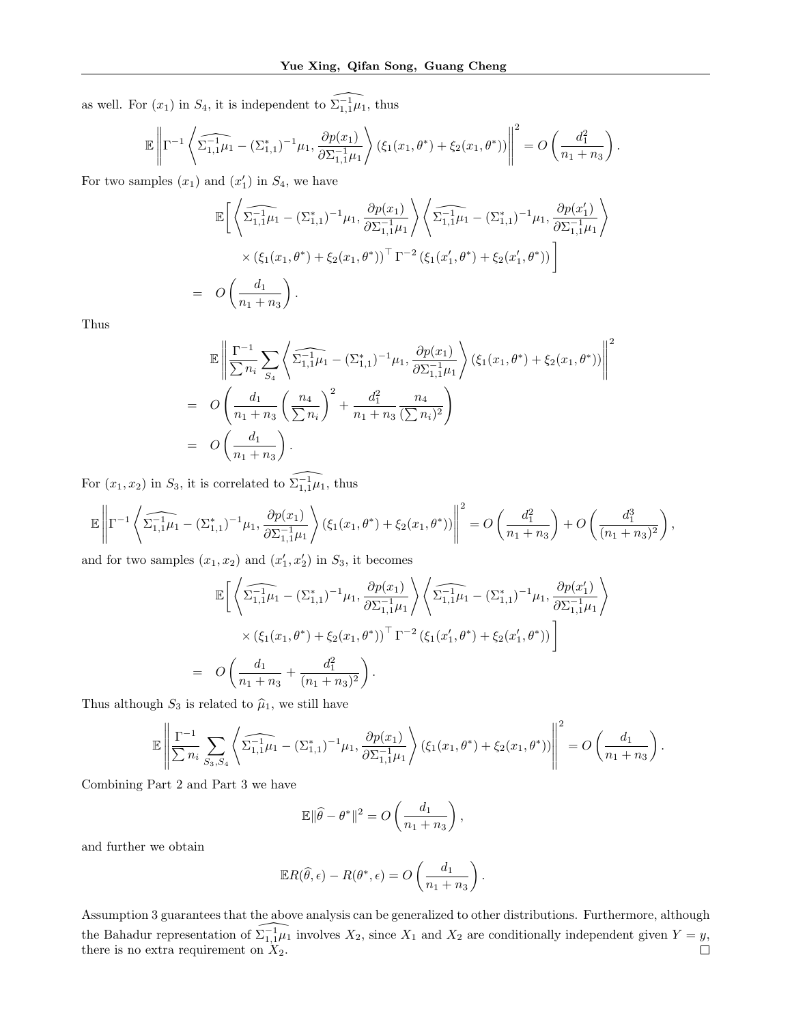as well. For  $(x_1)$  in  $S_4$ , it is independent to  $\widehat{\Sigma_{1,1}^{-1}\mu_1}$ , thus

$$
\mathbb{E}\left\|\Gamma^{-1}\left\langle\widehat{\Sigma_{1,1}^{-1}\mu_1} - (\Sigma_{1,1}^*)^{-1}\mu_1, \frac{\partial p(x_1)}{\partial \Sigma_{1,1}^{-1}\mu_1}\right\rangle(\xi_1(x_1,\theta^*) + \xi_2(x_1,\theta^*))\right\|^2 = O\left(\frac{d_1^2}{n_1+n_3}\right)
$$

.

For two samples  $(x_1)$  and  $(x'_1)$  in  $S_4$ , we have

$$
\mathbb{E}\bigg[\bigg\langle \widehat{\Sigma_{1,1}^{-1}\mu_1} - (\Sigma_{1,1}^*)^{-1}\mu_1, \frac{\partial p(x_1)}{\partial \Sigma_{1,1}^{-1}\mu_1} \bigg\rangle \bigg\langle \widehat{\Sigma_{1,1}^{-1}\mu_1} - (\Sigma_{1,1}^*)^{-1}\mu_1, \frac{\partial p(x_1')}{\partial \Sigma_{1,1}^{-1}\mu_1} \bigg\rangle
$$
  
 
$$
\times (\xi_1(x_1, \theta^*) + \xi_2(x_1, \theta^*))^\top \Gamma^{-2} (\xi_1(x_1', \theta^*) + \xi_2(x_1', \theta^*))\bigg]
$$
  
=  $O\bigg(\frac{d_1}{n_1 + n_3}\bigg).$ 

Thus

$$
\mathbb{E}\left\|\frac{\Gamma^{-1}}{\sum n_i}\sum_{S_4}\left\langle\widehat{\Sigma_{1,1}^{-1}\mu_1} - (\Sigma_{1,1}^*)^{-1}\mu_1, \frac{\partial p(x_1)}{\partial \Sigma_{1,1}^{-1}\mu_1}\right\rangle(\xi_1(x_1,\theta^*) + \xi_2(x_1,\theta^*))\right\|^2
$$
  
=  $O\left(\frac{d_1}{n_1+n_3}\left(\frac{n_4}{\sum n_i}\right)^2 + \frac{d_1^2}{n_1+n_3}\frac{n_4}{(\sum n_i)^2}\right)$   
=  $O\left(\frac{d_1}{n_1+n_3}\right)$ .

For  $(x_1, x_2)$  in  $S_3$ , it is correlated to  $\widehat{\Sigma_{1,1}^{-1}\mu_1}$ , thus

$$
\mathbb{E}\left\|\Gamma^{-1}\left\langle\widehat{\Sigma_{1,1}^{-1}\mu_1} - (\Sigma_{1,1}^*)^{-1}\mu_1, \frac{\partial p(x_1)}{\partial\Sigma_{1,1}^{-1}\mu_1}\right\rangle(\xi_1(x_1,\theta^*) + \xi_2(x_1,\theta^*))\right\|^2 = O\left(\frac{d_1^2}{n_1+n_3}\right) + O\left(\frac{d_1^3}{(n_1+n_3)^2}\right),
$$

and for two samples  $(x_1, x_2)$  and  $(x'_1, x'_2)$  in  $S_3$ , it becomes

$$
\mathbb{E}\bigg[\bigg\langle \widehat{\Sigma_{1,1}^{-1}\mu_1} - (\Sigma_{1,1}^*)^{-1}\mu_1, \frac{\partial p(x_1)}{\partial \Sigma_{1,1}^{-1}\mu_1} \bigg\rangle \bigg\langle \widehat{\Sigma_{1,1}^{-1}\mu_1} - (\Sigma_{1,1}^*)^{-1}\mu_1, \frac{\partial p(x_1')}{\partial \Sigma_{1,1}^{-1}\mu_1} \bigg\rangle
$$
  
 
$$
\times (\xi_1(x_1, \theta^*) + \xi_2(x_1, \theta^*))^\top \Gamma^{-2} (\xi_1(x_1', \theta^*) + \xi_2(x_1', \theta^*))\bigg]
$$
  
=  $O\bigg(\frac{d_1}{n_1 + n_3} + \frac{d_1^2}{(n_1 + n_3)^2}\bigg).$ 

Thus although  $S_3$  is related to  $\hat{\mu}_1$ , we still have

$$
\mathbb{E}\left\|\frac{\Gamma^{-1}}{\sum n_i}\sum_{S_3,S_4}\left\langle\widehat{\Sigma_{1,1}^{-1}\mu_1}-(\Sigma_{1,1}^*)^{-1}\mu_1,\frac{\partial p(x_1)}{\partial \Sigma_{1,1}^{-1}\mu_1}\right\rangle(\xi_1(x_1,\theta^*)+\xi_2(x_1,\theta^*))\right\|^2=O\left(\frac{d_1}{n_1+n_3}\right).
$$

Combining Part 2 and Part 3 we have

$$
\mathbb{E} \|\widehat{\theta} - \theta^*\|^2 = O\left(\frac{d_1}{n_1 + n_3}\right),\,
$$

and further we obtain

$$
\mathbb{E}R(\widehat{\theta}, \epsilon) - R(\theta^*, \epsilon) = O\left(\frac{d_1}{n_1 + n_3}\right).
$$

Assumption 3 guarantees that the above analysis can be generalized to other distributions. Furthermore, although the Bahadur representation of  $\widehat{\Sigma_{1,1}^{-1}\mu_1}$  involves  $X_2$ , since  $X_1$  and  $X_2$  are conditionally independent given  $Y = y$ , there is no extra requirement on  $X_2$ .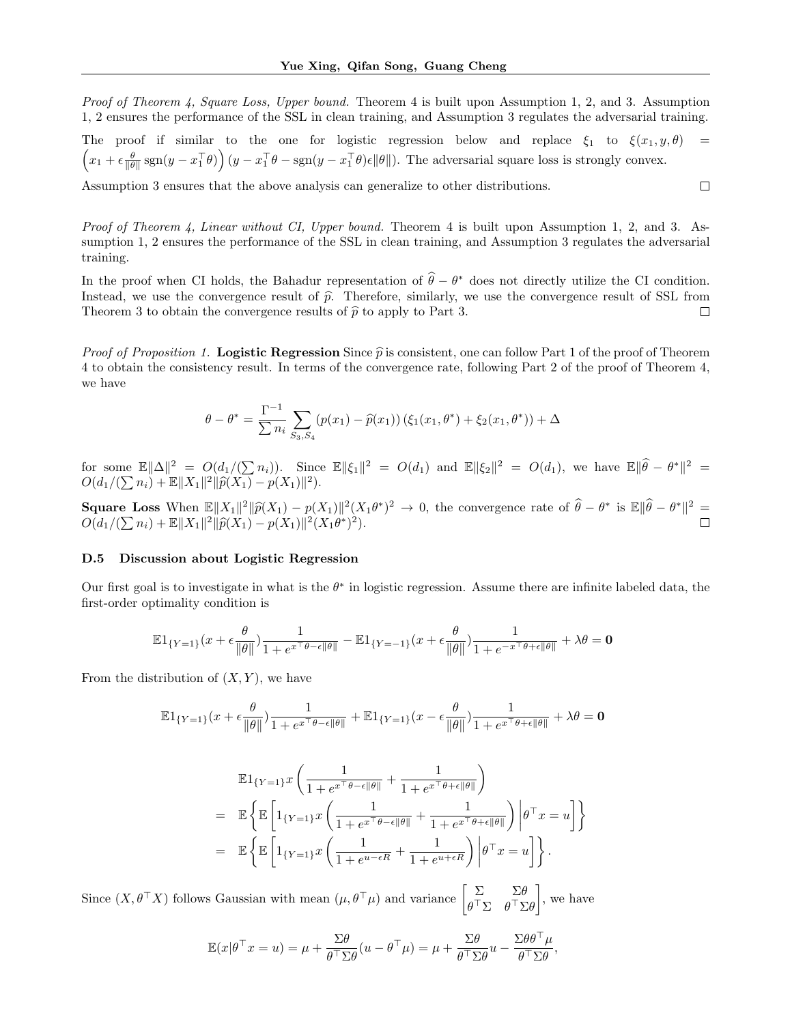Proof of Theorem 4, Square Loss, Upper bound. Theorem 4 is built upon Assumption 1, 2, and 3. Assumption 1, 2 ensures the performance of the SSL in clean training, and Assumption 3 regulates the adversarial training.

The proof if similar to the one for logistic regression below and replace  $\xi_1$  to  $\xi(x_1, y, \theta)$  =  $\left(x_1 + \epsilon \frac{\theta}{\|\theta\|} \operatorname{sgn}(y - x_1^\top \theta)\right)(y - x_1^\top \theta - \operatorname{sgn}(y - x_1^\top \theta)\epsilon \|\theta\|).$  The adversarial square loss is strongly convex.

Assumption 3 ensures that the above analysis can generalize to other distributions.

*Proof of Theorem 4, Linear without CI, Upper bound.* Theorem 4 is built upon Assumption 1, 2, and 3. Assumption 1, 2 ensures the performance of the SSL in clean training, and Assumption 3 regulates the adversarial training.

In the proof when CI holds, the Bahadur representation of  $\hat{\theta} - \theta^*$  does not directly utilize the CI condition. Instead, we use the convergence result of  $\hat{p}$ . Therefore, similarly, we use the convergence result of SSL from Theorem 3 to obtain the convergence results of  $\hat{p}$  to apply to Part 3. Theorem 3 to obtain the convergence results of  $\hat{p}$  to apply to Part 3.

*Proof of Proposition 1.* Logistic Regression Since  $\hat{p}$  is consistent, one can follow Part 1 of the proof of Theorem 4 to obtain the consistency result. In terms of the convergence rate, following Part 2 of the proof of Theorem 4, we have

$$
\theta - \theta^* = \frac{\Gamma^{-1}}{\sum n_i} \sum_{S_3, S_4} (p(x_1) - \widehat{p}(x_1)) (\xi_1(x_1, \theta^*) + \xi_2(x_1, \theta^*)) + \Delta
$$

for some  $\mathbb{E} \|\Delta\|^2 = O(d_1/(\sum n_i))$ . Since  $\mathbb{E} \|\xi_1\|^2 = O(d_1)$  and  $\mathbb{E} \|\xi_2\|^2 = O(d_1)$ , we have  $\mathbb{E} \|\widehat{\theta} - \theta^*\|^2 = O(d_1)$ .  $O(d_1/(\sum n_i) + \mathbb{E} ||X_1||^2 || \widehat{p}(X_1) - p(X_1)||^2).$ 

Square Loss When  $\mathbb{E} \|X_1\|^2 \|\widehat{p}(X_1) - p(X_1)\|^2 (X_1\theta^*)^2 \to 0$ , the convergence rate of  $\widehat{\theta} - \theta^*$  is  $\mathbb{E} \|\widehat{\theta} - \theta^*\|^2 = O(d_1/(\sum n_i) + \mathbb{E} \|X_1\|^2 \|\widehat{p}(X_1) - p(X_1)\|^2 (X_1\theta^*)^2)$  $O(d_1/(\sum n_i) + \mathbb{E}||X_1||^2||\hat{p}(X_1) - p(X_1)||^2(X_1\theta^*)^2).$ 

#### D.5 Discussion about Logistic Regression

Our first goal is to investigate in what is the  $\theta^*$  in logistic regression. Assume there are infinite labeled data, the first-order optimality condition is

$$
\mathbb{E} \textbf{1}_{\{Y=1\}}(x+\epsilon \frac{\theta}{\|\theta\|})\frac{1}{1+e^{x^\top \theta-\epsilon \|\theta\|}} - \mathbb{E} \textbf{1}_{\{Y=-1\}}(x+\epsilon \frac{\theta}{\|\theta\|})\frac{1}{1+e^{-x^\top \theta+\epsilon \|\theta\|}} + \lambda \theta = \mathbf{0}
$$

From the distribution of  $(X, Y)$ , we have

$$
\mathbb{E}1_{\{Y=1\}}(x+\epsilon\frac{\theta}{\|\theta\|})\frac{1}{1+e^{x^{\top}\theta-\epsilon\|\theta\|}}+\mathbb{E}1_{\{Y=1\}}(x-\epsilon\frac{\theta}{\|\theta\|})\frac{1}{1+e^{x^{\top}\theta+\epsilon\|\theta\|}}+\lambda\theta=\mathbf{0}
$$

$$
\mathbb{E}1_{\{Y=1\}}x\left(\frac{1}{1+e^{x^\top\theta-\epsilon\|\theta\|}}+\frac{1}{1+e^{x^\top\theta+\epsilon\|\theta\|}}\right)
$$
\n
$$
=\mathbb{E}\left\{\mathbb{E}\left[1_{\{Y=1\}}x\left(\frac{1}{1+e^{x^\top\theta-\epsilon\|\theta\|}}+\frac{1}{1+e^{x^\top\theta+\epsilon\|\theta\|}}\right)\Big|\theta^\top x=u\right]\right\}
$$
\n
$$
=\mathbb{E}\left\{\mathbb{E}\left[1_{\{Y=1\}}x\left(\frac{1}{1+e^{u-\epsilon R}}+\frac{1}{1+e^{u+\epsilon R}}\right)\Big|\theta^\top x=u\right]\right\}.
$$

Since  $(X, \theta^{\top} X)$  follows Gaussian with mean  $(\mu, \theta^{\top} \mu)$  and variance  $\begin{bmatrix} \Sigma & \Sigma \theta \\ \theta^{\top} \Sigma & \theta^{\top} \Sigma \end{bmatrix}$  $\theta^{\top} \Sigma$   $\theta^{\top} \Sigma \theta$  $\Big]$ , we have

$$
\mathbb{E}(x|\theta^{\top}x=u) = \mu + \frac{\Sigma\theta}{\theta^{\top}\Sigma\theta}(u-\theta^{\top}\mu) = \mu + \frac{\Sigma\theta}{\theta^{\top}\Sigma\theta}u - \frac{\Sigma\theta\theta^{\top}\mu}{\theta^{\top}\Sigma\theta},
$$

$$
\qquad \qquad \Box
$$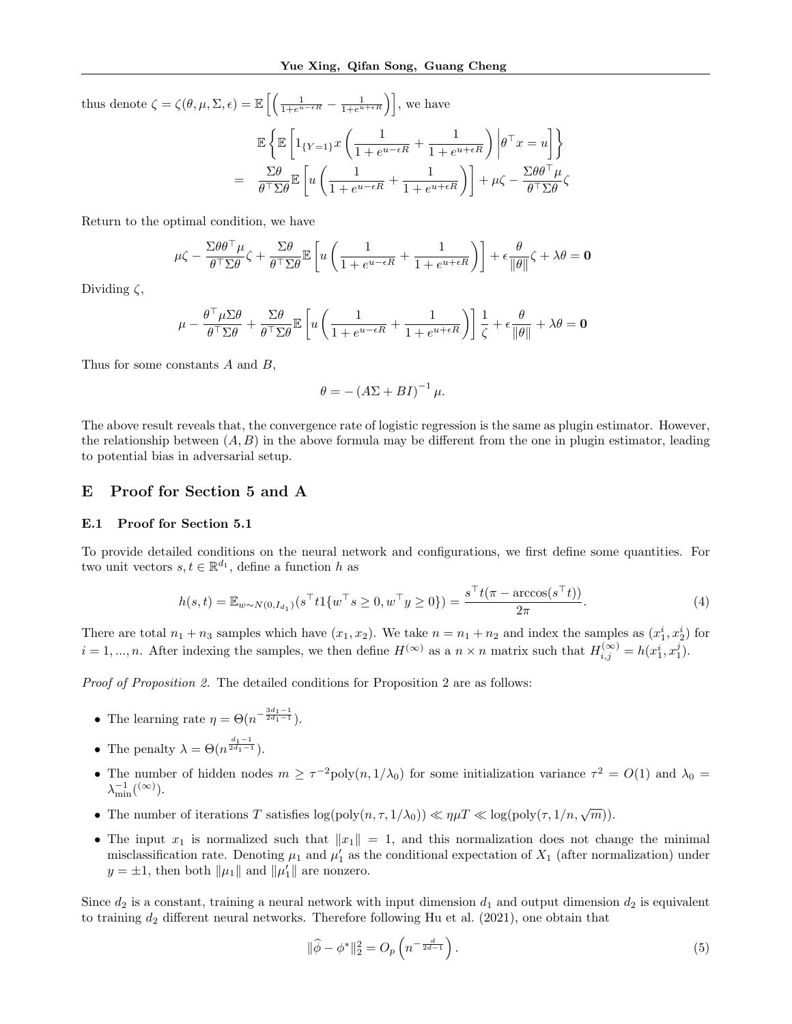$\frac{\partial}{\partial \sigma} \frac{\partial}{\partial \sigma} \frac{\partial}{\partial \sigma}$ 

thus denote  $\zeta = \zeta(\theta, \mu, \Sigma, \epsilon) = \mathbb{E}\left[\left(\frac{1}{1+e^{u-\epsilon R}} - \frac{1}{1+e^{u+\epsilon R}}\right)\right]$ , we have  $\mathbb{E}\left\{\mathbb{E}\left[1_{\{Y=1\}}x\left(\frac{1}{1+x}\right)\right]\right\}$  $\frac{1}{1 + e^{u - \epsilon R}} + \frac{1}{1 + e^u}$  $\frac{1}{1+e^{u+\epsilon R}}\Bigg)$  $\theta^\top x = u^\top$  $=\frac{\Sigma\theta}{\sqrt{2\pi}}$  $\theta^\top\Sigma\theta$  $\mathbb{E}\left[u\left(\frac{1}{1+t}\right)\right]$  $\frac{1}{1 + e^{u - \epsilon R}} + \frac{1}{1 + e^u}$  $\left(\frac{1}{1+e^{u+\epsilon R}}\right)\right] + \mu \zeta - \frac{\Sigma \theta \theta^\top \mu}{\theta^\top \Sigma \theta}$ 

Return to the optimal condition, we have

$$
\mu\zeta - \frac{\Sigma\theta\theta^\top\mu}{\theta^\top\Sigma\theta}\zeta + \frac{\Sigma\theta}{\theta^\top\Sigma\theta}\mathbb{E}\left[u\left(\frac{1}{1+e^{u-\epsilon R}}+\frac{1}{1+e^{u+\epsilon R}}\right)\right]+\epsilon\frac{\theta}{\|\theta\|}\zeta+\lambda\theta = \mathbf{0}
$$

Dividing  $\zeta$ ,

$$
\mu - \frac{\theta^\top \mu \Sigma \theta}{\theta^\top \Sigma \theta} + \frac{\Sigma \theta}{\theta^\top \Sigma \theta} \mathbb{E}\left[ u\left( \frac{1}{1+e^{u-\epsilon R}} + \frac{1}{1+e^{u+\epsilon R}} \right) \right] \frac{1}{\zeta} + \epsilon \frac{\theta}{\|\theta\|} + \lambda \theta = \mathbf{0}
$$

Thus for some constants A and B,

$$
\theta = - (A\Sigma + BI)^{-1} \mu.
$$

The above result reveals that, the convergence rate of logistic regression is the same as plugin estimator. However, the relationship between  $(A, B)$  in the above formula may be different from the one in plugin estimator, leading to potential bias in adversarial setup.

### E Proof for Section 5 and A

#### E.1 Proof for Section 5.1

To provide detailed conditions on the neural network and configurations, we first define some quantities. For two unit vectors  $s, t \in \mathbb{R}^{d_1}$ , define a function h as

$$
h(s,t) = \mathbb{E}_{w \sim N(0, I_{d_1})}(s^\top t \mathbf{1}\{w^\top s \ge 0, w^\top y \ge 0\}) = \frac{s^\top t(\pi - \arccos(s^\top t))}{2\pi}.
$$
\n(4)

There are total  $n_1 + n_3$  samples which have  $(x_1, x_2)$ . We take  $n = n_1 + n_2$  and index the samples as  $(x_1^i, x_2^i)$  for  $i = 1, ..., n$ . After indexing the samples, we then define  $H^{(\infty)}$  as a  $n \times n$  matrix such that  $H_{i,j}^{(\infty)} = h(x_1^i, x_1^j)$ .

Proof of Proposition 2. The detailed conditions for Proposition 2 are as follows:

- The learning rate  $\eta = \Theta(n^{-\frac{3d_1-1}{2d_1-1}})$ .
- The penalty  $\lambda = \Theta(n^{\frac{d_1-1}{2d_1-1}})$ .
- The number of hidden nodes  $m \ge \tau^{-2}$ poly $(n, 1/\lambda_0)$  for some initialization variance  $\tau^2 = O(1)$  and  $\lambda_0 =$  $\lambda_{\min}^{-1}({}^{(\infty)}).$
- The number of iterations T satisfies  $\log(\text{poly}(n, \tau, 1/\lambda_0)) \ll \eta \mu T \ll \log(\text{poly}(\tau, 1/n, \sqrt{m})).$
- The input  $x_1$  is normalized such that  $||x_1|| = 1$ , and this normalization does not change the minimal misclassification rate. Denoting  $\mu_1$  and  $\mu'_1$  as the conditional expectation of  $X_1$  (after normalization) under  $y = \pm 1$ , then both  $\|\mu_1\|$  and  $\|\mu'_1\|$  are nonzero.

Since  $d_2$  is a constant, training a neural network with input dimension  $d_1$  and output dimension  $d_2$  is equivalent to training  $d_2$  different neural networks. Therefore following Hu et al. (2021), one obtain that

$$
\|\hat{\phi} - \phi^*\|_2^2 = O_p\left(n^{-\frac{d}{2d-1}}\right).
$$
\n(5)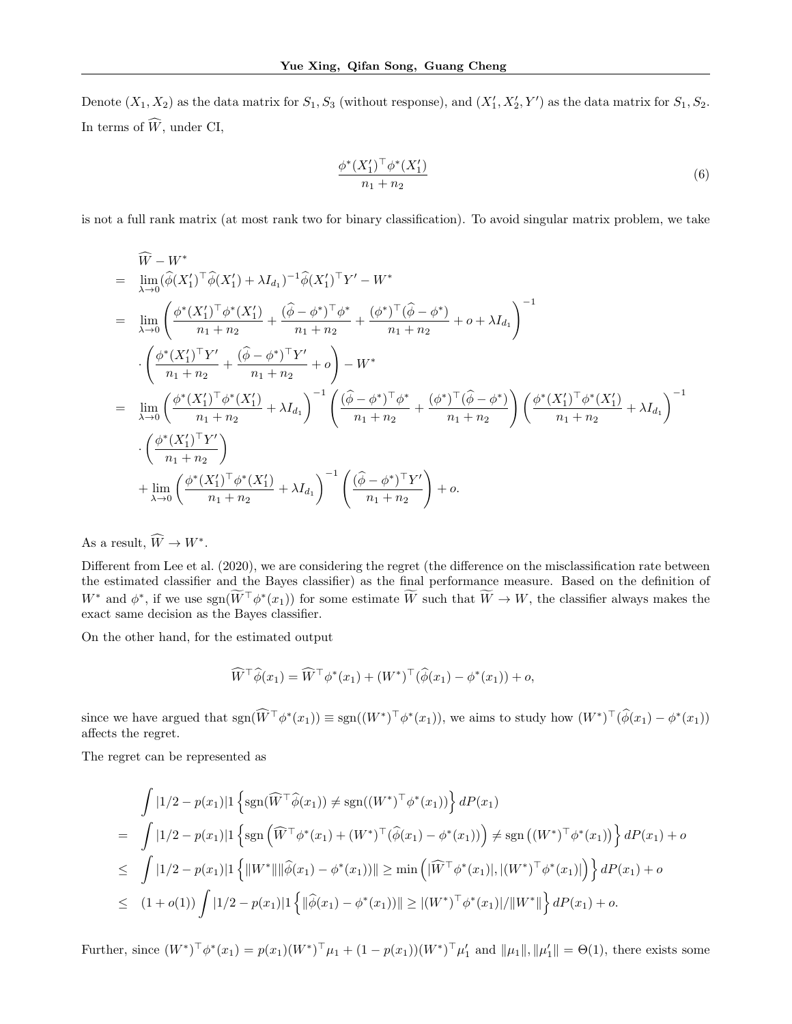Denote  $(X_1, X_2)$  as the data matrix for  $S_1, S_3$  (without response), and  $(X'_1, X'_2, Y')$  as the data matrix for  $S_1, S_2$ . In terms of  $\widehat{W}$ , under CI,

$$
\frac{\phi^*(X_1')^\top \phi^*(X_1')}{n_1 + n_2} \tag{6}
$$

is not a full rank matrix (at most rank two for binary classification). To avoid singular matrix problem, we take

$$
\begin{split}\n\widehat{W} - W^* \\
&= \lim_{\lambda \to 0} (\widehat{\phi}(X_1')^\top \widehat{\phi}(X_1') + \lambda I_{d_1})^{-1} \widehat{\phi}(X_1')^\top Y' - W^* \\
&= \lim_{\lambda \to 0} \left( \frac{\phi^*(X_1')^\top \phi^*(X_1')}{n_1 + n_2} + \frac{(\widehat{\phi} - \phi^*)^\top \phi^*}{n_1 + n_2} + \frac{(\phi^*)^\top (\widehat{\phi} - \phi^*)}{n_1 + n_2} + o + \lambda I_{d_1} \right)^{-1} \\
&\cdot \left( \frac{\phi^*(X_1')^\top Y'}{n_1 + n_2} + \frac{(\widehat{\phi} - \phi^*)^\top Y'}{n_1 + n_2} + o \right) - W^* \\
&= \lim_{\lambda \to 0} \left( \frac{\phi^*(X_1')^\top \phi^*(X_1')}{n_1 + n_2} + \lambda I_{d_1} \right)^{-1} \left( \frac{(\widehat{\phi} - \phi^*)^\top \phi^*}{n_1 + n_2} + \frac{(\phi^*)^\top (\widehat{\phi} - \phi^*)}{n_1 + n_2} \right) \left( \frac{\phi^*(X_1')^\top \phi^*(X_1')}{n_1 + n_2} + \lambda I_{d_1} \right)^{-1} \\
&\cdot \left( \frac{\phi^*(X_1')^\top Y'}{n_1 + n_2} \right) \\
&+ \lim_{\lambda \to 0} \left( \frac{\phi^*(X_1')^\top \phi^*(X_1')}{n_1 + n_2} + \lambda I_{d_1} \right)^{-1} \left( \frac{(\widehat{\phi} - \phi^*)^\top Y'}{n_1 + n_2} \right) + o.\n\end{split}
$$

As a result,  $\widehat{W} \to W^*$ .

Different from Lee et al. (2020), we are considering the regret (the difference on the misclassification rate between the estimated classifier and the Bayes classifier) as the final performance measure. Based on the definition of  $W^*$  and  $\phi^*$ , if we use  $sgn(\tilde{W}^{\top}\phi^*(x_1))$  for some estimate  $\tilde{W}$  such that  $\tilde{W} \to W$ , the classifier always makes the exact same decision as the Bayes classifier.

On the other hand, for the estimated output

$$
\widehat{W}^{\top}\widehat{\phi}(x_1) = \widehat{W}^{\top}\phi^*(x_1) + (W^*)^{\top}(\widehat{\phi}(x_1) - \phi^*(x_1)) + o,
$$

since we have argued that  $sgn(\hat{W}^\top \phi^*(x_1)) \equiv sgn((W^*)^\top \phi^*(x_1)),$  we aims to study how  $(W^*)^\top (\hat{\phi}(x_1) - \phi^*(x_1))$ affects the regret.

The regret can be represented as

$$
\int |1/2 - p(x_1)| \left\{ \operatorname{sgn}(\widehat{W}^\top \widehat{\phi}(x_1)) \neq \operatorname{sgn}((W^*)^\top \phi^*(x_1)) \right\} dP(x_1)
$$
\n
$$
= \int |1/2 - p(x_1)| \left\{ \operatorname{sgn}(\widehat{W}^\top \phi^*(x_1) + (W^*)^\top (\widehat{\phi}(x_1) - \phi^*(x_1)) \right\} \neq \operatorname{sgn}((W^*)^\top \phi^*(x_1)) \right\} dP(x_1) + o
$$
\n
$$
\leq \int |1/2 - p(x_1)| \left\{ \|W^*\| \|\widehat{\phi}(x_1) - \phi^*(x_1))\| \geq \min\left( |\widehat{W}^\top \phi^*(x_1)|, |(W^*)^\top \phi^*(x_1)| \right) \right\} dP(x_1) + o
$$
\n
$$
\leq (1 + o(1)) \int |1/2 - p(x_1)| \left\{ \|\widehat{\phi}(x_1) - \phi^*(x_1))\| \geq |(W^*)^\top \phi^*(x_1)| / \|W^*\| \right\} dP(x_1) + o.
$$

Further, since  $(W^*)^{\top} \phi^*(x_1) = p(x_1)(W^*)^{\top} \mu_1 + (1 - p(x_1))(W^*)^{\top} \mu_1'$  and  $\|\mu_1\|, \|\mu_1'\| = \Theta(1)$ , there exists some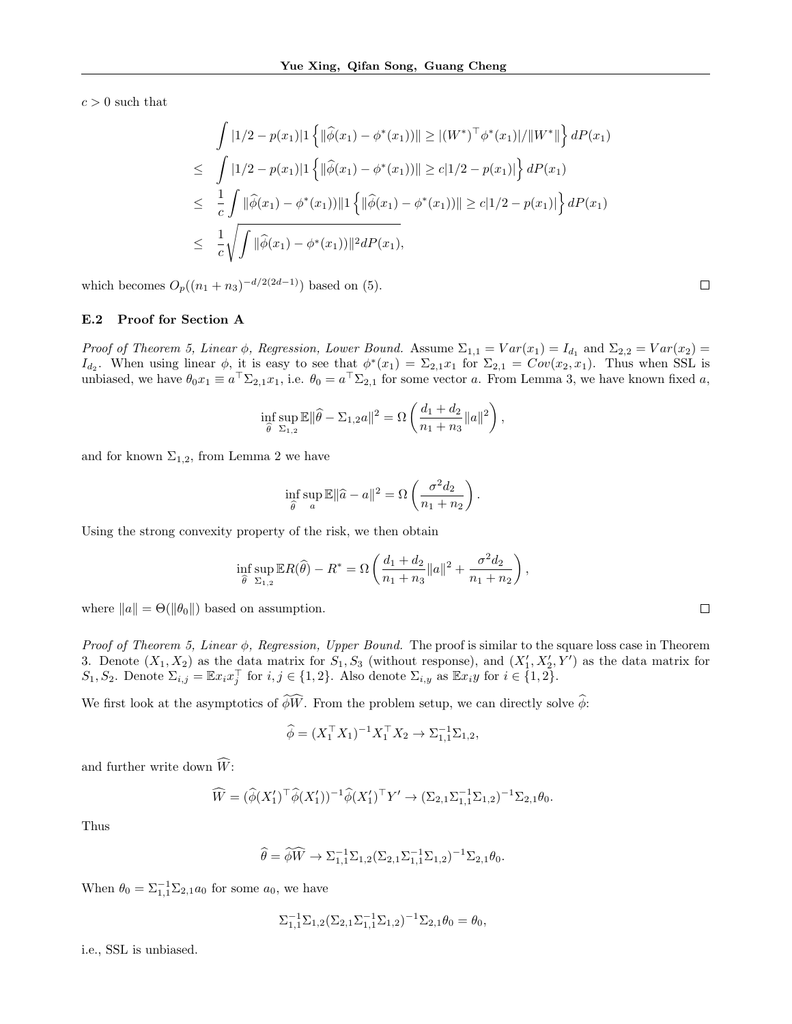$c > 0$  such that

$$
\int |1/2 - p(x_1)| \left\{ \|\widehat{\phi}(x_1) - \phi^*(x_1))\| \ge |(W^*)^\top \phi^*(x_1)| / \|W^*\| \right\} dP(x_1)
$$
\n
$$
\leq \int |1/2 - p(x_1)| \left\{ \|\widehat{\phi}(x_1) - \phi^*(x_1))\| \ge c|1/2 - p(x_1)| \right\} dP(x_1)
$$
\n
$$
\leq \frac{1}{c} \int \|\widehat{\phi}(x_1) - \phi^*(x_1)) \|1 \left\{ \|\widehat{\phi}(x_1) - \phi^*(x_1))\| \ge c|1/2 - p(x_1)| \right\} dP(x_1)
$$
\n
$$
\leq \frac{1}{c} \sqrt{\int \|\widehat{\phi}(x_1) - \phi^*(x_1)) \|^2 dP(x_1)},
$$

which becomes  $O_p((n_1 + n_3)^{-d/2(2d-1)})$  based on (5).

### E.2 Proof for Section A

Proof of Theorem 5, Linear  $\phi$ , Regression, Lower Bound. Assume  $\Sigma_{1,1} = Var(x_1) = I_{d_1}$  and  $\Sigma_{2,2} = Var(x_2) =$  $I_{d_2}$ . When using linear  $\phi$ , it is easy to see that  $\phi^*(x_1) = \sum_{2,1} x_1$  for  $\Sigma_{2,1} = Cov(x_2, x_1)$ . Thus when SSL is unbiased, we have  $\theta_0 x_1 \equiv a^\top \Sigma_{2,1} x_1$ , i.e.  $\theta_0 = a^\top \Sigma_{2,1}$  for some vector a. From Lemma 3, we have known fixed a,

$$
\inf_{\widehat{\theta}} \sup_{\Sigma_{1,2}} \mathbb{E} \|\widehat{\theta} - \Sigma_{1,2} a\|^2 = \Omega \left( \frac{d_1 + d_2}{n_1 + n_3} \|a\|^2 \right),\,
$$

and for known  $\Sigma_{1,2}$ , from Lemma 2 we have

$$
\inf_{\widehat{\theta}} \sup_{a} \mathbb{E} \|\widehat{a} - a\|^2 = \Omega \left(\frac{\sigma^2 d_2}{n_1 + n_2}\right).
$$

Using the strong convexity property of the risk, we then obtain

$$
\inf_{\widehat{\theta}} \sup_{\Sigma_{1,2}} \mathbb{E} R(\widehat{\theta}) - R^* = \Omega \left( \frac{d_1 + d_2}{n_1 + n_3} ||a||^2 + \frac{\sigma^2 d_2}{n_1 + n_2} \right),\,
$$

where  $||a|| = \Theta(||\theta_0||)$  based on assumption.

Proof of Theorem 5, Linear  $\phi$ , Regression, Upper Bound. The proof is similar to the square loss case in Theorem 3. Denote  $(X_1, X_2)$  as the data matrix for  $S_1, S_3$  (without response), and  $(X'_1, X'_2, Y')$  as the data matrix for  $S_1, S_2$ . Denote  $\Sigma_{i,j} = \mathbb{E} x_i x_j^{\top}$  for  $i, j \in \{1, 2\}$ . Also denote  $\Sigma_{i,y}$  as  $\mathbb{E} x_i y$  for  $i \in \{1, 2\}$ .

We first look at the asymptotics of  $\widehat{\phi}\widehat{W}$ . From the problem setup, we can directly solve  $\widehat{\phi}$ :

$$
\widehat{\phi} = (X_1^{\top} X_1)^{-1} X_1^{\top} X_2 \to \Sigma_{1,1}^{-1} \Sigma_{1,2},
$$

and further write down  $\widehat{W}$ :

$$
\widehat{W} = (\widehat{\phi}(X_1')^\top \widehat{\phi}(X_1'))^{-1} \widehat{\phi}(X_1')^\top Y' \to (\Sigma_{2,1} \Sigma_{1,1}^{-1} \Sigma_{1,2})^{-1} \Sigma_{2,1} \theta_0.
$$

Thus

$$
\widehat{\theta} = \widehat{\phi}\widehat{W} \to \Sigma_{1,1}^{-1} \Sigma_{1,2} (\Sigma_{2,1} \Sigma_{1,1}^{-1} \Sigma_{1,2})^{-1} \Sigma_{2,1} \theta_0.
$$

When  $\theta_0 = \sum_{1,1}^{-1} \Sigma_{2,1} a_0$  for some  $a_0$ , we have

$$
\Sigma_{1,1}^{-1} \Sigma_{1,2} (\Sigma_{2,1} \Sigma_{1,1}^{-1} \Sigma_{1,2})^{-1} \Sigma_{2,1} \theta_0 = \theta_0,
$$

i.e., SSL is unbiased.

 $\Box$ 

 $\Box$